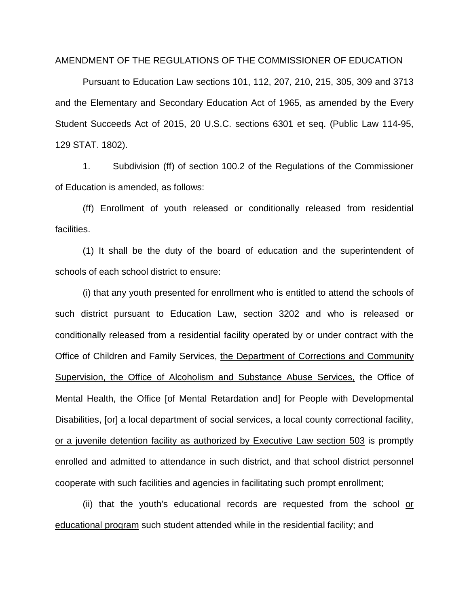AMENDMENT OF THE REGULATIONS OF THE COMMISSIONER OF EDUCATION

Pursuant to Education Law sections 101, 112, 207, 210, 215, 305, 309 and 3713 and the Elementary and Secondary Education Act of 1965, as amended by the Every Student Succeeds Act of 2015, 20 U.S.C. sections 6301 et seq. (Public Law 114-95, 129 STAT. 1802).

1. Subdivision (ff) of section 100.2 of the Regulations of the Commissioner of Education is amended, as follows:

(ff) Enrollment of youth released or conditionally released from residential facilities.

(1) It shall be the duty of the board of education and the superintendent of schools of each school district to ensure:

(i) that any youth presented for enrollment who is entitled to attend the schools of such district pursuant to Education Law, section 3202 and who is released or conditionally released from a residential facility operated by or under contract with the Office of Children and Family Services, the Department of Corrections and Community Supervision, the Office of Alcoholism and Substance Abuse Services, the Office of Mental Health, the Office [of Mental Retardation and] for People with Developmental Disabilities, [or] a local department of social services, a local county correctional facility, or a juvenile detention facility as authorized by Executive Law section 503 is promptly enrolled and admitted to attendance in such district, and that school district personnel cooperate with such facilities and agencies in facilitating such prompt enrollment;

(ii) that the youth's educational records are requested from the school or educational program such student attended while in the residential facility; and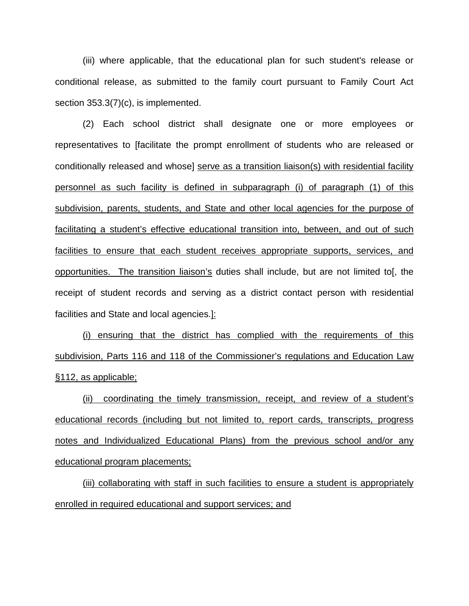(iii) where applicable, that the educational plan for such student's release or conditional release, as submitted to the family court pursuant to Family Court Act section 353.3(7)(c), is implemented.

(2) Each school district shall designate one or more employees or representatives to [facilitate the prompt enrollment of students who are released or conditionally released and whose] serve as a transition liaison(s) with residential facility personnel as such facility is defined in subparagraph (i) of paragraph (1) of this subdivision, parents, students, and State and other local agencies for the purpose of facilitating a student's effective educational transition into, between, and out of such facilities to ensure that each student receives appropriate supports, services, and opportunities. The transition liaison's duties shall include, but are not limited to[, the receipt of student records and serving as a district contact person with residential facilities and State and local agencies.]:

(i) ensuring that the district has complied with the requirements of this subdivision, Parts 116 and 118 of the Commissioner's regulations and Education Law §112, as applicable;

(ii) coordinating the timely transmission, receipt, and review of a student's educational records (including but not limited to, report cards, transcripts, progress notes and Individualized Educational Plans) from the previous school and/or any educational program placements;

(iii) collaborating with staff in such facilities to ensure a student is appropriately enrolled in required educational and support services; and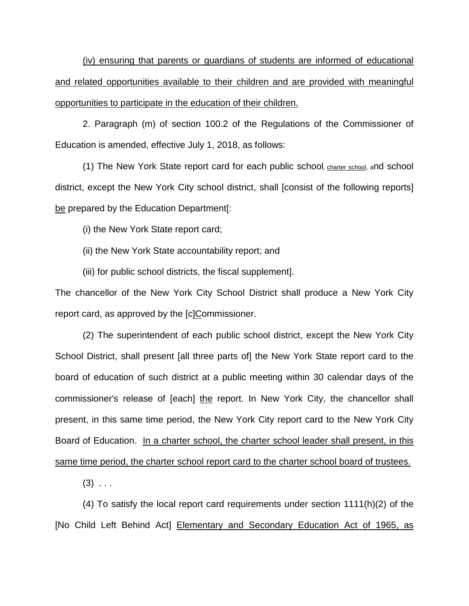(iv) ensuring that parents or guardians of students are informed of educational and related opportunities available to their children and are provided with meaningful opportunities to participate in the education of their children.

2. Paragraph (m) of section 100.2 of the Regulations of the Commissioner of Education is amended, effective July 1, 2018, as follows:

(1) The New York State report card for each public school, charter school, and school district, except the New York City school district, shall [consist of the following reports] be prepared by the Education Department[:

(i) the New York State report card;

(ii) the New York State accountability report; and

(iii) for public school districts, the fiscal supplement].

The chancellor of the New York City School District shall produce a New York City report card, as approved by the [c]Commissioner.

(2) The superintendent of each public school district, except the New York City School District, shall present [all three parts of] the New York State report card to the board of education of such district at a public meeting within 30 calendar days of the commissioner's release of [each] the report. In New York City, the chancellor shall present, in this same time period, the New York City report card to the New York City Board of Education. In a charter school, the charter school leader shall present, in this same time period, the charter school report card to the charter school board of trustees.

 $(3)$  ...

(4) To satisfy the local report card requirements under section 1111(h)(2) of the [No Child Left Behind Act] Elementary and Secondary Education Act of 1965, as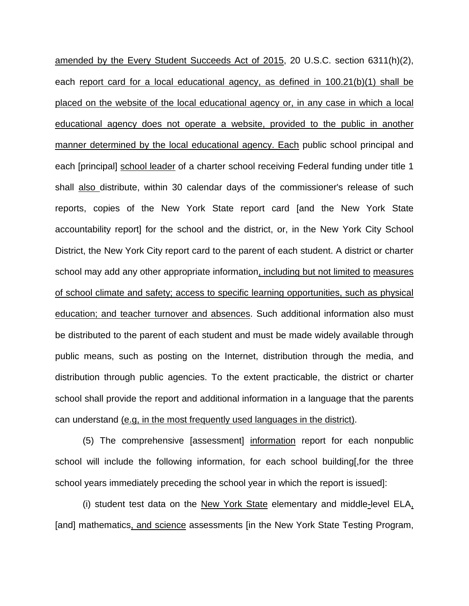amended by the Every Student Succeeds Act of 2015, 20 U.S.C. section 6311(h)(2), each report card for a local educational agency, as defined in 100.21(b)(1) shall be placed on the website of the local educational agency or, in any case in which a local educational agency does not operate a website, provided to the public in another manner determined by the local educational agency. Each public school principal and each [principal] school leader of a charter school receiving Federal funding under title 1 shall also distribute, within 30 calendar days of the commissioner's release of such reports, copies of the New York State report card [and the New York State accountability report] for the school and the district, or, in the New York City School District, the New York City report card to the parent of each student. A district or charter school may add any other appropriate information, including but not limited to measures of school climate and safety; access to specific learning opportunities, such as physical education; and teacher turnover and absences. Such additional information also must be distributed to the parent of each student and must be made widely available through public means, such as posting on the Internet, distribution through the media, and distribution through public agencies. To the extent practicable, the district or charter school shall provide the report and additional information in a language that the parents can understand (e.g, in the most frequently used languages in the district).

(5) The comprehensive [assessment] information report for each nonpublic school will include the following information, for each school building[,for the three school years immediately preceding the school year in which the report is issued]:

(i) student test data on the New York State elementary and middle-level ELA, [and] mathematics, and science assessments [in the New York State Testing Program,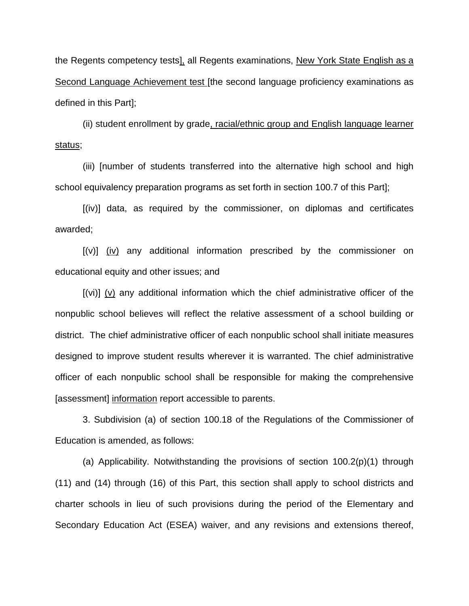the Regents competency tests], all Regents examinations, New York State English as a Second Language Achievement test [the second language proficiency examinations as defined in this Part];

(ii) student enrollment by grade, racial/ethnic group and English language learner status;

(iii) [number of students transferred into the alternative high school and high school equivalency preparation programs as set forth in section 100.7 of this Part];

[(iv)] data, as required by the commissioner, on diplomas and certificates awarded;

[(v)] (iv) any additional information prescribed by the commissioner on educational equity and other issues; and

[(vi)] (v) any additional information which the chief administrative officer of the nonpublic school believes will reflect the relative assessment of a school building or district. The chief administrative officer of each nonpublic school shall initiate measures designed to improve student results wherever it is warranted. The chief administrative officer of each nonpublic school shall be responsible for making the comprehensive [assessment] information report accessible to parents.

3. Subdivision (a) of section 100.18 of the Regulations of the Commissioner of Education is amended, as follows:

(a) Applicability. Notwithstanding the provisions of section 100.2(p)(1) through (11) and (14) through (16) of this Part, this section shall apply to school districts and charter schools in lieu of such provisions during the period of the Elementary and Secondary Education Act (ESEA) waiver, and any revisions and extensions thereof,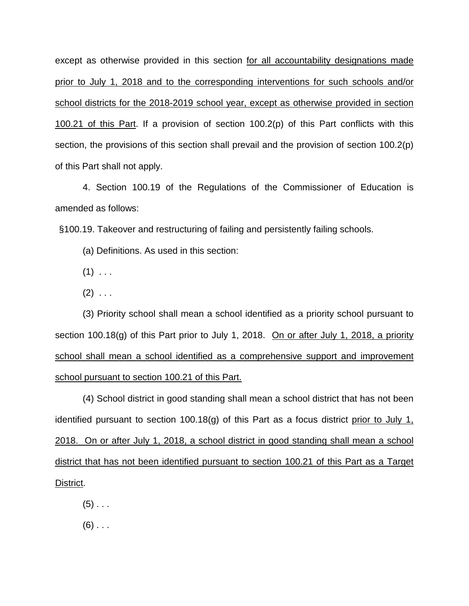except as otherwise provided in this section for all accountability designations made prior to July 1, 2018 and to the corresponding interventions for such schools and/or school districts for the 2018-2019 school year, except as otherwise provided in section 100.21 of this Part. If a provision of section 100.2(p) of this Part conflicts with this section, the provisions of this section shall prevail and the provision of section 100.2(p) of this Part shall not apply.

4. Section 100.19 of the Regulations of the Commissioner of Education is amended as follows:

§100.19. Takeover and restructuring of failing and persistently failing schools.

(a) Definitions. As used in this section:

- $(1)$  . . .
- $(2)$  ...

(3) Priority school shall mean a school identified as a priority school pursuant to section 100.18(g) of this Part prior to July 1, 2018. On or after July 1, 2018, a priority school shall mean a school identified as a comprehensive support and improvement school pursuant to section 100.21 of this Part.

(4) School district in good standing shall mean a school district that has not been identified pursuant to section 100.18(g) of this Part as a focus district prior to July 1, 2018. On or after July 1, 2018, a school district in good standing shall mean a school district that has not been identified pursuant to section 100.21 of this Part as a Target District.

 $(5)$  . . .

 $(6)$  . . .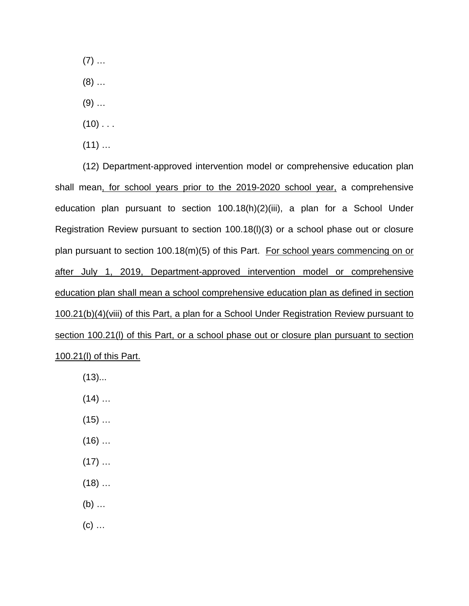$(7)$  ...

(8) …

- $(9)$  ...
- $(10)$  . . .
- $(11)$  ...

(12) Department-approved intervention model or comprehensive education plan shall mean, for school years prior to the 2019-2020 school year, a comprehensive education plan pursuant to section 100.18(h)(2)(iii), a plan for a School Under Registration Review pursuant to section 100.18(l)(3) or a school phase out or closure plan pursuant to section 100.18(m)(5) of this Part. For school years commencing on or after July 1, 2019, Department-approved intervention model or comprehensive education plan shall mean a school comprehensive education plan as defined in section 100.21(b)(4)(viii) of this Part, a plan for a School Under Registration Review pursuant to section 100.21(I) of this Part, or a school phase out or closure plan pursuant to section 100.21(l) of this Part.

- $(13)$ ...
- $(14)$  ...
- $(15)$  ...
- $(16)$  …
- $(17)$  ...
- $(18)$  ...
- (b) …
- $(c)$  ...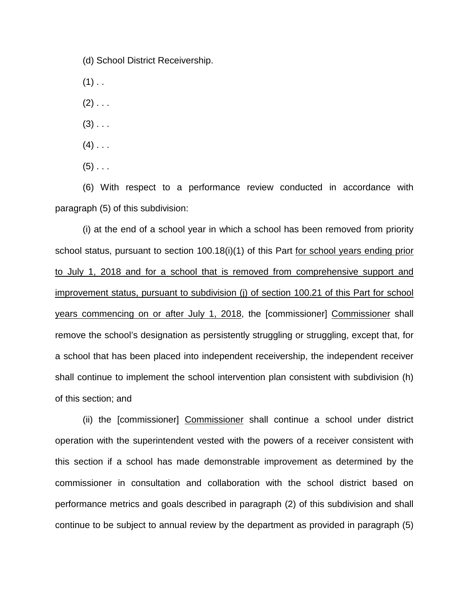(d) School District Receivership.

 $(1)$  . .

 $(2)$  . . .

 $(3)$  . . .

 $(4)$  . . .

 $(5)$  . . .

(6) With respect to a performance review conducted in accordance with paragraph (5) of this subdivision:

(i) at the end of a school year in which a school has been removed from priority school status, pursuant to section 100.18(i)(1) of this Part for school years ending prior to July 1, 2018 and for a school that is removed from comprehensive support and improvement status, pursuant to subdivision (j) of section 100.21 of this Part for school years commencing on or after July 1, 2018, the [commissioner] Commissioner shall remove the school's designation as persistently struggling or struggling, except that, for a school that has been placed into independent receivership, the independent receiver shall continue to implement the school intervention plan consistent with subdivision (h) of this section; and

(ii) the [commissioner] Commissioner shall continue a school under district operation with the superintendent vested with the powers of a receiver consistent with this section if a school has made demonstrable improvement as determined by the commissioner in consultation and collaboration with the school district based on performance metrics and goals described in paragraph (2) of this subdivision and shall continue to be subject to annual review by the department as provided in paragraph (5)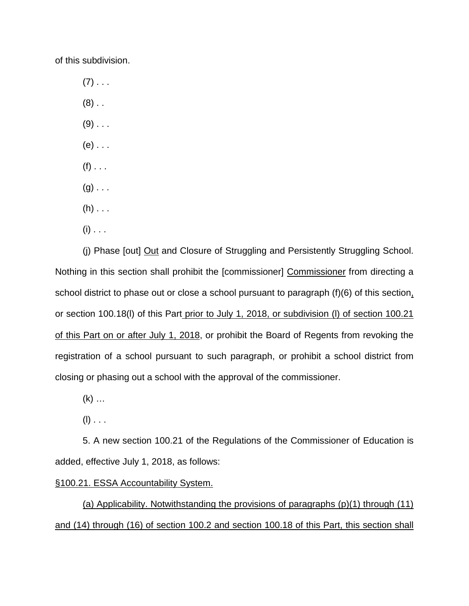of this subdivision.

 $(7)$  . . .  $(8)$ .  $(9)$  . . .  $(e)$  . . .  $(f)$  . . .  $(g)$ ...  $(h)$  . . .

- 
- $(i)$  . . .

(j) Phase [out] Out and Closure of Struggling and Persistently Struggling School. Nothing in this section shall prohibit the [commissioner] Commissioner from directing a school district to phase out or close a school pursuant to paragraph (f)(6) of this section, or section 100.18(l) of this Part prior to July 1, 2018, or subdivision (l) of section 100.21 of this Part on or after July 1, 2018, or prohibit the Board of Regents from revoking the registration of a school pursuant to such paragraph, or prohibit a school district from closing or phasing out a school with the approval of the commissioner.

- $(k)$  ...
- $(I)$  . . .

5. A new section 100.21 of the Regulations of the Commissioner of Education is added, effective July 1, 2018, as follows:

## §100.21. ESSA Accountability System.

(a) Applicability. Notwithstanding the provisions of paragraphs (p)(1) through (11) and (14) through (16) of section 100.2 and section 100.18 of this Part, this section shall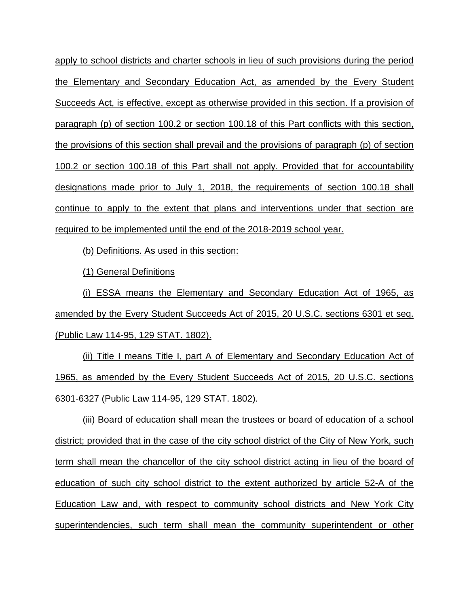apply to school districts and charter schools in lieu of such provisions during the period the Elementary and Secondary Education Act, as amended by the Every Student Succeeds Act, is effective, except as otherwise provided in this section. If a provision of paragraph (p) of section 100.2 or section 100.18 of this Part conflicts with this section, the provisions of this section shall prevail and the provisions of paragraph (p) of section 100.2 or section 100.18 of this Part shall not apply. Provided that for accountability designations made prior to July 1, 2018, the requirements of section 100.18 shall continue to apply to the extent that plans and interventions under that section are required to be implemented until the end of the 2018-2019 school year.

(b) Definitions. As used in this section:

(1) General Definitions

(i) ESSA means the Elementary and Secondary Education Act of 1965, as amended by the Every Student Succeeds Act of 2015, 20 U.S.C. sections 6301 et seq. (Public Law 114-95, 129 STAT. 1802).

(ii) Title I means Title I, part A of Elementary and Secondary Education Act of 1965, as amended by the Every Student Succeeds Act of 2015, 20 U.S.C. sections 6301-6327 (Public Law 114-95, 129 STAT. 1802).

(iii) Board of education shall mean the trustees or board of education of a school district; provided that in the case of the city school district of the City of New York, such term shall mean the chancellor of the city school district acting in lieu of the board of education of such city school district to the extent authorized by article 52-A of the Education Law and, with respect to community school districts and New York City superintendencies, such term shall mean the community superintendent or other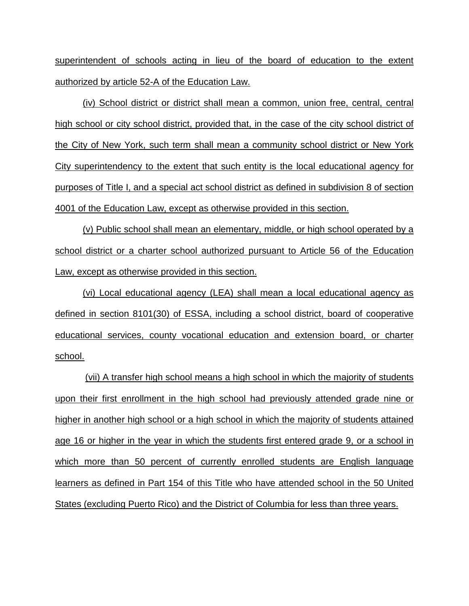superintendent of schools acting in lieu of the board of education to the extent authorized by article 52-A of the Education Law.

(iv) School district or district shall mean a common, union free, central, central high school or city school district, provided that, in the case of the city school district of the City of New York, such term shall mean a community school district or New York City superintendency to the extent that such entity is the local educational agency for purposes of Title I, and a special act school district as defined in subdivision 8 of section 4001 of the Education Law, except as otherwise provided in this section.

(v) Public school shall mean an elementary, middle, or high school operated by a school district or a charter school authorized pursuant to Article 56 of the Education Law, except as otherwise provided in this section.

(vi) Local educational agency (LEA) shall mean a local educational agency as defined in section 8101(30) of ESSA, including a school district, board of cooperative educational services, county vocational education and extension board, or charter school.

(vii) A transfer high school means a high school in which the majority of students upon their first enrollment in the high school had previously attended grade nine or higher in another high school or a high school in which the majority of students attained age 16 or higher in the year in which the students first entered grade 9, or a school in which more than 50 percent of currently enrolled students are English language learners as defined in Part 154 of this Title who have attended school in the 50 United States (excluding Puerto Rico) and the District of Columbia for less than three years.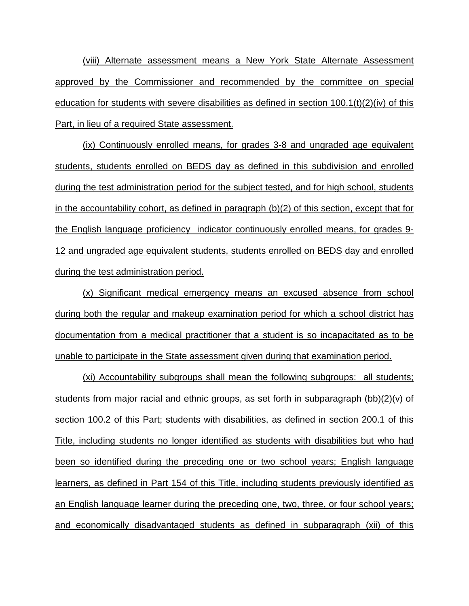(viii) Alternate assessment means a New York State Alternate Assessment approved by the Commissioner and recommended by the committee on special education for students with severe disabilities as defined in section  $100.1(t)(2)(iv)$  of this Part, in lieu of a required State assessment.

(ix) Continuously enrolled means, for grades 3-8 and ungraded age equivalent students, students enrolled on BEDS day as defined in this subdivision and enrolled during the test administration period for the subject tested, and for high school, students in the accountability cohort, as defined in paragraph (b)(2) of this section, except that for the English language proficiency indicator continuously enrolled means, for grades 9- 12 and ungraded age equivalent students, students enrolled on BEDS day and enrolled during the test administration period.

(x) Significant medical emergency means an excused absence from school during both the regular and makeup examination period for which a school district has documentation from a medical practitioner that a student is so incapacitated as to be unable to participate in the State assessment given during that examination period.

(xi) Accountability subgroups shall mean the following subgroups: all students; students from major racial and ethnic groups, as set forth in subparagraph (bb)(2)(v) of section 100.2 of this Part; students with disabilities, as defined in section 200.1 of this Title, including students no longer identified as students with disabilities but who had been so identified during the preceding one or two school years; English language learners, as defined in Part 154 of this Title, including students previously identified as an English language learner during the preceding one, two, three, or four school years; and economically disadvantaged students as defined in subparagraph (xii) of this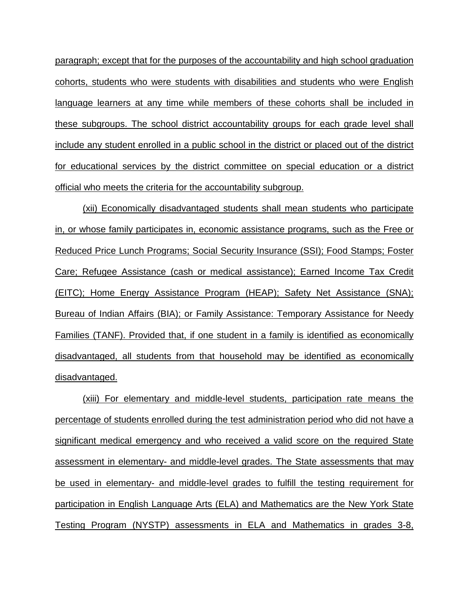paragraph; except that for the purposes of the accountability and high school graduation cohorts, students who were students with disabilities and students who were English language learners at any time while members of these cohorts shall be included in these subgroups. The school district accountability groups for each grade level shall include any student enrolled in a public school in the district or placed out of the district for educational services by the district committee on special education or a district official who meets the criteria for the accountability subgroup.

(xii) Economically disadvantaged students shall mean students who participate in, or whose family participates in, economic assistance programs, such as the Free or Reduced Price Lunch Programs; Social Security Insurance (SSI); Food Stamps; Foster Care; Refugee Assistance (cash or medical assistance); Earned Income Tax Credit (EITC); Home Energy Assistance Program (HEAP); Safety Net Assistance (SNA); Bureau of Indian Affairs (BIA); or Family Assistance: Temporary Assistance for Needy Families (TANF). Provided that, if one student in a family is identified as economically disadvantaged, all students from that household may be identified as economically disadvantaged.

(xiii) For elementary and middle-level students, participation rate means the percentage of students enrolled during the test administration period who did not have a significant medical emergency and who received a valid score on the required State assessment in elementary- and middle-level grades. The State assessments that may be used in elementary- and middle-level grades to fulfill the testing requirement for participation in English Language Arts (ELA) and Mathematics are the New York State Testing Program (NYSTP) assessments in ELA and Mathematics in grades 3-8,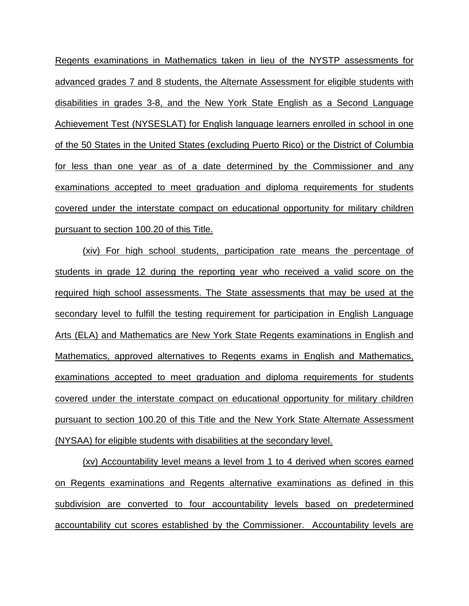Regents examinations in Mathematics taken in lieu of the NYSTP assessments for advanced grades 7 and 8 students, the Alternate Assessment for eligible students with disabilities in grades 3-8, and the New York State English as a Second Language Achievement Test (NYSESLAT) for English language learners enrolled in school in one of the 50 States in the United States (excluding Puerto Rico) or the District of Columbia for less than one year as of a date determined by the Commissioner and any examinations accepted to meet graduation and diploma requirements for students covered under the interstate compact on educational opportunity for military children pursuant to section 100.20 of this Title.

(xiv) For high school students, participation rate means the percentage of students in grade 12 during the reporting year who received a valid score on the required high school assessments. The State assessments that may be used at the secondary level to fulfill the testing requirement for participation in English Language Arts (ELA) and Mathematics are New York State Regents examinations in English and Mathematics, approved alternatives to Regents exams in English and Mathematics, examinations accepted to meet graduation and diploma requirements for students covered under the interstate compact on educational opportunity for military children pursuant to section 100.20 of this Title and the New York State Alternate Assessment (NYSAA) for eligible students with disabilities at the secondary level.

(xv) Accountability level means a level from 1 to 4 derived when scores earned on Regents examinations and Regents alternative examinations as defined in this subdivision are converted to four accountability levels based on predetermined accountability cut scores established by the Commissioner. Accountability levels are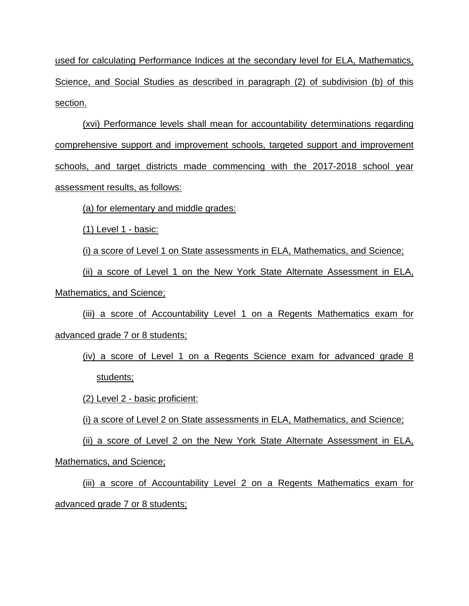used for calculating Performance Indices at the secondary level for ELA, Mathematics, Science, and Social Studies as described in paragraph (2) of subdivision (b) of this section.

(xvi) Performance levels shall mean for accountability determinations regarding comprehensive support and improvement schools, targeted support and improvement schools, and target districts made commencing with the 2017-2018 school year assessment results, as follows:

(a) for elementary and middle grades:

(1) Level 1 - basic:

(i) a score of Level 1 on State assessments in ELA, Mathematics, and Science;

(ii) a score of Level 1 on the New York State Alternate Assessment in ELA, Mathematics, and Science;

(iii) a score of Accountability Level 1 on a Regents Mathematics exam for advanced grade 7 or 8 students;

(iv) a score of Level 1 on a Regents Science exam for advanced grade 8 students;

(2) Level 2 - basic proficient:

(i) a score of Level 2 on State assessments in ELA, Mathematics, and Science;

(ii) a score of Level 2 on the New York State Alternate Assessment in ELA, Mathematics, and Science;

(iii) a score of Accountability Level 2 on a Regents Mathematics exam for advanced grade 7 or 8 students;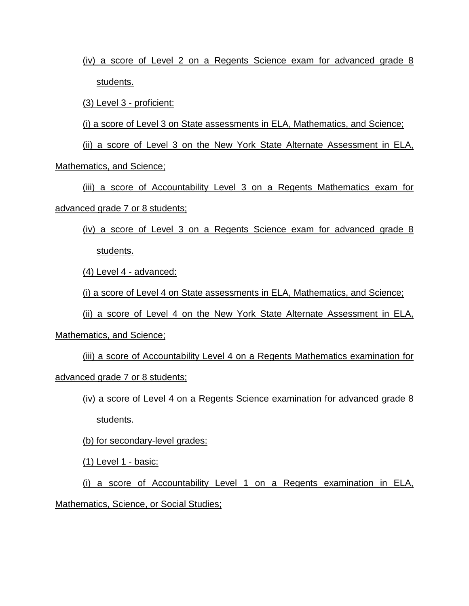(iv) a score of Level 2 on a Regents Science exam for advanced grade 8 students.

(3) Level 3 - proficient:

(i) a score of Level 3 on State assessments in ELA, Mathematics, and Science;

(ii) a score of Level 3 on the New York State Alternate Assessment in ELA,

Mathematics, and Science;

(iii) a score of Accountability Level 3 on a Regents Mathematics exam for advanced grade 7 or 8 students;

(iv) a score of Level 3 on a Regents Science exam for advanced grade 8 students.

(4) Level 4 - advanced:

(i) a score of Level 4 on State assessments in ELA, Mathematics, and Science;

(ii) a score of Level 4 on the New York State Alternate Assessment in ELA,

Mathematics, and Science;

(iii) a score of Accountability Level 4 on a Regents Mathematics examination for advanced grade 7 or 8 students;

(iv) a score of Level 4 on a Regents Science examination for advanced grade 8

students.

(b) for secondary-level grades:

(1) Level 1 - basic:

(i) a score of Accountability Level 1 on a Regents examination in ELA, Mathematics, Science, or Social Studies;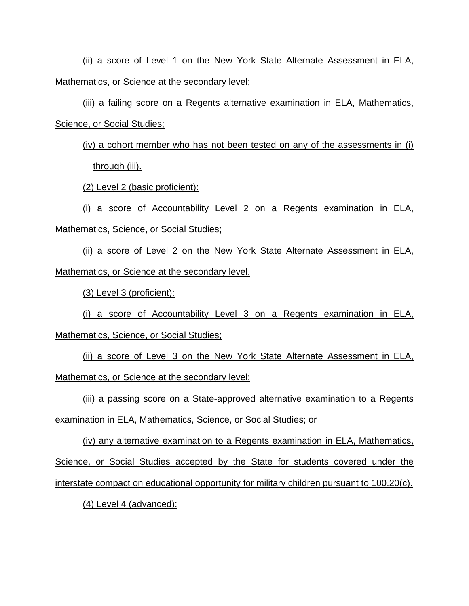(ii) a score of Level 1 on the New York State Alternate Assessment in ELA, Mathematics, or Science at the secondary level;

(iii) a failing score on a Regents alternative examination in ELA, Mathematics, Science, or Social Studies;

(iv) a cohort member who has not been tested on any of the assessments in (i) through (iii).

(2) Level 2 (basic proficient):

(i) a score of Accountability Level 2 on a Regents examination in ELA, Mathematics, Science, or Social Studies;

(ii) a score of Level 2 on the New York State Alternate Assessment in ELA, Mathematics, or Science at the secondary level.

(3) Level 3 (proficient):

(i) a score of Accountability Level 3 on a Regents examination in ELA, Mathematics, Science, or Social Studies;

(ii) a score of Level 3 on the New York State Alternate Assessment in ELA, Mathematics, or Science at the secondary level;

(iii) a passing score on a State-approved alternative examination to a Regents

examination in ELA, Mathematics, Science, or Social Studies; or

(iv) any alternative examination to a Regents examination in ELA, Mathematics, Science, or Social Studies accepted by the State for students covered under the interstate compact on educational opportunity for military children pursuant to 100.20(c).

(4) Level 4 (advanced):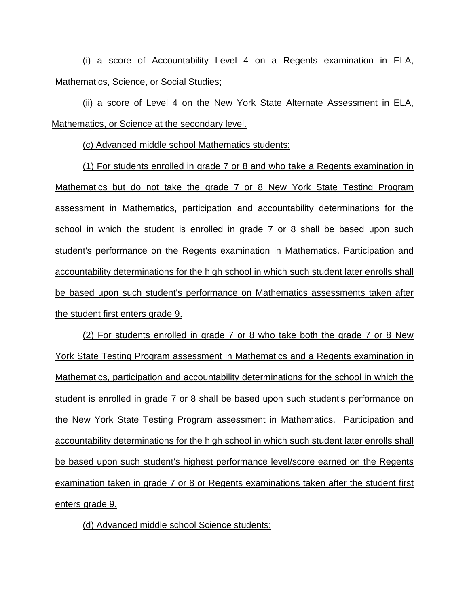(i) a score of Accountability Level 4 on a Regents examination in ELA, Mathematics, Science, or Social Studies;

(ii) a score of Level 4 on the New York State Alternate Assessment in ELA, Mathematics, or Science at the secondary level.

(c) Advanced middle school Mathematics students:

(1) For students enrolled in grade 7 or 8 and who take a Regents examination in Mathematics but do not take the grade 7 or 8 New York State Testing Program assessment in Mathematics, participation and accountability determinations for the school in which the student is enrolled in grade 7 or 8 shall be based upon such student's performance on the Regents examination in Mathematics. Participation and accountability determinations for the high school in which such student later enrolls shall be based upon such student's performance on Mathematics assessments taken after the student first enters grade 9.

(2) For students enrolled in grade 7 or 8 who take both the grade 7 or 8 New York State Testing Program assessment in Mathematics and a Regents examination in Mathematics, participation and accountability determinations for the school in which the student is enrolled in grade 7 or 8 shall be based upon such student's performance on the New York State Testing Program assessment in Mathematics. Participation and accountability determinations for the high school in which such student later enrolls shall be based upon such student's highest performance level/score earned on the Regents examination taken in grade 7 or 8 or Regents examinations taken after the student first enters grade 9.

(d) Advanced middle school Science students: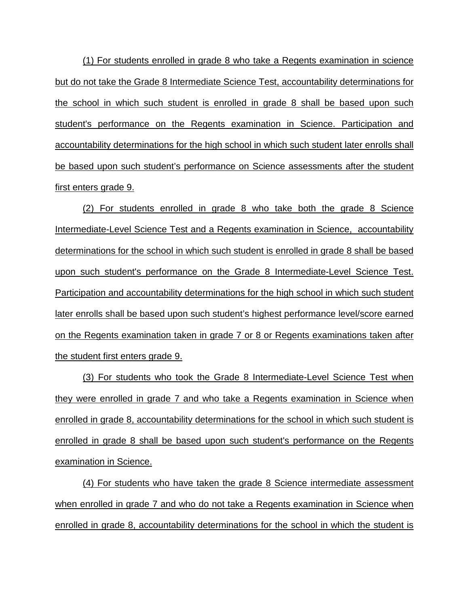(1) For students enrolled in grade 8 who take a Regents examination in science but do not take the Grade 8 Intermediate Science Test, accountability determinations for the school in which such student is enrolled in grade 8 shall be based upon such student's performance on the Regents examination in Science. Participation and accountability determinations for the high school in which such student later enrolls shall be based upon such student's performance on Science assessments after the student first enters grade 9.

(2) For students enrolled in grade 8 who take both the grade 8 Science Intermediate-Level Science Test and a Regents examination in Science, accountability determinations for the school in which such student is enrolled in grade 8 shall be based upon such student's performance on the Grade 8 Intermediate-Level Science Test. Participation and accountability determinations for the high school in which such student later enrolls shall be based upon such student's highest performance level/score earned on the Regents examination taken in grade 7 or 8 or Regents examinations taken after the student first enters grade 9.

(3) For students who took the Grade 8 Intermediate-Level Science Test when they were enrolled in grade 7 and who take a Regents examination in Science when enrolled in grade 8, accountability determinations for the school in which such student is enrolled in grade 8 shall be based upon such student's performance on the Regents examination in Science.

(4) For students who have taken the grade 8 Science intermediate assessment when enrolled in grade 7 and who do not take a Regents examination in Science when enrolled in grade 8, accountability determinations for the school in which the student is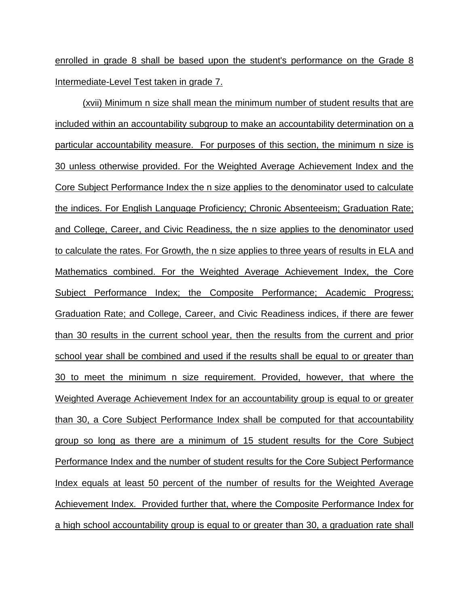enrolled in grade 8 shall be based upon the student's performance on the Grade 8 Intermediate-Level Test taken in grade 7.

(xvii) Minimum n size shall mean the minimum number of student results that are included within an accountability subgroup to make an accountability determination on a particular accountability measure. For purposes of this section, the minimum n size is 30 unless otherwise provided. For the Weighted Average Achievement Index and the Core Subject Performance Index the n size applies to the denominator used to calculate the indices. For English Language Proficiency; Chronic Absenteeism; Graduation Rate; and College, Career, and Civic Readiness, the n size applies to the denominator used to calculate the rates. For Growth, the n size applies to three years of results in ELA and Mathematics combined. For the Weighted Average Achievement Index, the Core Subject Performance Index; the Composite Performance; Academic Progress; Graduation Rate; and College, Career, and Civic Readiness indices, if there are fewer than 30 results in the current school year, then the results from the current and prior school year shall be combined and used if the results shall be equal to or greater than 30 to meet the minimum n size requirement. Provided, however, that where the Weighted Average Achievement Index for an accountability group is equal to or greater than 30, a Core Subject Performance Index shall be computed for that accountability group so long as there are a minimum of 15 student results for the Core Subject Performance Index and the number of student results for the Core Subject Performance Index equals at least 50 percent of the number of results for the Weighted Average Achievement Index. Provided further that, where the Composite Performance Index for a high school accountability group is equal to or greater than 30, a graduation rate shall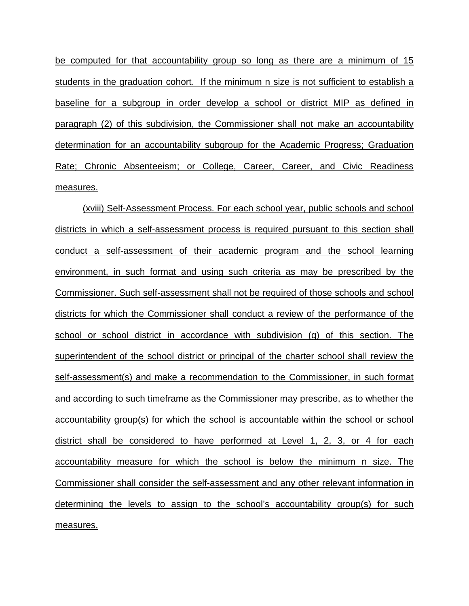be computed for that accountability group so long as there are a minimum of 15 students in the graduation cohort. If the minimum n size is not sufficient to establish a baseline for a subgroup in order develop a school or district MIP as defined in paragraph (2) of this subdivision, the Commissioner shall not make an accountability determination for an accountability subgroup for the Academic Progress; Graduation Rate; Chronic Absenteeism; or College, Career, Career, and Civic Readiness measures.

(xviii) Self-Assessment Process. For each school year, public schools and school districts in which a self-assessment process is required pursuant to this section shall conduct a self-assessment of their academic program and the school learning environment, in such format and using such criteria as may be prescribed by the Commissioner. Such self-assessment shall not be required of those schools and school districts for which the Commissioner shall conduct a review of the performance of the school or school district in accordance with subdivision (g) of this section. The superintendent of the school district or principal of the charter school shall review the self-assessment(s) and make a recommendation to the Commissioner, in such format and according to such timeframe as the Commissioner may prescribe, as to whether the accountability group(s) for which the school is accountable within the school or school district shall be considered to have performed at Level 1, 2, 3, or 4 for each accountability measure for which the school is below the minimum n size. The Commissioner shall consider the self-assessment and any other relevant information in determining the levels to assign to the school's accountability group(s) for such measures.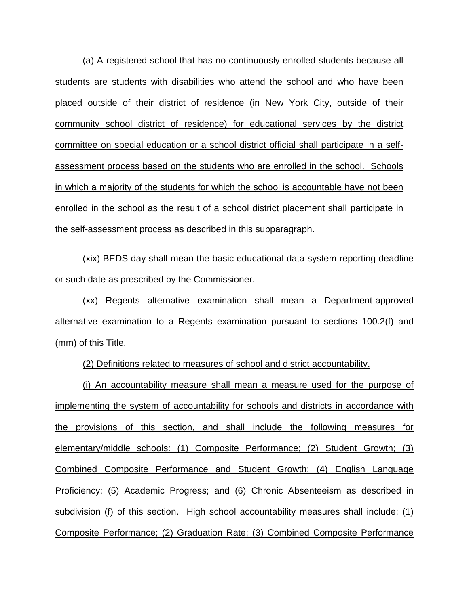(a) A registered school that has no continuously enrolled students because all students are students with disabilities who attend the school and who have been placed outside of their district of residence (in New York City, outside of their community school district of residence) for educational services by the district committee on special education or a school district official shall participate in a selfassessment process based on the students who are enrolled in the school. Schools in which a majority of the students for which the school is accountable have not been enrolled in the school as the result of a school district placement shall participate in the self-assessment process as described in this subparagraph.

(xix) BEDS day shall mean the basic educational data system reporting deadline or such date as prescribed by the Commissioner.

(xx) Regents alternative examination shall mean a Department-approved alternative examination to a Regents examination pursuant to sections 100.2(f) and (mm) of this Title.

(2) Definitions related to measures of school and district accountability.

(i) An accountability measure shall mean a measure used for the purpose of implementing the system of accountability for schools and districts in accordance with the provisions of this section, and shall include the following measures for elementary/middle schools: (1) Composite Performance; (2) Student Growth; (3) Combined Composite Performance and Student Growth; (4) English Language Proficiency; (5) Academic Progress; and (6) Chronic Absenteeism as described in subdivision (f) of this section. High school accountability measures shall include: (1) Composite Performance; (2) Graduation Rate; (3) Combined Composite Performance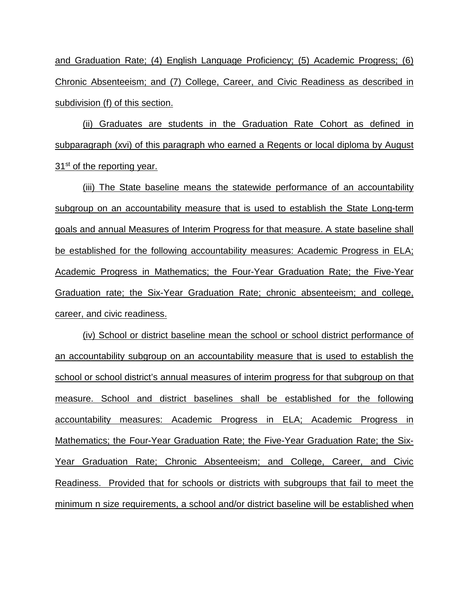and Graduation Rate; (4) English Language Proficiency; (5) Academic Progress; (6) Chronic Absenteeism; and (7) College, Career, and Civic Readiness as described in subdivision (f) of this section.

(ii) Graduates are students in the Graduation Rate Cohort as defined in subparagraph (xvi) of this paragraph who earned a Regents or local diploma by August  $31<sup>st</sup>$  of the reporting year.

(iii) The State baseline means the statewide performance of an accountability subgroup on an accountability measure that is used to establish the State Long-term goals and annual Measures of Interim Progress for that measure. A state baseline shall be established for the following accountability measures: Academic Progress in ELA; Academic Progress in Mathematics; the Four-Year Graduation Rate; the Five-Year Graduation rate; the Six-Year Graduation Rate; chronic absenteeism; and college, career, and civic readiness.

(iv) School or district baseline mean the school or school district performance of an accountability subgroup on an accountability measure that is used to establish the school or school district's annual measures of interim progress for that subgroup on that measure. School and district baselines shall be established for the following accountability measures: Academic Progress in ELA; Academic Progress in Mathematics; the Four-Year Graduation Rate; the Five-Year Graduation Rate; the Six-Year Graduation Rate; Chronic Absenteeism; and College, Career, and Civic Readiness. Provided that for schools or districts with subgroups that fail to meet the minimum n size requirements, a school and/or district baseline will be established when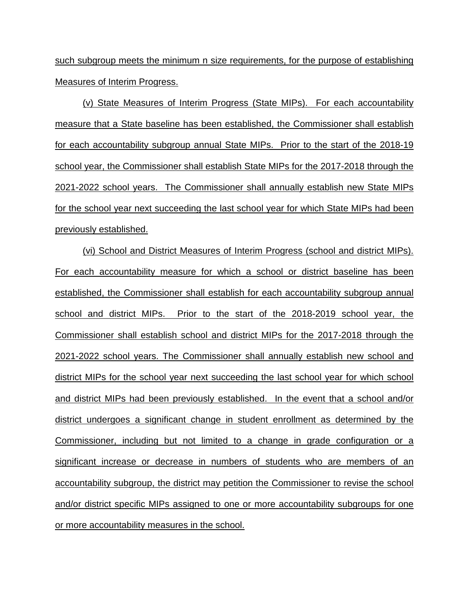such subgroup meets the minimum n size requirements, for the purpose of establishing Measures of Interim Progress.

(v) State Measures of Interim Progress (State MIPs). For each accountability measure that a State baseline has been established, the Commissioner shall establish for each accountability subgroup annual State MIPs. Prior to the start of the 2018-19 school year, the Commissioner shall establish State MIPs for the 2017-2018 through the 2021-2022 school years. The Commissioner shall annually establish new State MIPs for the school year next succeeding the last school year for which State MIPs had been previously established.

(vi) School and District Measures of Interim Progress (school and district MIPs). For each accountability measure for which a school or district baseline has been established, the Commissioner shall establish for each accountability subgroup annual school and district MIPs. Prior to the start of the 2018-2019 school year, the Commissioner shall establish school and district MIPs for the 2017-2018 through the 2021-2022 school years. The Commissioner shall annually establish new school and district MIPs for the school year next succeeding the last school year for which school and district MIPs had been previously established. In the event that a school and/or district undergoes a significant change in student enrollment as determined by the Commissioner, including but not limited to a change in grade configuration or a significant increase or decrease in numbers of students who are members of an accountability subgroup, the district may petition the Commissioner to revise the school and/or district specific MIPs assigned to one or more accountability subgroups for one or more accountability measures in the school.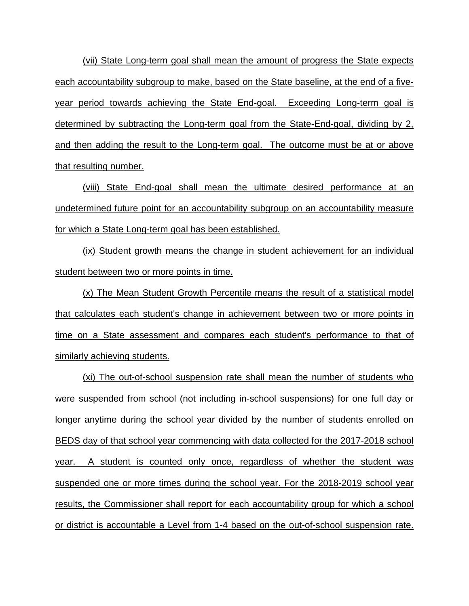(vii) State Long-term goal shall mean the amount of progress the State expects each accountability subgroup to make, based on the State baseline, at the end of a fiveyear period towards achieving the State End-goal. Exceeding Long-term goal is determined by subtracting the Long-term goal from the State-End-goal, dividing by 2, and then adding the result to the Long-term goal. The outcome must be at or above that resulting number.

(viii) State End-goal shall mean the ultimate desired performance at an undetermined future point for an accountability subgroup on an accountability measure for which a State Long-term goal has been established.

(ix) Student growth means the change in student achievement for an individual student between two or more points in time.

(x) The Mean Student Growth Percentile means the result of a statistical model that calculates each student's change in achievement between two or more points in time on a State assessment and compares each student's performance to that of similarly achieving students.

(xi) The out-of-school suspension rate shall mean the number of students who were suspended from school (not including in-school suspensions) for one full day or longer anytime during the school year divided by the number of students enrolled on BEDS day of that school year commencing with data collected for the 2017-2018 school year. A student is counted only once, regardless of whether the student was suspended one or more times during the school year. For the 2018-2019 school year results, the Commissioner shall report for each accountability group for which a school or district is accountable a Level from 1-4 based on the out-of-school suspension rate.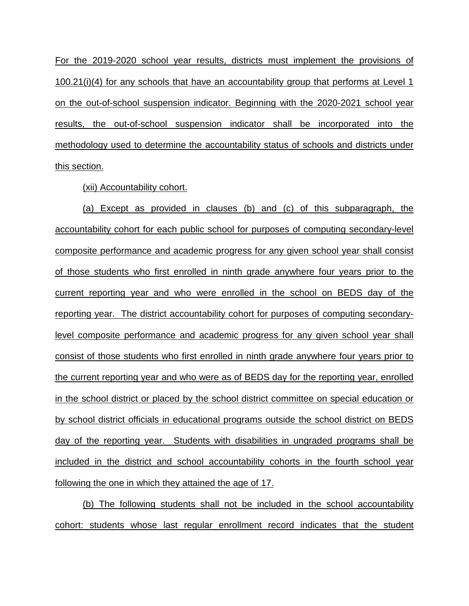For the 2019-2020 school year results, districts must implement the provisions of 100.21(i)(4) for any schools that have an accountability group that performs at Level 1 on the out-of-school suspension indicator. Beginning with the 2020-2021 school year results, the out-of-school suspension indicator shall be incorporated into the methodology used to determine the accountability status of schools and districts under this section.

(xii) Accountability cohort.

(a) Except as provided in clauses (b) and (c) of this subparagraph, the accountability cohort for each public school for purposes of computing secondary-level composite performance and academic progress for any given school year shall consist of those students who first enrolled in ninth grade anywhere four years prior to the current reporting year and who were enrolled in the school on BEDS day of the reporting year. The district accountability cohort for purposes of computing secondarylevel composite performance and academic progress for any given school year shall consist of those students who first enrolled in ninth grade anywhere four years prior to the current reporting year and who were as of BEDS day for the reporting year, enrolled in the school district or placed by the school district committee on special education or by school district officials in educational programs outside the school district on BEDS day of the reporting year. Students with disabilities in ungraded programs shall be included in the district and school accountability cohorts in the fourth school year following the one in which they attained the age of 17.

(b) The following students shall not be included in the school accountability cohort: students whose last regular enrollment record indicates that the student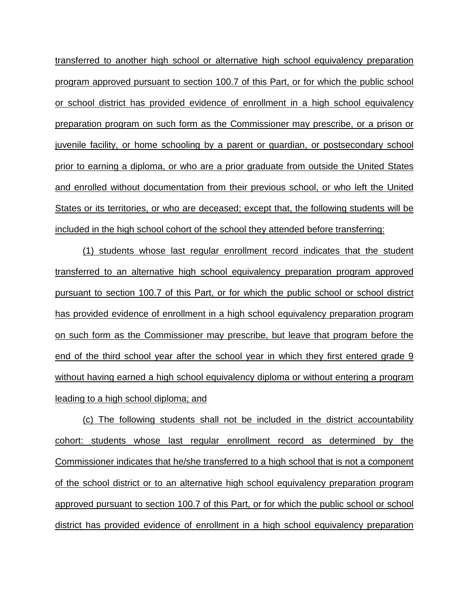transferred to another high school or alternative high school equivalency preparation program approved pursuant to section 100.7 of this Part, or for which the public school or school district has provided evidence of enrollment in a high school equivalency preparation program on such form as the Commissioner may prescribe, or a prison or juvenile facility, or home schooling by a parent or guardian, or postsecondary school prior to earning a diploma, or who are a prior graduate from outside the United States and enrolled without documentation from their previous school, or who left the United States or its territories, or who are deceased; except that, the following students will be included in the high school cohort of the school they attended before transferring:

(1) students whose last regular enrollment record indicates that the student transferred to an alternative high school equivalency preparation program approved pursuant to section 100.7 of this Part, or for which the public school or school district has provided evidence of enrollment in a high school equivalency preparation program on such form as the Commissioner may prescribe, but leave that program before the end of the third school year after the school year in which they first entered grade 9 without having earned a high school equivalency diploma or without entering a program leading to a high school diploma; and

(c) The following students shall not be included in the district accountability cohort: students whose last regular enrollment record as determined by the Commissioner indicates that he/she transferred to a high school that is not a component of the school district or to an alternative high school equivalency preparation program approved pursuant to section 100.7 of this Part, or for which the public school or school district has provided evidence of enrollment in a high school equivalency preparation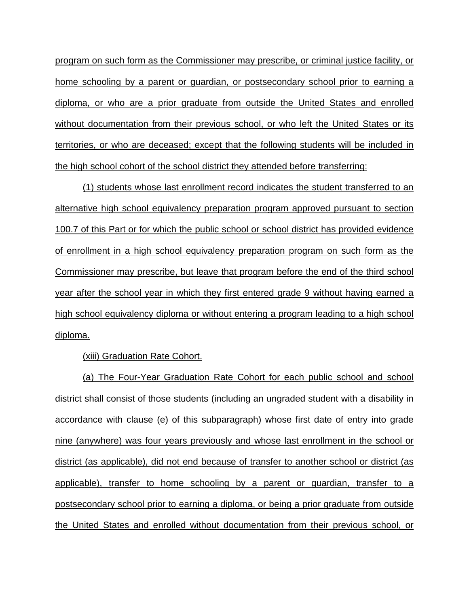program on such form as the Commissioner may prescribe, or criminal justice facility, or home schooling by a parent or guardian, or postsecondary school prior to earning a diploma, or who are a prior graduate from outside the United States and enrolled without documentation from their previous school, or who left the United States or its territories, or who are deceased; except that the following students will be included in the high school cohort of the school district they attended before transferring:

(1) students whose last enrollment record indicates the student transferred to an alternative high school equivalency preparation program approved pursuant to section 100.7 of this Part or for which the public school or school district has provided evidence of enrollment in a high school equivalency preparation program on such form as the Commissioner may prescribe, but leave that program before the end of the third school year after the school year in which they first entered grade 9 without having earned a high school equivalency diploma or without entering a program leading to a high school diploma.

(xiii) Graduation Rate Cohort.

(a) The Four-Year Graduation Rate Cohort for each public school and school district shall consist of those students (including an ungraded student with a disability in accordance with clause (e) of this subparagraph) whose first date of entry into grade nine (anywhere) was four years previously and whose last enrollment in the school or district (as applicable), did not end because of transfer to another school or district (as applicable), transfer to home schooling by a parent or guardian, transfer to a postsecondary school prior to earning a diploma, or being a prior graduate from outside the United States and enrolled without documentation from their previous school, or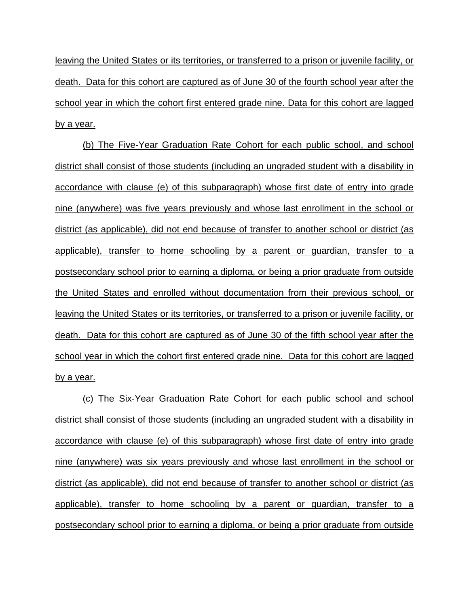leaving the United States or its territories, or transferred to a prison or juvenile facility, or death. Data for this cohort are captured as of June 30 of the fourth school year after the school year in which the cohort first entered grade nine. Data for this cohort are lagged by a year.

(b) The Five-Year Graduation Rate Cohort for each public school, and school district shall consist of those students (including an ungraded student with a disability in accordance with clause (e) of this subparagraph) whose first date of entry into grade nine (anywhere) was five years previously and whose last enrollment in the school or district (as applicable), did not end because of transfer to another school or district (as applicable), transfer to home schooling by a parent or guardian, transfer to a postsecondary school prior to earning a diploma, or being a prior graduate from outside the United States and enrolled without documentation from their previous school, or leaving the United States or its territories, or transferred to a prison or juvenile facility, or death. Data for this cohort are captured as of June 30 of the fifth school year after the school year in which the cohort first entered grade nine. Data for this cohort are lagged by a year.

(c) The Six-Year Graduation Rate Cohort for each public school and school district shall consist of those students (including an ungraded student with a disability in accordance with clause (e) of this subparagraph) whose first date of entry into grade nine (anywhere) was six years previously and whose last enrollment in the school or district (as applicable), did not end because of transfer to another school or district (as applicable), transfer to home schooling by a parent or guardian, transfer to a postsecondary school prior to earning a diploma, or being a prior graduate from outside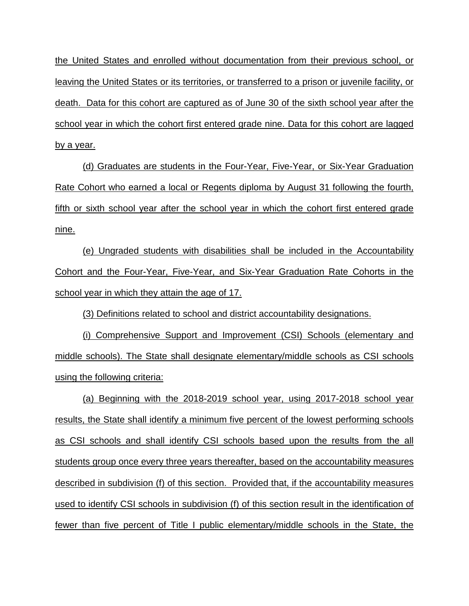the United States and enrolled without documentation from their previous school, or leaving the United States or its territories, or transferred to a prison or juvenile facility, or death. Data for this cohort are captured as of June 30 of the sixth school year after the school year in which the cohort first entered grade nine. Data for this cohort are lagged by a year.

(d) Graduates are students in the Four-Year, Five-Year, or Six-Year Graduation Rate Cohort who earned a local or Regents diploma by August 31 following the fourth, fifth or sixth school year after the school year in which the cohort first entered grade nine.

(e) Ungraded students with disabilities shall be included in the Accountability Cohort and the Four-Year, Five-Year, and Six-Year Graduation Rate Cohorts in the school year in which they attain the age of 17.

(3) Definitions related to school and district accountability designations.

(i) Comprehensive Support and Improvement (CSI) Schools (elementary and middle schools). The State shall designate elementary/middle schools as CSI schools using the following criteria:

(a) Beginning with the 2018-2019 school year, using 2017-2018 school year results, the State shall identify a minimum five percent of the lowest performing schools as CSI schools and shall identify CSI schools based upon the results from the all students group once every three years thereafter, based on the accountability measures described in subdivision (f) of this section. Provided that, if the accountability measures used to identify CSI schools in subdivision (f) of this section result in the identification of fewer than five percent of Title I public elementary/middle schools in the State, the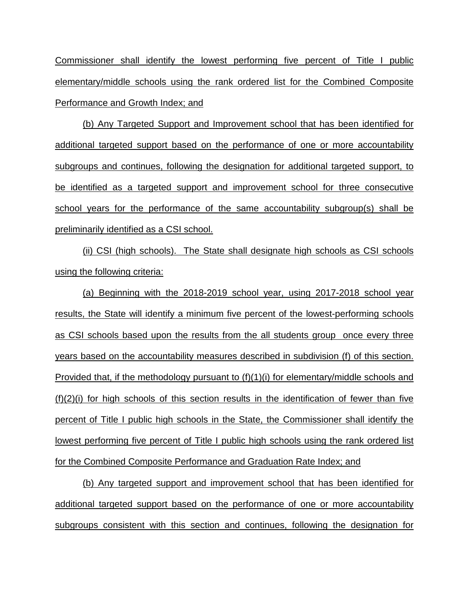Commissioner shall identify the lowest performing five percent of Title I public elementary/middle schools using the rank ordered list for the Combined Composite Performance and Growth Index; and

(b) Any Targeted Support and Improvement school that has been identified for additional targeted support based on the performance of one or more accountability subgroups and continues, following the designation for additional targeted support, to be identified as a targeted support and improvement school for three consecutive school years for the performance of the same accountability subgroup(s) shall be preliminarily identified as a CSI school.

(ii) CSI (high schools). The State shall designate high schools as CSI schools using the following criteria:

(a) Beginning with the 2018-2019 school year, using 2017-2018 school year results, the State will identify a minimum five percent of the lowest-performing schools as CSI schools based upon the results from the all students group once every three years based on the accountability measures described in subdivision (f) of this section. Provided that, if the methodology pursuant to (f)(1)(i) for elementary/middle schools and (f)(2)(i) for high schools of this section results in the identification of fewer than five percent of Title I public high schools in the State, the Commissioner shall identify the lowest performing five percent of Title I public high schools using the rank ordered list for the Combined Composite Performance and Graduation Rate Index; and

(b) Any targeted support and improvement school that has been identified for additional targeted support based on the performance of one or more accountability subgroups consistent with this section and continues, following the designation for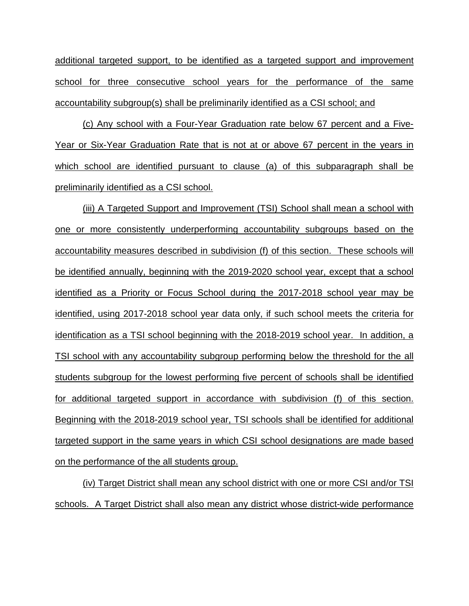additional targeted support, to be identified as a targeted support and improvement school for three consecutive school years for the performance of the same accountability subgroup(s) shall be preliminarily identified as a CSI school; and

(c) Any school with a Four-Year Graduation rate below 67 percent and a Five-Year or Six-Year Graduation Rate that is not at or above 67 percent in the years in which school are identified pursuant to clause (a) of this subparagraph shall be preliminarily identified as a CSI school.

(iii) A Targeted Support and Improvement (TSI) School shall mean a school with one or more consistently underperforming accountability subgroups based on the accountability measures described in subdivision (f) of this section. These schools will be identified annually, beginning with the 2019-2020 school year, except that a school identified as a Priority or Focus School during the 2017-2018 school year may be identified, using 2017-2018 school year data only, if such school meets the criteria for identification as a TSI school beginning with the 2018-2019 school year. In addition, a TSI school with any accountability subgroup performing below the threshold for the all students subgroup for the lowest performing five percent of schools shall be identified for additional targeted support in accordance with subdivision (f) of this section. Beginning with the 2018-2019 school year, TSI schools shall be identified for additional targeted support in the same years in which CSI school designations are made based on the performance of the all students group.

(iv) Target District shall mean any school district with one or more CSI and/or TSI schools. A Target District shall also mean any district whose district-wide performance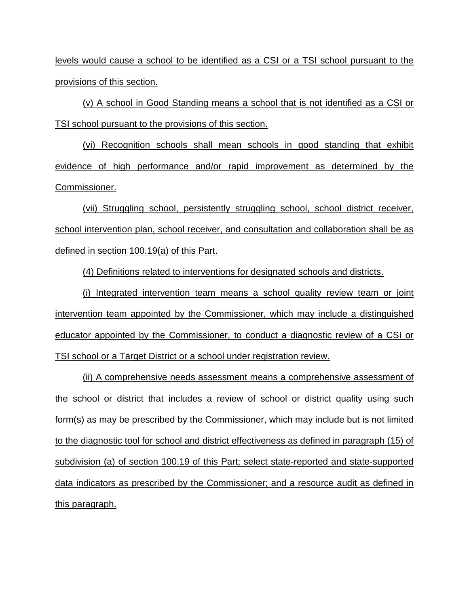levels would cause a school to be identified as a CSI or a TSI school pursuant to the provisions of this section.

(v) A school in Good Standing means a school that is not identified as a CSI or TSI school pursuant to the provisions of this section.

(vi) Recognition schools shall mean schools in good standing that exhibit evidence of high performance and/or rapid improvement as determined by the Commissioner.

(vii) Struggling school, persistently struggling school, school district receiver, school intervention plan, school receiver, and consultation and collaboration shall be as defined in section 100.19(a) of this Part.

(4) Definitions related to interventions for designated schools and districts.

(i) Integrated intervention team means a school quality review team or joint intervention team appointed by the Commissioner, which may include a distinguished educator appointed by the Commissioner, to conduct a diagnostic review of a CSI or TSI school or a Target District or a school under registration review.

(ii) A comprehensive needs assessment means a comprehensive assessment of the school or district that includes a review of school or district quality using such form(s) as may be prescribed by the Commissioner, which may include but is not limited to the diagnostic tool for school and district effectiveness as defined in paragraph (15) of subdivision (a) of section 100.19 of this Part; select state-reported and state-supported data indicators as prescribed by the Commissioner; and a resource audit as defined in this paragraph.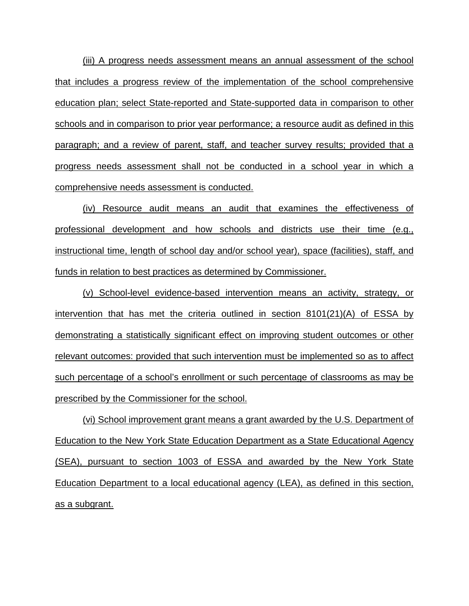(iii) A progress needs assessment means an annual assessment of the school that includes a progress review of the implementation of the school comprehensive education plan; select State-reported and State-supported data in comparison to other schools and in comparison to prior year performance; a resource audit as defined in this paragraph; and a review of parent, staff, and teacher survey results; provided that a progress needs assessment shall not be conducted in a school year in which a comprehensive needs assessment is conducted.

(iv) Resource audit means an audit that examines the effectiveness of professional development and how schools and districts use their time (e.g., instructional time, length of school day and/or school year), space (facilities), staff, and funds in relation to best practices as determined by Commissioner.

(v) School-level evidence-based intervention means an activity, strategy, or intervention that has met the criteria outlined in section 8101(21)(A) of ESSA by demonstrating a statistically significant effect on improving student outcomes or other relevant outcomes: provided that such intervention must be implemented so as to affect such percentage of a school's enrollment or such percentage of classrooms as may be prescribed by the Commissioner for the school.

(vi) School improvement grant means a grant awarded by the U.S. Department of Education to the New York State Education Department as a State Educational Agency (SEA), pursuant to section 1003 of ESSA and awarded by the New York State Education Department to a local educational agency (LEA), as defined in this section, as a subgrant.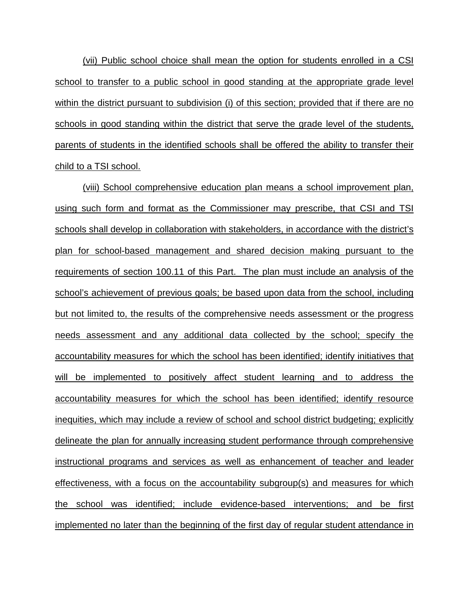(vii) Public school choice shall mean the option for students enrolled in a CSI school to transfer to a public school in good standing at the appropriate grade level within the district pursuant to subdivision (i) of this section; provided that if there are no schools in good standing within the district that serve the grade level of the students, parents of students in the identified schools shall be offered the ability to transfer their child to a TSI school.

(viii) School comprehensive education plan means a school improvement plan, using such form and format as the Commissioner may prescribe, that CSI and TSI schools shall develop in collaboration with stakeholders, in accordance with the district's plan for school-based management and shared decision making pursuant to the requirements of section 100.11 of this Part. The plan must include an analysis of the school's achievement of previous goals; be based upon data from the school, including but not limited to, the results of the comprehensive needs assessment or the progress needs assessment and any additional data collected by the school; specify the accountability measures for which the school has been identified; identify initiatives that will be implemented to positively affect student learning and to address the accountability measures for which the school has been identified; identify resource inequities, which may include a review of school and school district budgeting; explicitly delineate the plan for annually increasing student performance through comprehensive instructional programs and services as well as enhancement of teacher and leader effectiveness, with a focus on the accountability subgroup(s) and measures for which the school was identified; include evidence-based interventions; and be first implemented no later than the beginning of the first day of regular student attendance in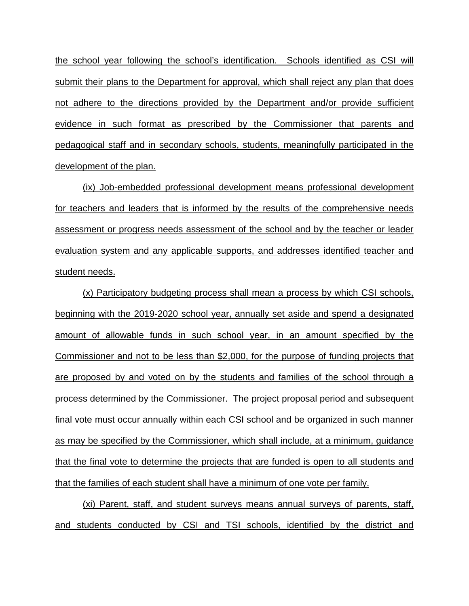the school year following the school's identification. Schools identified as CSI will submit their plans to the Department for approval, which shall reject any plan that does not adhere to the directions provided by the Department and/or provide sufficient evidence in such format as prescribed by the Commissioner that parents and pedagogical staff and in secondary schools, students, meaningfully participated in the development of the plan.

(ix) Job-embedded professional development means professional development for teachers and leaders that is informed by the results of the comprehensive needs assessment or progress needs assessment of the school and by the teacher or leader evaluation system and any applicable supports, and addresses identified teacher and student needs.

(x) Participatory budgeting process shall mean a process by which CSI schools, beginning with the 2019-2020 school year, annually set aside and spend a designated amount of allowable funds in such school year, in an amount specified by the Commissioner and not to be less than \$2,000, for the purpose of funding projects that are proposed by and voted on by the students and families of the school through a process determined by the Commissioner. The project proposal period and subsequent final vote must occur annually within each CSI school and be organized in such manner as may be specified by the Commissioner, which shall include, at a minimum, guidance that the final vote to determine the projects that are funded is open to all students and that the families of each student shall have a minimum of one vote per family.

(xi) Parent, staff, and student surveys means annual surveys of parents, staff, and students conducted by CSI and TSI schools, identified by the district and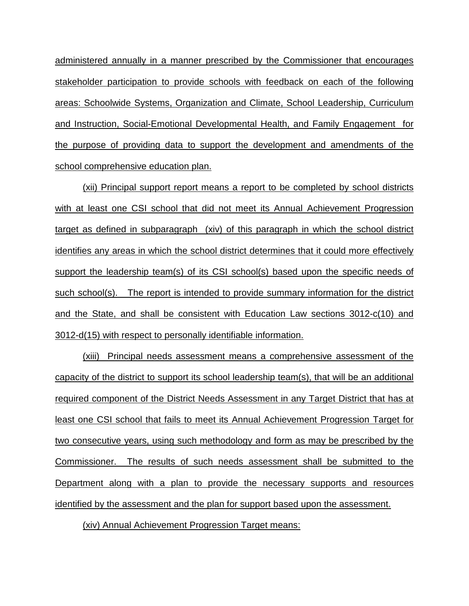administered annually in a manner prescribed by the Commissioner that encourages stakeholder participation to provide schools with feedback on each of the following areas: Schoolwide Systems, Organization and Climate, School Leadership, Curriculum and Instruction, Social-Emotional Developmental Health, and Family Engagement for the purpose of providing data to support the development and amendments of the school comprehensive education plan.

(xii) Principal support report means a report to be completed by school districts with at least one CSI school that did not meet its Annual Achievement Progression target as defined in subparagraph (xiv) of this paragraph in which the school district identifies any areas in which the school district determines that it could more effectively support the leadership team(s) of its CSI school(s) based upon the specific needs of such school(s). The report is intended to provide summary information for the district and the State, and shall be consistent with Education Law sections 3012-c(10) and 3012-d(15) with respect to personally identifiable information.

(xiii) Principal needs assessment means a comprehensive assessment of the capacity of the district to support its school leadership team(s), that will be an additional required component of the District Needs Assessment in any Target District that has at least one CSI school that fails to meet its Annual Achievement Progression Target for two consecutive years, using such methodology and form as may be prescribed by the Commissioner. The results of such needs assessment shall be submitted to the Department along with a plan to provide the necessary supports and resources identified by the assessment and the plan for support based upon the assessment.

(xiv) Annual Achievement Progression Target means: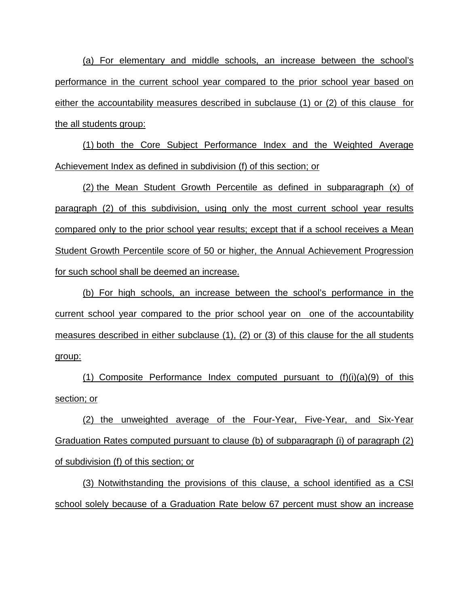(a) For elementary and middle schools, an increase between the school's performance in the current school year compared to the prior school year based on either the accountability measures described in subclause (1) or (2) of this clause for the all students group:

(1) both the Core Subject Performance Index and the Weighted Average Achievement Index as defined in subdivision (f) of this section; or

(2) the Mean Student Growth Percentile as defined in subparagraph (x) of paragraph (2) of this subdivision, using only the most current school year results compared only to the prior school year results; except that if a school receives a Mean Student Growth Percentile score of 50 or higher, the Annual Achievement Progression for such school shall be deemed an increase.

(b) For high schools, an increase between the school's performance in the current school year compared to the prior school year on one of the accountability measures described in either subclause (1), (2) or (3) of this clause for the all students group:

(1) Composite Performance Index computed pursuant to  $(f)(i)(a)(9)$  of this section; or

(2) the unweighted average of the Four-Year, Five-Year, and Six-Year Graduation Rates computed pursuant to clause (b) of subparagraph (i) of paragraph (2) of subdivision (f) of this section; or

(3) Notwithstanding the provisions of this clause, a school identified as a CSI school solely because of a Graduation Rate below 67 percent must show an increase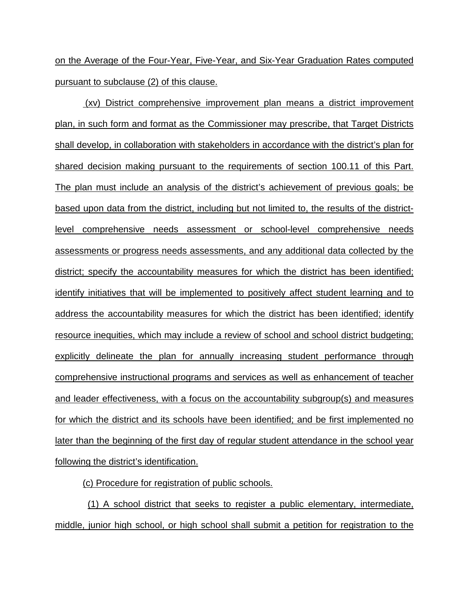on the Average of the Four-Year, Five-Year, and Six-Year Graduation Rates computed pursuant to subclause (2) of this clause.

(xv) District comprehensive improvement plan means a district improvement plan, in such form and format as the Commissioner may prescribe, that Target Districts shall develop, in collaboration with stakeholders in accordance with the district's plan for shared decision making pursuant to the requirements of section 100.11 of this Part. The plan must include an analysis of the district's achievement of previous goals; be based upon data from the district, including but not limited to, the results of the districtlevel comprehensive needs assessment or school-level comprehensive needs assessments or progress needs assessments, and any additional data collected by the district; specify the accountability measures for which the district has been identified; identify initiatives that will be implemented to positively affect student learning and to address the accountability measures for which the district has been identified; identify resource inequities, which may include a review of school and school district budgeting; explicitly delineate the plan for annually increasing student performance through comprehensive instructional programs and services as well as enhancement of teacher and leader effectiveness, with a focus on the accountability subgroup(s) and measures for which the district and its schools have been identified; and be first implemented no later than the beginning of the first day of regular student attendance in the school year following the district's identification.

(c) Procedure for registration of public schools.

 (1) A school district that seeks to register a public elementary, intermediate, middle, junior high school, or high school shall submit a petition for registration to the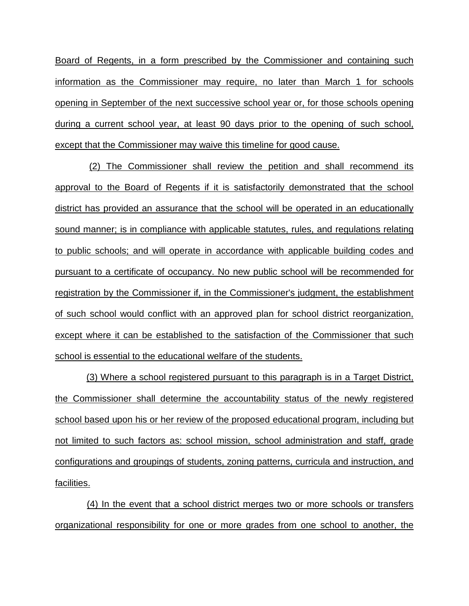Board of Regents, in a form prescribed by the Commissioner and containing such information as the Commissioner may require, no later than March 1 for schools opening in September of the next successive school year or, for those schools opening during a current school year, at least 90 days prior to the opening of such school, except that the Commissioner may waive this timeline for good cause.

 (2) The Commissioner shall review the petition and shall recommend its approval to the Board of Regents if it is satisfactorily demonstrated that the school district has provided an assurance that the school will be operated in an educationally sound manner; is in compliance with applicable statutes, rules, and regulations relating to public schools; and will operate in accordance with applicable building codes and pursuant to a certificate of occupancy. No new public school will be recommended for registration by the Commissioner if, in the Commissioner's judgment, the establishment of such school would conflict with an approved plan for school district reorganization, except where it can be established to the satisfaction of the Commissioner that such school is essential to the educational welfare of the students.

 (3) Where a school registered pursuant to this paragraph is in a Target District, the Commissioner shall determine the accountability status of the newly registered school based upon his or her review of the proposed educational program, including but not limited to such factors as: school mission, school administration and staff, grade configurations and groupings of students, zoning patterns, curricula and instruction, and facilities.

 (4) In the event that a school district merges two or more schools or transfers organizational responsibility for one or more grades from one school to another, the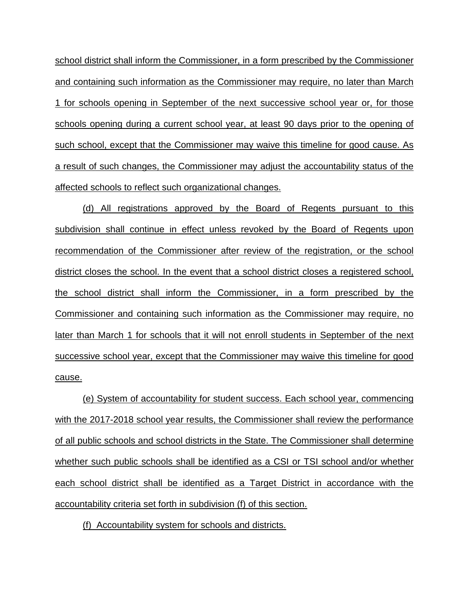school district shall inform the Commissioner, in a form prescribed by the Commissioner and containing such information as the Commissioner may require, no later than March 1 for schools opening in September of the next successive school year or, for those schools opening during a current school year, at least 90 days prior to the opening of such school, except that the Commissioner may waive this timeline for good cause. As a result of such changes, the Commissioner may adjust the accountability status of the affected schools to reflect such organizational changes.

(d) All registrations approved by the Board of Regents pursuant to this subdivision shall continue in effect unless revoked by the Board of Regents upon recommendation of the Commissioner after review of the registration, or the school district closes the school. In the event that a school district closes a registered school, the school district shall inform the Commissioner, in a form prescribed by the Commissioner and containing such information as the Commissioner may require, no later than March 1 for schools that it will not enroll students in September of the next successive school year, except that the Commissioner may waive this timeline for good cause.

(e) System of accountability for student success. Each school year, commencing with the 2017-2018 school year results, the Commissioner shall review the performance of all public schools and school districts in the State. The Commissioner shall determine whether such public schools shall be identified as a CSI or TSI school and/or whether each school district shall be identified as a Target District in accordance with the accountability criteria set forth in subdivision (f) of this section.

(f) Accountability system for schools and districts.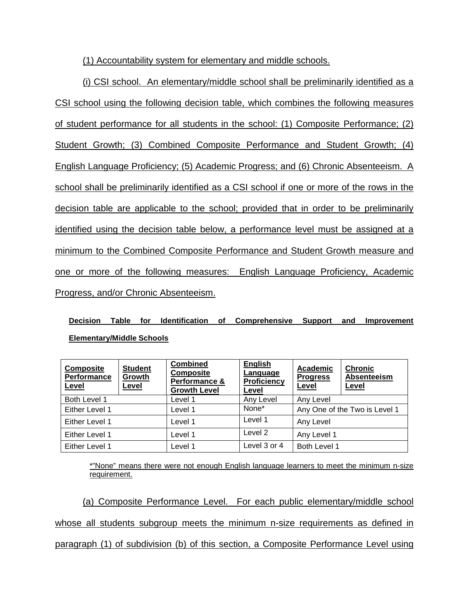(1) Accountability system for elementary and middle schools.

(i) CSI school. An elementary/middle school shall be preliminarily identified as a CSI school using the following decision table, which combines the following measures of student performance for all students in the school: (1) Composite Performance; (2) Student Growth; (3) Combined Composite Performance and Student Growth; (4) English Language Proficiency; (5) Academic Progress; and (6) Chronic Absenteeism. A school shall be preliminarily identified as a CSI school if one or more of the rows in the decision table are applicable to the school; provided that in order to be preliminarily identified using the decision table below, a performance level must be assigned at a minimum to the Combined Composite Performance and Student Growth measure and one or more of the following measures: English Language Proficiency, Academic Progress, and/or Chronic Absenteeism.

**Decision Table for Identification of Comprehensive Support and Improvement Elementary/Middle Schools**

| <b>Composite</b><br><b>Performance</b><br>Level | <b>Student</b><br>Growth<br>Level | <b>Combined</b><br><b>Composite</b><br>Performance &<br><b>Growth Level</b> | <b>English</b><br>Language<br><b>Proficiency</b><br>Level | <b>Academic</b><br><b>Progress</b><br>Level | <b>Chronic</b><br>Absenteeism<br>Level |
|-------------------------------------------------|-----------------------------------|-----------------------------------------------------------------------------|-----------------------------------------------------------|---------------------------------------------|----------------------------------------|
| Both Level 1                                    |                                   | Level 1                                                                     | Any Level                                                 | Any Level                                   |                                        |
| Either Level 1                                  |                                   | Level 1                                                                     | None*                                                     | Any One of the Two is Level 1               |                                        |
| Either Level 1                                  |                                   | Level 1                                                                     | Level 1                                                   | Any Level                                   |                                        |
| Either Level 1                                  |                                   | Level 1                                                                     | Level 2                                                   | Any Level 1                                 |                                        |
| Either Level 1                                  |                                   | Level 1                                                                     | Level 3 or 4                                              | Both Level 1                                |                                        |

\*"None" means there were not enough English language learners to meet the minimum n-size requirement.

(a) Composite Performance Level. For each public elementary/middle school whose all students subgroup meets the minimum n-size requirements as defined in paragraph (1) of subdivision (b) of this section, a Composite Performance Level using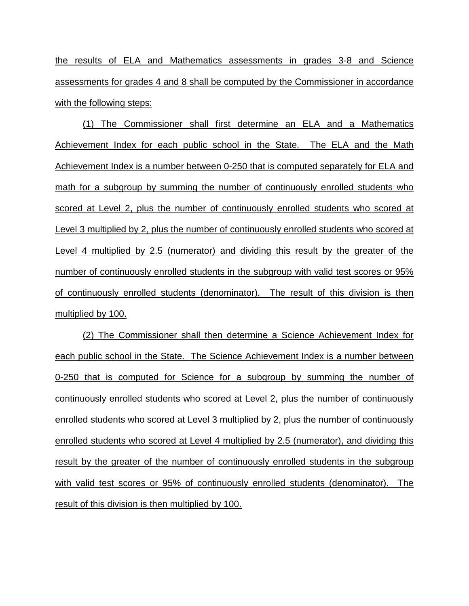the results of ELA and Mathematics assessments in grades 3-8 and Science assessments for grades 4 and 8 shall be computed by the Commissioner in accordance with the following steps:

(1) The Commissioner shall first determine an ELA and a Mathematics Achievement Index for each public school in the State. The ELA and the Math Achievement Index is a number between 0-250 that is computed separately for ELA and math for a subgroup by summing the number of continuously enrolled students who scored at Level 2, plus the number of continuously enrolled students who scored at Level 3 multiplied by 2, plus the number of continuously enrolled students who scored at Level 4 multiplied by 2.5 (numerator) and dividing this result by the greater of the number of continuously enrolled students in the subgroup with valid test scores or 95% of continuously enrolled students (denominator). The result of this division is then multiplied by 100.

(2) The Commissioner shall then determine a Science Achievement Index for each public school in the State. The Science Achievement Index is a number between 0-250 that is computed for Science for a subgroup by summing the number of continuously enrolled students who scored at Level 2, plus the number of continuously enrolled students who scored at Level 3 multiplied by 2, plus the number of continuously enrolled students who scored at Level 4 multiplied by 2.5 (numerator), and dividing this result by the greater of the number of continuously enrolled students in the subgroup with valid test scores or 95% of continuously enrolled students (denominator). The result of this division is then multiplied by 100.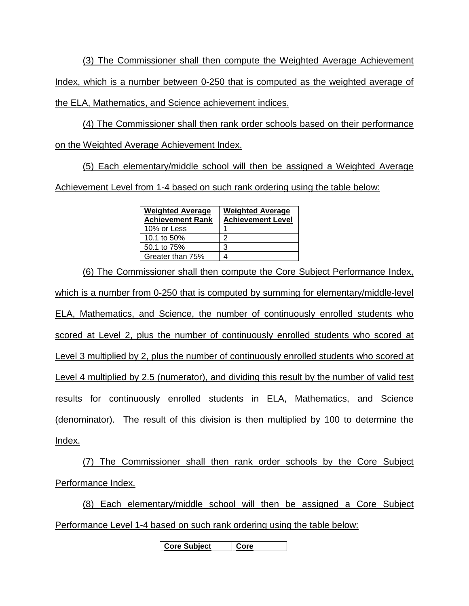(3) The Commissioner shall then compute the Weighted Average Achievement Index, which is a number between 0-250 that is computed as the weighted average of

the ELA, Mathematics, and Science achievement indices.

(4) The Commissioner shall then rank order schools based on their performance on the Weighted Average Achievement Index.

(5) Each elementary/middle school will then be assigned a Weighted Average Achievement Level from 1-4 based on such rank ordering using the table below:

| <b>Weighted Average</b><br><b>Achievement Rank</b> | <b>Weighted Average</b><br><b>Achievement Level</b> |  |  |
|----------------------------------------------------|-----------------------------------------------------|--|--|
| 10% or Less                                        |                                                     |  |  |
| 10.1 to 50%                                        |                                                     |  |  |
| 50.1 to 75%                                        | 3                                                   |  |  |
| Greater than 75%                                   |                                                     |  |  |

(6) The Commissioner shall then compute the Core Subject Performance Index, which is a number from 0-250 that is computed by summing for elementary/middle-level ELA, Mathematics, and Science, the number of continuously enrolled students who scored at Level 2, plus the number of continuously enrolled students who scored at Level 3 multiplied by 2, plus the number of continuously enrolled students who scored at Level 4 multiplied by 2.5 (numerator), and dividing this result by the number of valid test results for continuously enrolled students in ELA, Mathematics, and Science (denominator). The result of this division is then multiplied by 100 to determine the Index.

(7) The Commissioner shall then rank order schools by the Core Subject Performance Index.

(8) Each elementary/middle school will then be assigned a Core Subject Performance Level 1-4 based on such rank ordering using the table below:

**Core Subject Core**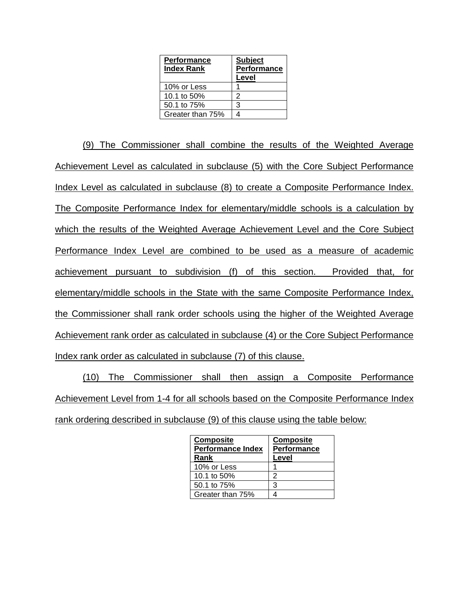| <b>Performance</b><br><b>Index Rank</b> | <b>Subject</b><br><b>Performance</b><br>Level |
|-----------------------------------------|-----------------------------------------------|
| 10% or Less                             |                                               |
| 10.1 to 50%                             | 2                                             |
| 50.1 to 75%                             | 3                                             |
| Greater than 75%                        |                                               |

(9) The Commissioner shall combine the results of the Weighted Average Achievement Level as calculated in subclause (5) with the Core Subject Performance Index Level as calculated in subclause (8) to create a Composite Performance Index. The Composite Performance Index for elementary/middle schools is a calculation by which the results of the Weighted Average Achievement Level and the Core Subject Performance Index Level are combined to be used as a measure of academic achievement pursuant to subdivision (f) of this section. Provided that, for elementary/middle schools in the State with the same Composite Performance Index, the Commissioner shall rank order schools using the higher of the Weighted Average Achievement rank order as calculated in subclause (4) or the Core Subject Performance Index rank order as calculated in subclause (7) of this clause.

(10) The Commissioner shall then assign a Composite Performance Achievement Level from 1-4 for all schools based on the Composite Performance Index rank ordering described in subclause (9) of this clause using the table below:

| <b>Composite</b><br><b>Performance Index</b> | <b>Composite</b><br>Performance |  |
|----------------------------------------------|---------------------------------|--|
| Rank                                         | Level                           |  |
| 10% or Less                                  |                                 |  |
| 10.1 to 50%                                  | 2                               |  |
| 50.1 to 75%                                  | 3                               |  |
| Greater than 75%                             |                                 |  |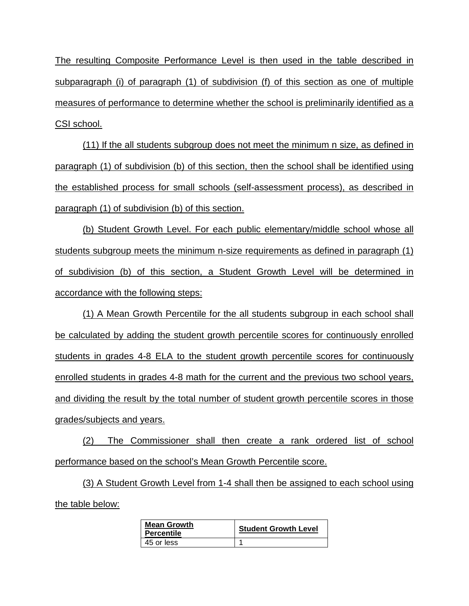The resulting Composite Performance Level is then used in the table described in subparagraph (i) of paragraph (1) of subdivision (f) of this section as one of multiple measures of performance to determine whether the school is preliminarily identified as a CSI school.

(11) If the all students subgroup does not meet the minimum n size, as defined in paragraph (1) of subdivision (b) of this section, then the school shall be identified using the established process for small schools (self-assessment process), as described in paragraph (1) of subdivision (b) of this section.

(b) Student Growth Level. For each public elementary/middle school whose all students subgroup meets the minimum n-size requirements as defined in paragraph (1) of subdivision (b) of this section, a Student Growth Level will be determined in accordance with the following steps:

(1) A Mean Growth Percentile for the all students subgroup in each school shall be calculated by adding the student growth percentile scores for continuously enrolled students in grades 4-8 ELA to the student growth percentile scores for continuously enrolled students in grades 4-8 math for the current and the previous two school years, and dividing the result by the total number of student growth percentile scores in those grades/subjects and years.

(2) The Commissioner shall then create a rank ordered list of school performance based on the school's Mean Growth Percentile score.

(3) A Student Growth Level from 1-4 shall then be assigned to each school using the table below:

| <b>Mean Growth</b><br><b>Percentile</b> | <b>Student Growth Level</b> |  |
|-----------------------------------------|-----------------------------|--|
| 45 or less                              |                             |  |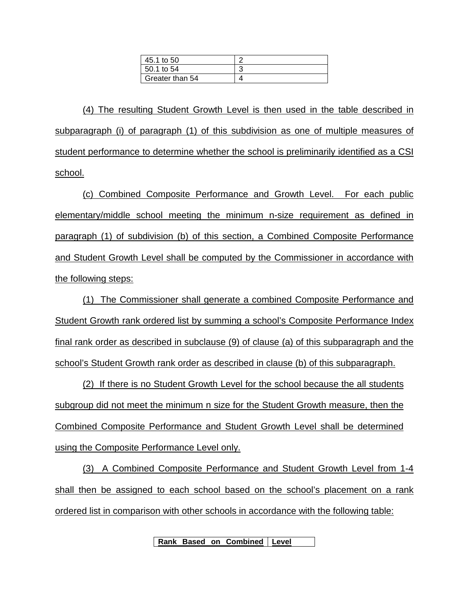| 45.1 to 50      |  |
|-----------------|--|
| 50.1 to 54      |  |
| Greater than 54 |  |

(4) The resulting Student Growth Level is then used in the table described in subparagraph (i) of paragraph (1) of this subdivision as one of multiple measures of student performance to determine whether the school is preliminarily identified as a CSI school.

(c) Combined Composite Performance and Growth Level. For each public elementary/middle school meeting the minimum n-size requirement as defined in paragraph (1) of subdivision (b) of this section, a Combined Composite Performance and Student Growth Level shall be computed by the Commissioner in accordance with the following steps:

(1) The Commissioner shall generate a combined Composite Performance and Student Growth rank ordered list by summing a school's Composite Performance Index final rank order as described in subclause (9) of clause (a) of this subparagraph and the school's Student Growth rank order as described in clause (b) of this subparagraph.

(2) If there is no Student Growth Level for the school because the all students subgroup did not meet the minimum n size for the Student Growth measure, then the Combined Composite Performance and Student Growth Level shall be determined using the Composite Performance Level only.

(3) A Combined Composite Performance and Student Growth Level from 1-4 shall then be assigned to each school based on the school's placement on a rank ordered list in comparison with other schools in accordance with the following table:

**Rank Based on Combined Level**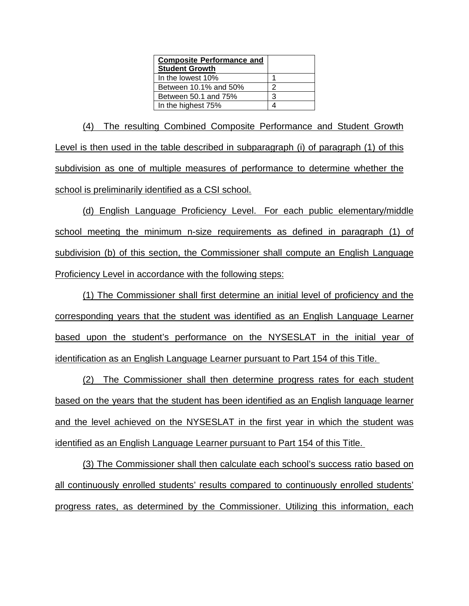| <b>Composite Performance and</b> |   |
|----------------------------------|---|
| <b>Student Growth</b>            |   |
| In the lowest 10%                |   |
| Between 10.1% and 50%            | 2 |
| Between 50.1 and 75%             | 3 |
| In the highest 75%               |   |

(4) The resulting Combined Composite Performance and Student Growth Level is then used in the table described in subparagraph (i) of paragraph (1) of this subdivision as one of multiple measures of performance to determine whether the school is preliminarily identified as a CSI school.

(d) English Language Proficiency Level. For each public elementary/middle school meeting the minimum n-size requirements as defined in paragraph (1) of subdivision (b) of this section, the Commissioner shall compute an English Language Proficiency Level in accordance with the following steps:

(1) The Commissioner shall first determine an initial level of proficiency and the corresponding years that the student was identified as an English Language Learner based upon the student's performance on the NYSESLAT in the initial year of identification as an English Language Learner pursuant to Part 154 of this Title.

(2) The Commissioner shall then determine progress rates for each student based on the years that the student has been identified as an English language learner and the level achieved on the NYSESLAT in the first year in which the student was identified as an English Language Learner pursuant to Part 154 of this Title.

(3) The Commissioner shall then calculate each school's success ratio based on all continuously enrolled students' results compared to continuously enrolled students' progress rates, as determined by the Commissioner. Utilizing this information, each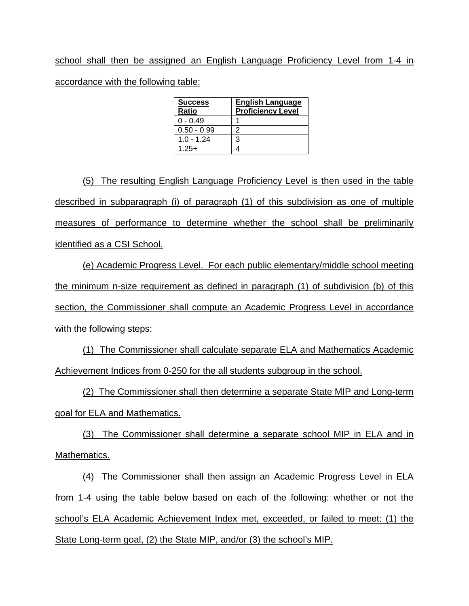school shall then be assigned an English Language Proficiency Level from 1-4 in accordance with the following table:

| <b>Success</b><br>Ratio | <b>English Language</b><br><b>Proficiency Level</b> |
|-------------------------|-----------------------------------------------------|
| $0 - 0.49$              |                                                     |
| $0.50 - 0.99$           | 2                                                   |
| $1.0 - 1.24$            | 3                                                   |
| $1.25+$                 |                                                     |

(5) The resulting English Language Proficiency Level is then used in the table described in subparagraph (i) of paragraph (1) of this subdivision as one of multiple measures of performance to determine whether the school shall be preliminarily identified as a CSI School.

(e) Academic Progress Level. For each public elementary/middle school meeting the minimum n-size requirement as defined in paragraph (1) of subdivision (b) of this section, the Commissioner shall compute an Academic Progress Level in accordance with the following steps:

(1) The Commissioner shall calculate separate ELA and Mathematics Academic Achievement Indices from 0-250 for the all students subgroup in the school.

(2) The Commissioner shall then determine a separate State MIP and Long-term goal for ELA and Mathematics.

(3) The Commissioner shall determine a separate school MIP in ELA and in Mathematics.

(4) The Commissioner shall then assign an Academic Progress Level in ELA from 1-4 using the table below based on each of the following: whether or not the school's ELA Academic Achievement Index met, exceeded, or failed to meet: (1) the State Long-term goal, (2) the State MIP, and/or (3) the school's MIP.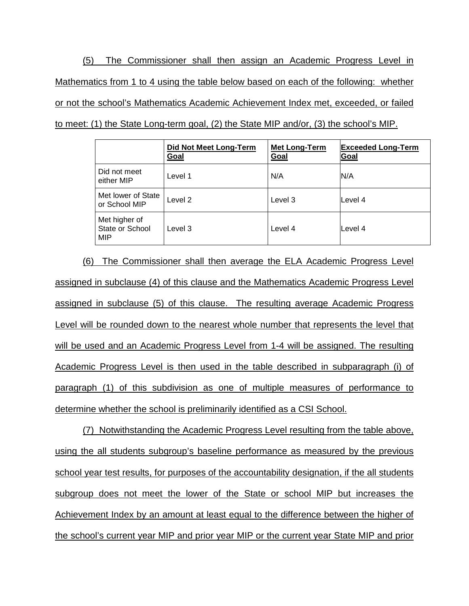(5) The Commissioner shall then assign an Academic Progress Level in Mathematics from 1 to 4 using the table below based on each of the following: whether or not the school's Mathematics Academic Achievement Index met, exceeded, or failed to meet: (1) the State Long-term goal, (2) the State MIP and/or, (3) the school's MIP.

|                                         | Did Not Meet Long-Term<br>Goal | <b>Met Long-Term</b><br>Goal | <b>Exceeded Long-Term</b><br>Goal |
|-----------------------------------------|--------------------------------|------------------------------|-----------------------------------|
| Did not meet<br>either MIP              | Level 1                        | N/A                          | N/A                               |
| Met lower of State<br>or School MIP     | Level 2                        | Level 3                      | lLevel 4                          |
| Met higher of<br>State or School<br>MIP | Level 3                        | Level 4                      | lLevel 4                          |

(6) The Commissioner shall then average the ELA Academic Progress Level assigned in subclause (4) of this clause and the Mathematics Academic Progress Level assigned in subclause (5) of this clause. The resulting average Academic Progress Level will be rounded down to the nearest whole number that represents the level that will be used and an Academic Progress Level from 1-4 will be assigned. The resulting Academic Progress Level is then used in the table described in subparagraph (i) of paragraph (1) of this subdivision as one of multiple measures of performance to determine whether the school is preliminarily identified as a CSI School.

(7) Notwithstanding the Academic Progress Level resulting from the table above, using the all students subgroup's baseline performance as measured by the previous school year test results, for purposes of the accountability designation, if the all students subgroup does not meet the lower of the State or school MIP but increases the Achievement Index by an amount at least equal to the difference between the higher of the school's current year MIP and prior year MIP or the current year State MIP and prior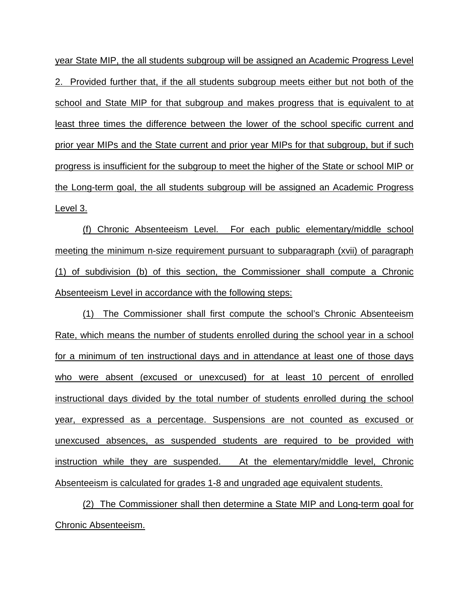year State MIP, the all students subgroup will be assigned an Academic Progress Level 2. Provided further that, if the all students subgroup meets either but not both of the school and State MIP for that subgroup and makes progress that is equivalent to at least three times the difference between the lower of the school specific current and prior year MIPs and the State current and prior year MIPs for that subgroup, but if such progress is insufficient for the subgroup to meet the higher of the State or school MIP or the Long-term goal, the all students subgroup will be assigned an Academic Progress Level 3.

(f) Chronic Absenteeism Level. For each public elementary/middle school meeting the minimum n-size requirement pursuant to subparagraph (xvii) of paragraph (1) of subdivision (b) of this section, the Commissioner shall compute a Chronic Absenteeism Level in accordance with the following steps:

(1) The Commissioner shall first compute the school's Chronic Absenteeism Rate, which means the number of students enrolled during the school year in a school for a minimum of ten instructional days and in attendance at least one of those days who were absent (excused or unexcused) for at least 10 percent of enrolled instructional days divided by the total number of students enrolled during the school year, expressed as a percentage. Suspensions are not counted as excused or unexcused absences, as suspended students are required to be provided with instruction while they are suspended. At the elementary/middle level, Chronic Absenteeism is calculated for grades 1-8 and ungraded age equivalent students.

(2) The Commissioner shall then determine a State MIP and Long-term goal for Chronic Absenteeism.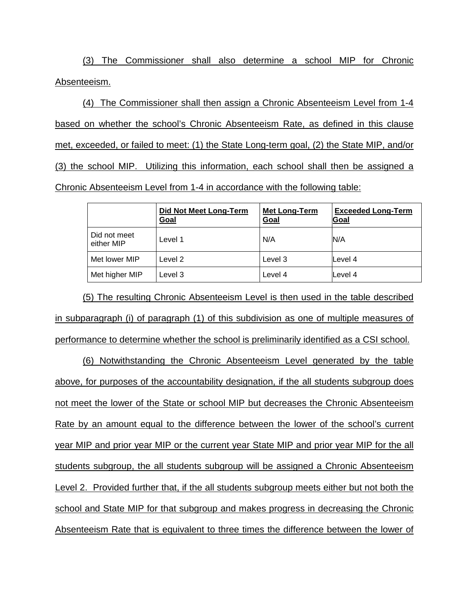(3) The Commissioner shall also determine a school MIP for Chronic Absenteeism.

(4) The Commissioner shall then assign a Chronic Absenteeism Level from 1-4 based on whether the school's Chronic Absenteeism Rate, as defined in this clause met, exceeded, or failed to meet: (1) the State Long-term goal, (2) the State MIP, and/or (3) the school MIP. Utilizing this information, each school shall then be assigned a Chronic Absenteeism Level from 1-4 in accordance with the following table:

|                            | <b>Did Not Meet Long-Term</b><br><u>Goal</u> | <b>Met Long-Term</b><br>Goal | <b>Exceeded Long-Term</b><br>Goal |
|----------------------------|----------------------------------------------|------------------------------|-----------------------------------|
| Did not meet<br>either MIP | Level 1                                      | N/A                          | N/A                               |
| Met lower MIP              | Level 2                                      | Level 3                      | Level 4                           |
| Met higher MIP             | Level 3                                      | Level 4                      | Level 4                           |

(5) The resulting Chronic Absenteeism Level is then used in the table described in subparagraph (i) of paragraph (1) of this subdivision as one of multiple measures of performance to determine whether the school is preliminarily identified as a CSI school.

(6) Notwithstanding the Chronic Absenteeism Level generated by the table above, for purposes of the accountability designation, if the all students subgroup does not meet the lower of the State or school MIP but decreases the Chronic Absenteeism Rate by an amount equal to the difference between the lower of the school's current year MIP and prior year MIP or the current year State MIP and prior year MIP for the all students subgroup, the all students subgroup will be assigned a Chronic Absenteeism Level 2. Provided further that, if the all students subgroup meets either but not both the school and State MIP for that subgroup and makes progress in decreasing the Chronic Absenteeism Rate that is equivalent to three times the difference between the lower of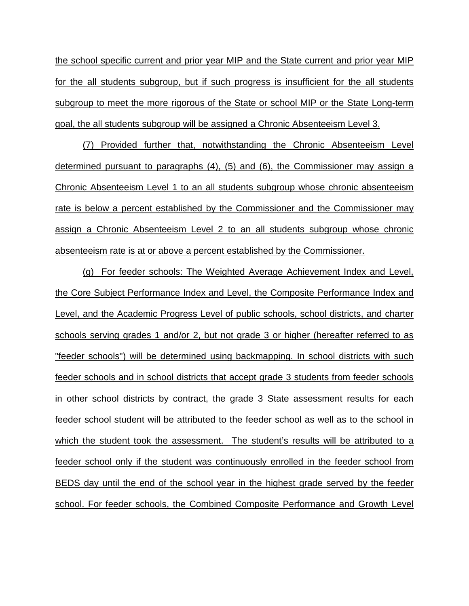the school specific current and prior year MIP and the State current and prior year MIP for the all students subgroup, but if such progress is insufficient for the all students subgroup to meet the more rigorous of the State or school MIP or the State Long-term goal, the all students subgroup will be assigned a Chronic Absenteeism Level 3.

(7) Provided further that, notwithstanding the Chronic Absenteeism Level determined pursuant to paragraphs (4), (5) and (6), the Commissioner may assign a Chronic Absenteeism Level 1 to an all students subgroup whose chronic absenteeism rate is below a percent established by the Commissioner and the Commissioner may assign a Chronic Absenteeism Level 2 to an all students subgroup whose chronic absenteeism rate is at or above a percent established by the Commissioner.

(g) For feeder schools: The Weighted Average Achievement Index and Level, the Core Subject Performance Index and Level, the Composite Performance Index and Level, and the Academic Progress Level of public schools, school districts, and charter schools serving grades 1 and/or 2, but not grade 3 or higher (hereafter referred to as "feeder schools") will be determined using backmapping. In school districts with such feeder schools and in school districts that accept grade 3 students from feeder schools in other school districts by contract, the grade 3 State assessment results for each feeder school student will be attributed to the feeder school as well as to the school in which the student took the assessment. The student's results will be attributed to a feeder school only if the student was continuously enrolled in the feeder school from BEDS day until the end of the school year in the highest grade served by the feeder school. For feeder schools, the Combined Composite Performance and Growth Level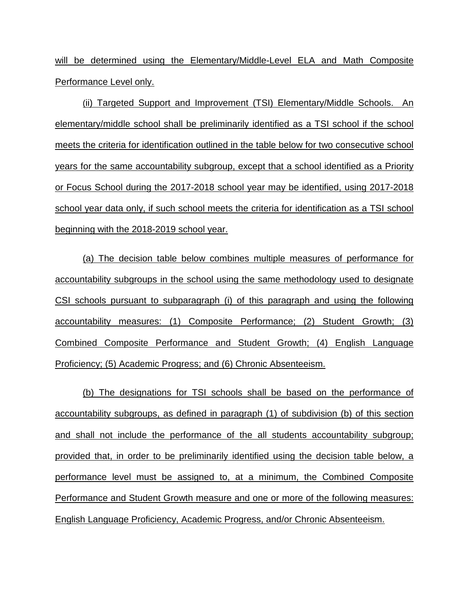will be determined using the Elementary/Middle-Level ELA and Math Composite Performance Level only.

(ii) Targeted Support and Improvement (TSI) Elementary/Middle Schools. An elementary/middle school shall be preliminarily identified as a TSI school if the school meets the criteria for identification outlined in the table below for two consecutive school years for the same accountability subgroup, except that a school identified as a Priority or Focus School during the 2017-2018 school year may be identified, using 2017-2018 school year data only, if such school meets the criteria for identification as a TSI school beginning with the 2018-2019 school year.

(a) The decision table below combines multiple measures of performance for accountability subgroups in the school using the same methodology used to designate CSI schools pursuant to subparagraph (i) of this paragraph and using the following accountability measures: (1) Composite Performance; (2) Student Growth; (3) Combined Composite Performance and Student Growth; (4) English Language Proficiency; (5) Academic Progress; and (6) Chronic Absenteeism.

(b) The designations for TSI schools shall be based on the performance of accountability subgroups, as defined in paragraph (1) of subdivision (b) of this section and shall not include the performance of the all students accountability subgroup; provided that, in order to be preliminarily identified using the decision table below, a performance level must be assigned to, at a minimum, the Combined Composite Performance and Student Growth measure and one or more of the following measures: English Language Proficiency, Academic Progress, and/or Chronic Absenteeism.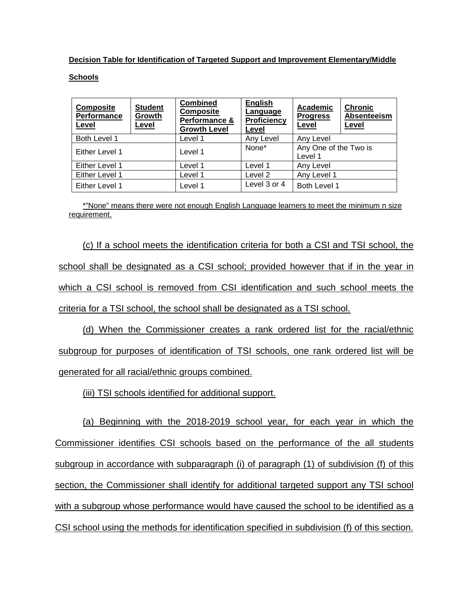**Decision Table for Identification of Targeted Support and Improvement Elementary/Middle** 

## **Schools**

| <b>Composite</b><br><b>Performance</b><br>Level | <b>Student</b><br>Growth<br>Level | <b>Combined</b><br><b>Composite</b><br>Performance &<br><b>Growth Level</b> | English<br>Language<br><b>Proficiency</b><br>Level | Academic<br><b>Progress</b><br>Level | <b>Chronic</b><br>Absenteeism<br>Level |
|-------------------------------------------------|-----------------------------------|-----------------------------------------------------------------------------|----------------------------------------------------|--------------------------------------|----------------------------------------|
| Both Level 1                                    |                                   | Level 1                                                                     | Any Level                                          | Any Level                            |                                        |
| Either Level 1                                  |                                   | Level 1                                                                     | None*                                              | Any One of the Two is<br>Level 1     |                                        |
| Either Level 1                                  |                                   | Level 1                                                                     | Level 1                                            | Any Level                            |                                        |
| Either Level 1                                  |                                   | Level 1                                                                     | Level 2                                            | Any Level 1                          |                                        |
| Either Level 1                                  |                                   | Level 1                                                                     | Level 3 or 4                                       | Both Level 1                         |                                        |

\*"None" means there were not enough English Language learners to meet the minimum n size requirement.

(c) If a school meets the identification criteria for both a CSI and TSI school, the school shall be designated as a CSI school; provided however that if in the year in which a CSI school is removed from CSI identification and such school meets the criteria for a TSI school, the school shall be designated as a TSI school.

(d) When the Commissioner creates a rank ordered list for the racial/ethnic subgroup for purposes of identification of TSI schools, one rank ordered list will be generated for all racial/ethnic groups combined.

(iii) TSI schools identified for additional support.

(a) Beginning with the 2018-2019 school year, for each year in which the Commissioner identifies CSI schools based on the performance of the all students subgroup in accordance with subparagraph (i) of paragraph (1) of subdivision (f) of this section, the Commissioner shall identify for additional targeted support any TSI school with a subgroup whose performance would have caused the school to be identified as a CSI school using the methods for identification specified in subdivision (f) of this section.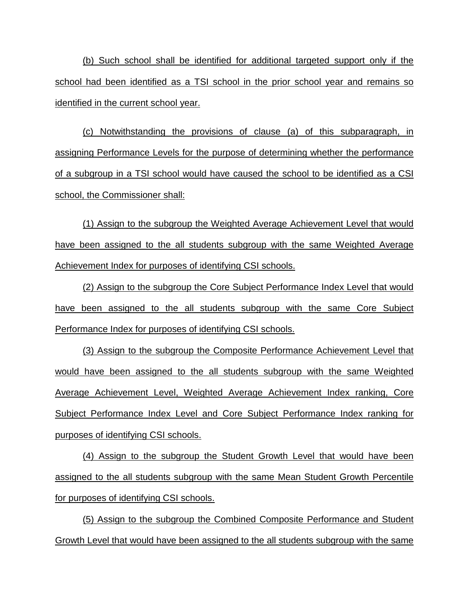(b) Such school shall be identified for additional targeted support only if the school had been identified as a TSI school in the prior school year and remains so identified in the current school year.

(c) Notwithstanding the provisions of clause (a) of this subparagraph, in assigning Performance Levels for the purpose of determining whether the performance of a subgroup in a TSI school would have caused the school to be identified as a CSI school, the Commissioner shall:

(1) Assign to the subgroup the Weighted Average Achievement Level that would have been assigned to the all students subgroup with the same Weighted Average Achievement Index for purposes of identifying CSI schools.

(2) Assign to the subgroup the Core Subject Performance Index Level that would have been assigned to the all students subgroup with the same Core Subject Performance Index for purposes of identifying CSI schools.

(3) Assign to the subgroup the Composite Performance Achievement Level that would have been assigned to the all students subgroup with the same Weighted Average Achievement Level, Weighted Average Achievement Index ranking, Core Subject Performance Index Level and Core Subject Performance Index ranking for purposes of identifying CSI schools.

(4) Assign to the subgroup the Student Growth Level that would have been assigned to the all students subgroup with the same Mean Student Growth Percentile for purposes of identifying CSI schools.

(5) Assign to the subgroup the Combined Composite Performance and Student Growth Level that would have been assigned to the all students subgroup with the same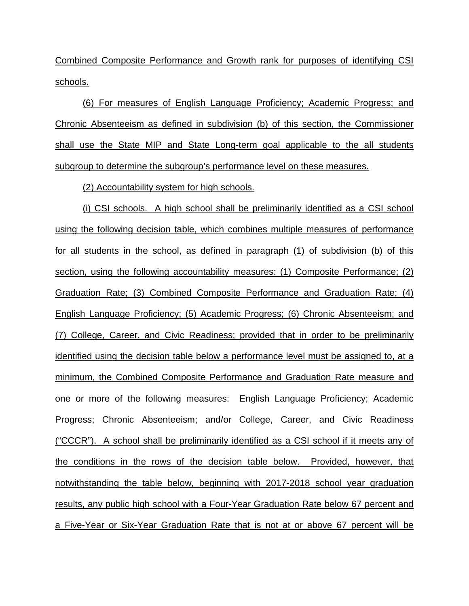Combined Composite Performance and Growth rank for purposes of identifying CSI schools.

(6) For measures of English Language Proficiency; Academic Progress; and Chronic Absenteeism as defined in subdivision (b) of this section, the Commissioner shall use the State MIP and State Long-term goal applicable to the all students subgroup to determine the subgroup's performance level on these measures.

(2) Accountability system for high schools.

(i) CSI schools. A high school shall be preliminarily identified as a CSI school using the following decision table, which combines multiple measures of performance for all students in the school, as defined in paragraph (1) of subdivision (b) of this section, using the following accountability measures: (1) Composite Performance; (2) Graduation Rate; (3) Combined Composite Performance and Graduation Rate; (4) English Language Proficiency; (5) Academic Progress; (6) Chronic Absenteeism; and (7) College, Career, and Civic Readiness; provided that in order to be preliminarily identified using the decision table below a performance level must be assigned to, at a minimum, the Combined Composite Performance and Graduation Rate measure and one or more of the following measures: English Language Proficiency; Academic Progress; Chronic Absenteeism; and/or College, Career, and Civic Readiness ("CCCR"). A school shall be preliminarily identified as a CSI school if it meets any of the conditions in the rows of the decision table below. Provided, however, that notwithstanding the table below, beginning with 2017-2018 school year graduation results, any public high school with a Four-Year Graduation Rate below 67 percent and a Five-Year or Six-Year Graduation Rate that is not at or above 67 percent will be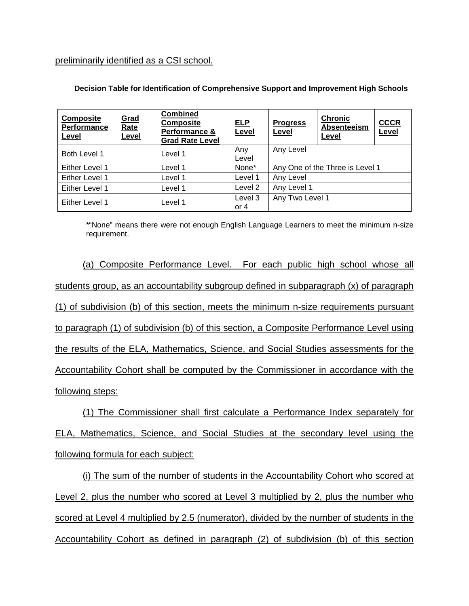preliminarily identified as a CSI school.

| <b>Composite</b><br>Performance<br>Level | Grad<br>Rate<br>Level | <b>Combined</b><br><b>Composite</b><br>Performance &<br><b>Grad Rate Level</b> | <b>ELP</b><br>Level | <b>Progress</b><br>Level        | <b>Chronic</b><br>Absenteeism<br>Level | <b>CCCR</b><br>Level |
|------------------------------------------|-----------------------|--------------------------------------------------------------------------------|---------------------|---------------------------------|----------------------------------------|----------------------|
| Both Level 1                             |                       | Level 1                                                                        | Any<br>Level        | Any Level                       |                                        |                      |
| Either Level 1                           |                       | Level 1                                                                        | None*               | Any One of the Three is Level 1 |                                        |                      |
| Either Level 1                           |                       | Level 1                                                                        | Level 1             | Any Level                       |                                        |                      |
| Either Level 1                           |                       | Level 1                                                                        | Level 2             | Any Level 1                     |                                        |                      |
| Either Level 1                           |                       | Level 1                                                                        | Level 3<br>or $4$   | Any Two Level 1                 |                                        |                      |

**Decision Table for Identification of Comprehensive Support and Improvement High Schools**

\*"None" means there were not enough English Language Learners to meet the minimum n-size requirement.

(a) Composite Performance Level. For each public high school whose all students group, as an accountability subgroup defined in subparagraph (x) of paragraph (1) of subdivision (b) of this section, meets the minimum n-size requirements pursuant to paragraph (1) of subdivision (b) of this section, a Composite Performance Level using the results of the ELA, Mathematics, Science, and Social Studies assessments for the Accountability Cohort shall be computed by the Commissioner in accordance with the following steps:

(1) The Commissioner shall first calculate a Performance Index separately for ELA, Mathematics, Science, and Social Studies at the secondary level using the following formula for each subject:

(i) The sum of the number of students in the Accountability Cohort who scored at Level 2, plus the number who scored at Level 3 multiplied by 2, plus the number who scored at Level 4 multiplied by 2.5 (numerator), divided by the number of students in the Accountability Cohort as defined in paragraph (2) of subdivision (b) of this section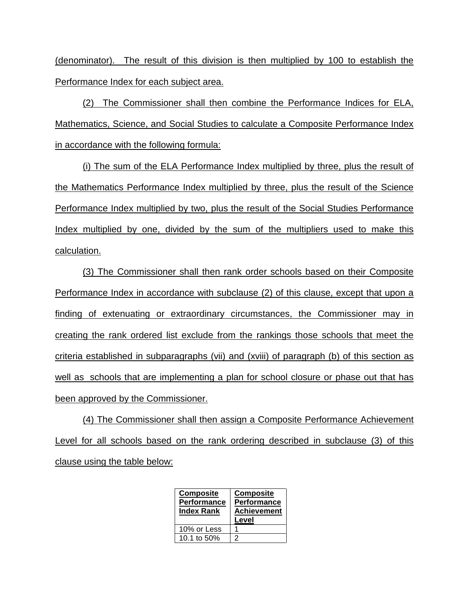(denominator). The result of this division is then multiplied by 100 to establish the Performance Index for each subject area.

(2) The Commissioner shall then combine the Performance Indices for ELA, Mathematics, Science, and Social Studies to calculate a Composite Performance Index in accordance with the following formula:

(i) The sum of the ELA Performance Index multiplied by three, plus the result of the Mathematics Performance Index multiplied by three, plus the result of the Science Performance Index multiplied by two, plus the result of the Social Studies Performance Index multiplied by one, divided by the sum of the multipliers used to make this calculation.

(3) The Commissioner shall then rank order schools based on their Composite Performance Index in accordance with subclause (2) of this clause, except that upon a finding of extenuating or extraordinary circumstances, the Commissioner may in creating the rank ordered list exclude from the rankings those schools that meet the criteria established in subparagraphs (vii) and (xviii) of paragraph (b) of this section as well as schools that are implementing a plan for school closure or phase out that has been approved by the Commissioner.

(4) The Commissioner shall then assign a Composite Performance Achievement Level for all schools based on the rank ordering described in subclause (3) of this clause using the table below:

| <b>Composite</b><br><b>Performance</b><br><b>Index Rank</b> | <b>Composite</b><br><b>Performance</b><br><b>Achievement</b><br>Level |
|-------------------------------------------------------------|-----------------------------------------------------------------------|
| 10% or Less                                                 |                                                                       |
| 10.1 to 50%                                                 |                                                                       |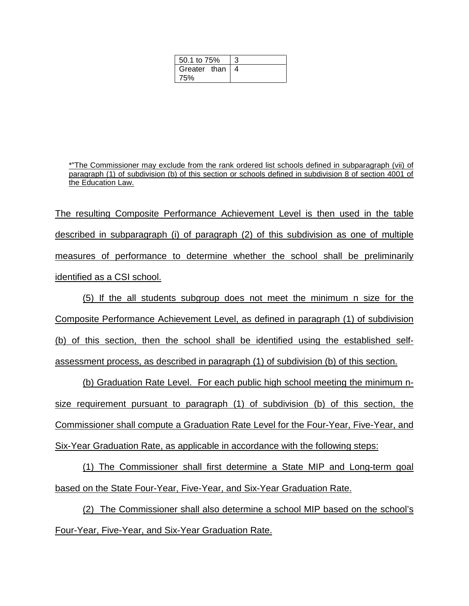| 50.1 to 75%  |  |
|--------------|--|
| Greater than |  |
| 75%          |  |

\*"The Commissioner may exclude from the rank ordered list schools defined in subparagraph (vii) of paragraph (1) of subdivision (b) of this section or schools defined in subdivision 8 of section 4001 of the Education Law.

The resulting Composite Performance Achievement Level is then used in the table described in subparagraph (i) of paragraph (2) of this subdivision as one of multiple measures of performance to determine whether the school shall be preliminarily identified as a CSI school.

(5) If the all students subgroup does not meet the minimum n size for the Composite Performance Achievement Level, as defined in paragraph (1) of subdivision (b) of this section, then the school shall be identified using the established selfassessment process, as described in paragraph (1) of subdivision (b) of this section.

(b) Graduation Rate Level. For each public high school meeting the minimum nsize requirement pursuant to paragraph (1) of subdivision (b) of this section, the Commissioner shall compute a Graduation Rate Level for the Four-Year, Five-Year, and Six-Year Graduation Rate, as applicable in accordance with the following steps:

(1) The Commissioner shall first determine a State MIP and Long-term goal based on the State Four-Year, Five-Year, and Six-Year Graduation Rate.

(2) The Commissioner shall also determine a school MIP based on the school's Four-Year, Five-Year, and Six-Year Graduation Rate.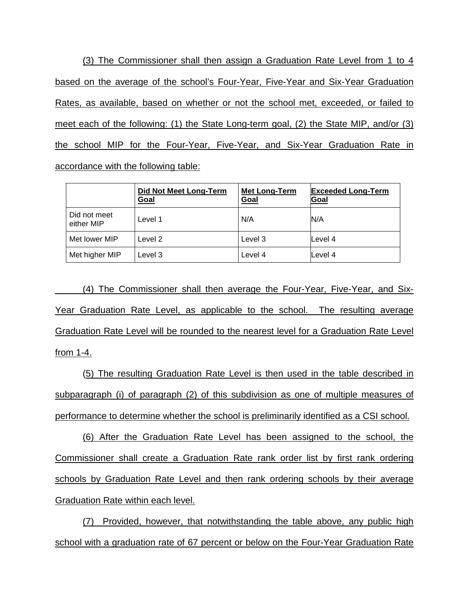(3) The Commissioner shall then assign a Graduation Rate Level from 1 to 4 based on the average of the school's Four-Year, Five-Year and Six-Year Graduation Rates, as available, based on whether or not the school met, exceeded, or failed to meet each of the following: (1) the State Long-term goal, (2) the State MIP, and/or (3) the school MIP for the Four-Year, Five-Year, and Six-Year Graduation Rate in accordance with the following table:

|                            | Did Not Meet Long-Term<br><u>Goal</u> | <b>Met Long-Term</b><br>Goal | <b>Exceeded Long-Term</b><br>Goal |
|----------------------------|---------------------------------------|------------------------------|-----------------------------------|
| Did not meet<br>either MIP | Level 1                               | N/A                          | N/A                               |
| Met lower MIP              | Level 2                               | Level 3                      | Level 4                           |
| Met higher MIP             | _evel 3                               | Level 4                      | Level 4                           |

(4) The Commissioner shall then average the Four-Year, Five-Year, and Six-Year Graduation Rate Level, as applicable to the school. The resulting average Graduation Rate Level will be rounded to the nearest level for a Graduation Rate Level from 1-4.

(5) The resulting Graduation Rate Level is then used in the table described in subparagraph (i) of paragraph (2) of this subdivision as one of multiple measures of performance to determine whether the school is preliminarily identified as a CSI school.

(6) After the Graduation Rate Level has been assigned to the school, the Commissioner shall create a Graduation Rate rank order list by first rank ordering schools by Graduation Rate Level and then rank ordering schools by their average Graduation Rate within each level.

(7) Provided, however, that notwithstanding the table above, any public high school with a graduation rate of 67 percent or below on the Four-Year Graduation Rate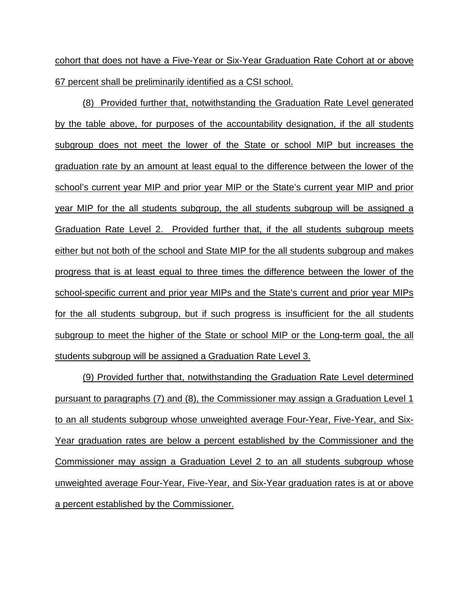cohort that does not have a Five-Year or Six-Year Graduation Rate Cohort at or above 67 percent shall be preliminarily identified as a CSI school.

(8) Provided further that, notwithstanding the Graduation Rate Level generated by the table above, for purposes of the accountability designation, if the all students subgroup does not meet the lower of the State or school MIP but increases the graduation rate by an amount at least equal to the difference between the lower of the school's current year MIP and prior year MIP or the State's current year MIP and prior year MIP for the all students subgroup, the all students subgroup will be assigned a Graduation Rate Level 2. Provided further that, if the all students subgroup meets either but not both of the school and State MIP for the all students subgroup and makes progress that is at least equal to three times the difference between the lower of the school-specific current and prior year MIPs and the State's current and prior year MIPs for the all students subgroup, but if such progress is insufficient for the all students subgroup to meet the higher of the State or school MIP or the Long-term goal, the all students subgroup will be assigned a Graduation Rate Level 3.

(9) Provided further that, notwithstanding the Graduation Rate Level determined pursuant to paragraphs (7) and (8), the Commissioner may assign a Graduation Level 1 to an all students subgroup whose unweighted average Four-Year, Five-Year, and Six-Year graduation rates are below a percent established by the Commissioner and the Commissioner may assign a Graduation Level 2 to an all students subgroup whose unweighted average Four-Year, Five-Year, and Six-Year graduation rates is at or above a percent established by the Commissioner.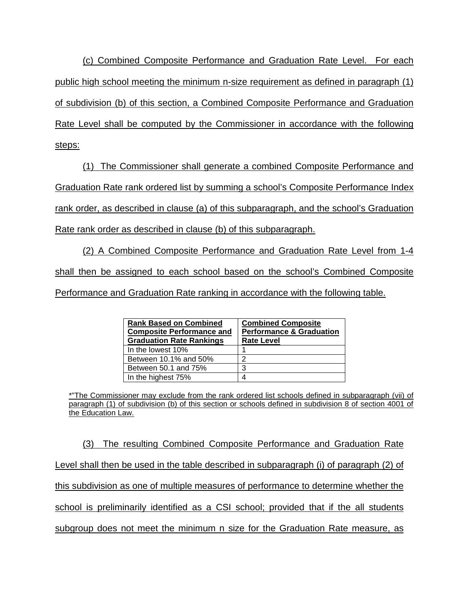(c) Combined Composite Performance and Graduation Rate Level. For each public high school meeting the minimum n-size requirement as defined in paragraph (1) of subdivision (b) of this section, a Combined Composite Performance and Graduation Rate Level shall be computed by the Commissioner in accordance with the following steps:

(1) The Commissioner shall generate a combined Composite Performance and Graduation Rate rank ordered list by summing a school's Composite Performance Index rank order, as described in clause (a) of this subparagraph, and the school's Graduation Rate rank order as described in clause (b) of this subparagraph.

(2) A Combined Composite Performance and Graduation Rate Level from 1-4 shall then be assigned to each school based on the school's Combined Composite Performance and Graduation Rate ranking in accordance with the following table.

| <b>Rank Based on Combined</b><br><b>Composite Performance and</b><br><b>Graduation Rate Rankings</b> | <b>Combined Composite</b><br><b>Performance &amp; Graduation</b><br><b>Rate Level</b> |
|------------------------------------------------------------------------------------------------------|---------------------------------------------------------------------------------------|
| In the lowest 10%                                                                                    |                                                                                       |
| Between 10.1% and 50%                                                                                | າ                                                                                     |
| Between 50.1 and 75%                                                                                 | 3                                                                                     |
| In the highest 75%                                                                                   |                                                                                       |

\*"The Commissioner may exclude from the rank ordered list schools defined in subparagraph (vii) of paragraph (1) of subdivision (b) of this section or schools defined in subdivision 8 of section 4001 of the Education Law.

(3) The resulting Combined Composite Performance and Graduation Rate Level shall then be used in the table described in subparagraph (i) of paragraph (2) of this subdivision as one of multiple measures of performance to determine whether the school is preliminarily identified as a CSI school; provided that if the all students subgroup does not meet the minimum n size for the Graduation Rate measure, as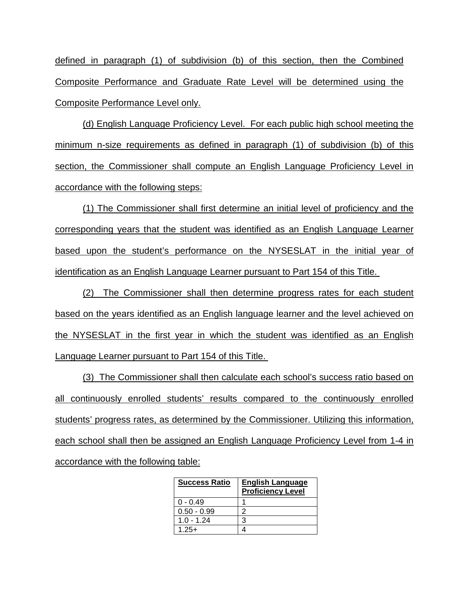defined in paragraph (1) of subdivision (b) of this section, then the Combined Composite Performance and Graduate Rate Level will be determined using the Composite Performance Level only.

(d) English Language Proficiency Level. For each public high school meeting the minimum n-size requirements as defined in paragraph (1) of subdivision (b) of this section, the Commissioner shall compute an English Language Proficiency Level in accordance with the following steps:

(1) The Commissioner shall first determine an initial level of proficiency and the corresponding years that the student was identified as an English Language Learner based upon the student's performance on the NYSESLAT in the initial year of identification as an English Language Learner pursuant to Part 154 of this Title.

(2) The Commissioner shall then determine progress rates for each student based on the years identified as an English language learner and the level achieved on the NYSESLAT in the first year in which the student was identified as an English Language Learner pursuant to Part 154 of this Title.

(3) The Commissioner shall then calculate each school's success ratio based on all continuously enrolled students' results compared to the continuously enrolled students' progress rates, as determined by the Commissioner. Utilizing this information, each school shall then be assigned an English Language Proficiency Level from 1-4 in accordance with the following table:

| <b>Success Ratio</b> | <b>English Language</b><br><b>Proficiency Level</b> |
|----------------------|-----------------------------------------------------|
| $0 - 0.49$           |                                                     |
| $0.50 - 0.99$        | າ                                                   |
| $1.0 - 1.24$         | 3                                                   |
| $1.25+$              |                                                     |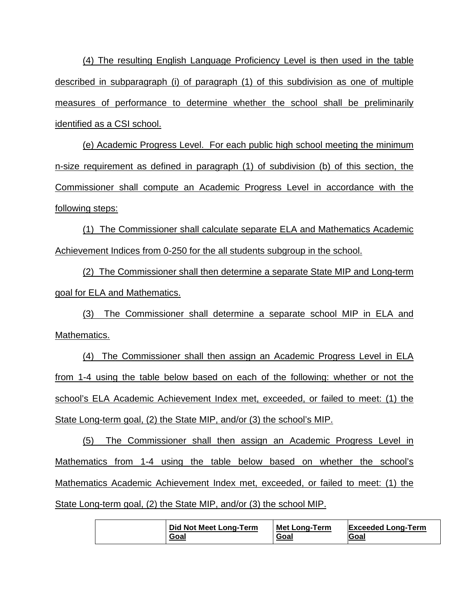(4) The resulting English Language Proficiency Level is then used in the table described in subparagraph (i) of paragraph (1) of this subdivision as one of multiple measures of performance to determine whether the school shall be preliminarily identified as a CSI school.

(e) Academic Progress Level. For each public high school meeting the minimum n-size requirement as defined in paragraph (1) of subdivision (b) of this section, the Commissioner shall compute an Academic Progress Level in accordance with the following steps:

(1) The Commissioner shall calculate separate ELA and Mathematics Academic Achievement Indices from 0-250 for the all students subgroup in the school.

(2) The Commissioner shall then determine a separate State MIP and Long-term goal for ELA and Mathematics.

(3) The Commissioner shall determine a separate school MIP in ELA and Mathematics.

(4) The Commissioner shall then assign an Academic Progress Level in ELA from 1-4 using the table below based on each of the following: whether or not the school's ELA Academic Achievement Index met, exceeded, or failed to meet: (1) the State Long-term goal, (2) the State MIP, and/or (3) the school's MIP.

(5) The Commissioner shall then assign an Academic Progress Level in Mathematics from 1-4 using the table below based on whether the school's Mathematics Academic Achievement Index met, exceeded, or failed to meet: (1) the State Long-term goal, (2) the State MIP, and/or (3) the school MIP.

| Did Not Meet Long-Term | <b>Met Long-Term</b> | <b>Exceeded Long-Term</b> |
|------------------------|----------------------|---------------------------|
| Goal                   | Goal                 | lGoal                     |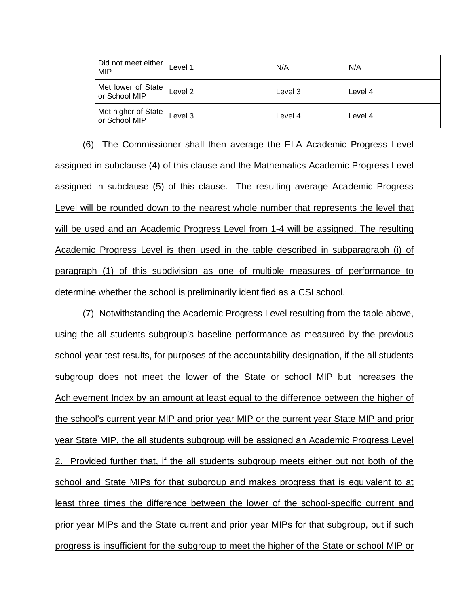| Did not meet either<br><b>MIP</b>    | Level 1 | N/A     | N/A     |
|--------------------------------------|---------|---------|---------|
| Met lower of State<br>or School MIP  | Level 2 | Level 3 | Level 4 |
| Met higher of State<br>or School MIP | Level 3 | Level 4 | Level 4 |

(6) The Commissioner shall then average the ELA Academic Progress Level assigned in subclause (4) of this clause and the Mathematics Academic Progress Level assigned in subclause (5) of this clause. The resulting average Academic Progress Level will be rounded down to the nearest whole number that represents the level that will be used and an Academic Progress Level from 1-4 will be assigned. The resulting Academic Progress Level is then used in the table described in subparagraph (i) of paragraph (1) of this subdivision as one of multiple measures of performance to determine whether the school is preliminarily identified as a CSI school.

(7) Notwithstanding the Academic Progress Level resulting from the table above, using the all students subgroup's baseline performance as measured by the previous school year test results, for purposes of the accountability designation, if the all students subgroup does not meet the lower of the State or school MIP but increases the Achievement Index by an amount at least equal to the difference between the higher of the school's current year MIP and prior year MIP or the current year State MIP and prior year State MIP, the all students subgroup will be assigned an Academic Progress Level 2. Provided further that, if the all students subgroup meets either but not both of the school and State MIPs for that subgroup and makes progress that is equivalent to at least three times the difference between the lower of the school-specific current and prior year MIPs and the State current and prior year MIPs for that subgroup, but if such progress is insufficient for the subgroup to meet the higher of the State or school MIP or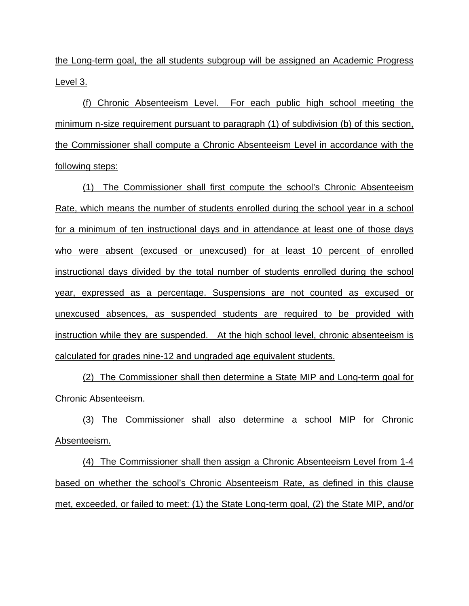the Long-term goal, the all students subgroup will be assigned an Academic Progress Level 3.

(f) Chronic Absenteeism Level. For each public high school meeting the minimum n-size requirement pursuant to paragraph (1) of subdivision (b) of this section, the Commissioner shall compute a Chronic Absenteeism Level in accordance with the following steps:

(1) The Commissioner shall first compute the school's Chronic Absenteeism Rate, which means the number of students enrolled during the school year in a school for a minimum of ten instructional days and in attendance at least one of those days who were absent (excused or unexcused) for at least 10 percent of enrolled instructional days divided by the total number of students enrolled during the school year, expressed as a percentage. Suspensions are not counted as excused or unexcused absences, as suspended students are required to be provided with instruction while they are suspended. At the high school level, chronic absenteeism is calculated for grades nine-12 and ungraded age equivalent students.

(2) The Commissioner shall then determine a State MIP and Long-term goal for Chronic Absenteeism.

(3) The Commissioner shall also determine a school MIP for Chronic Absenteeism.

(4) The Commissioner shall then assign a Chronic Absenteeism Level from 1-4 based on whether the school's Chronic Absenteeism Rate, as defined in this clause met, exceeded, or failed to meet: (1) the State Long-term goal, (2) the State MIP, and/or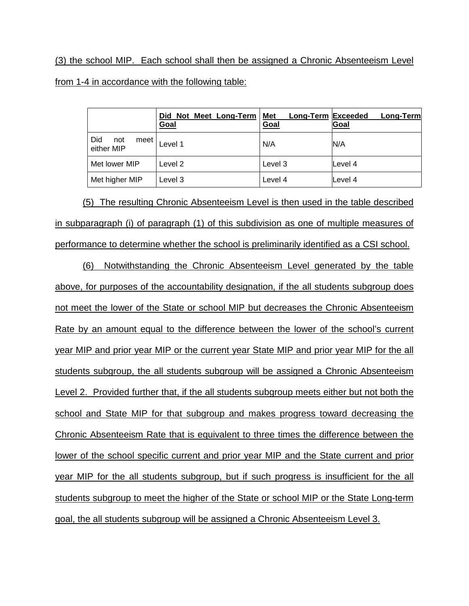(3) the school MIP. Each school shall then be assigned a Chronic Absenteeism Level from 1-4 in accordance with the following table:

|                                  | Did Not Meet Long-Term<br><u>Goal</u> | <b>Long-Term Exceeded</b><br>Met<br>Goal | Long-Term<br>Goal |
|----------------------------------|---------------------------------------|------------------------------------------|-------------------|
| Did<br>not<br>meet<br>either MIP | Level 1                               | N/A                                      | N/A               |
| Met lower MIP                    | Level 2                               | Level 3                                  | Level 4           |
| Met higher MIP                   | Level 3                               | Level 4                                  | Level 4           |

(5) The resulting Chronic Absenteeism Level is then used in the table described in subparagraph (i) of paragraph (1) of this subdivision as one of multiple measures of performance to determine whether the school is preliminarily identified as a CSI school.

(6) Notwithstanding the Chronic Absenteeism Level generated by the table above, for purposes of the accountability designation, if the all students subgroup does not meet the lower of the State or school MIP but decreases the Chronic Absenteeism Rate by an amount equal to the difference between the lower of the school's current year MIP and prior year MIP or the current year State MIP and prior year MIP for the all students subgroup, the all students subgroup will be assigned a Chronic Absenteeism Level 2. Provided further that, if the all students subgroup meets either but not both the school and State MIP for that subgroup and makes progress toward decreasing the Chronic Absenteeism Rate that is equivalent to three times the difference between the lower of the school specific current and prior year MIP and the State current and prior year MIP for the all students subgroup, but if such progress is insufficient for the all students subgroup to meet the higher of the State or school MIP or the State Long-term goal, the all students subgroup will be assigned a Chronic Absenteeism Level 3.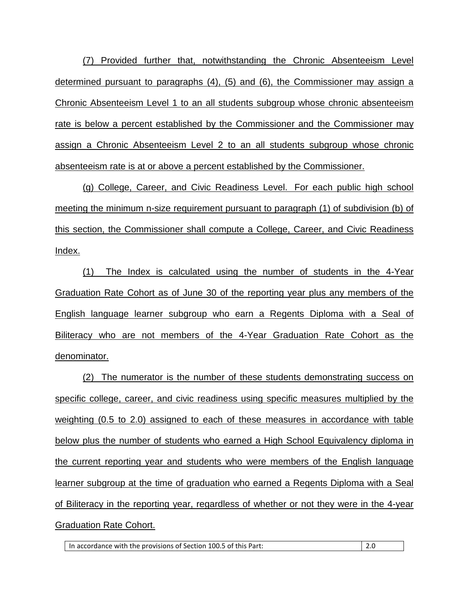(7) Provided further that, notwithstanding the Chronic Absenteeism Level determined pursuant to paragraphs (4), (5) and (6), the Commissioner may assign a Chronic Absenteeism Level 1 to an all students subgroup whose chronic absenteeism rate is below a percent established by the Commissioner and the Commissioner may assign a Chronic Absenteeism Level 2 to an all students subgroup whose chronic absenteeism rate is at or above a percent established by the Commissioner.

(g) College, Career, and Civic Readiness Level. For each public high school meeting the minimum n-size requirement pursuant to paragraph (1) of subdivision (b) of this section, the Commissioner shall compute a College, Career, and Civic Readiness Index.

(1) The Index is calculated using the number of students in the 4-Year Graduation Rate Cohort as of June 30 of the reporting year plus any members of the English language learner subgroup who earn a Regents Diploma with a Seal of Biliteracy who are not members of the 4-Year Graduation Rate Cohort as the denominator.

(2) The numerator is the number of these students demonstrating success on specific college, career, and civic readiness using specific measures multiplied by the weighting (0.5 to 2.0) assigned to each of these measures in accordance with table below plus the number of students who earned a High School Equivalency diploma in the current reporting year and students who were members of the English language learner subgroup at the time of graduation who earned a Regents Diploma with a Seal of Biliteracy in the reporting year, regardless of whether or not they were in the 4-year Graduation Rate Cohort.

In accordance with the provisions of Section 100.5 of this Part: 2.0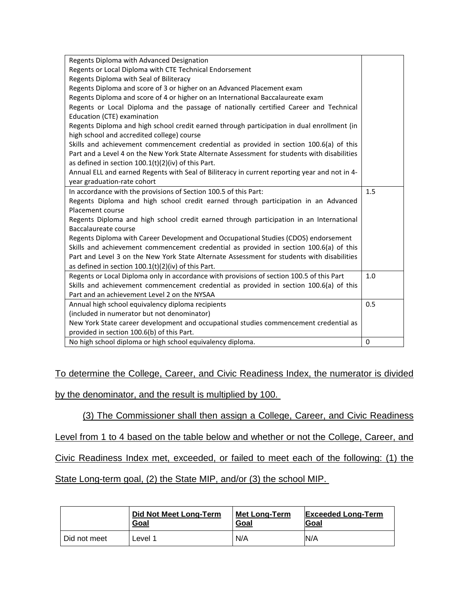| Regents Diploma with Advanced Designation                                                     |          |
|-----------------------------------------------------------------------------------------------|----------|
| Regents or Local Diploma with CTE Technical Endorsement                                       |          |
| Regents Diploma with Seal of Biliteracy                                                       |          |
| Regents Diploma and score of 3 or higher on an Advanced Placement exam                        |          |
| Regents Diploma and score of 4 or higher on an International Baccalaureate exam               |          |
| Regents or Local Diploma and the passage of nationally certified Career and Technical         |          |
| Education (CTE) examination                                                                   |          |
| Regents Diploma and high school credit earned through participation in dual enrollment (in    |          |
| high school and accredited college) course                                                    |          |
| Skills and achievement commencement credential as provided in section 100.6(a) of this        |          |
| Part and a Level 4 on the New York State Alternate Assessment for students with disabilities  |          |
| as defined in section $100.1(t)(2)(iv)$ of this Part.                                         |          |
| Annual ELL and earned Regents with Seal of Biliteracy in current reporting year and not in 4- |          |
| year graduation-rate cohort                                                                   |          |
| In accordance with the provisions of Section 100.5 of this Part:                              | 1.5      |
| Regents Diploma and high school credit earned through participation in an Advanced            |          |
| Placement course                                                                              |          |
| Regents Diploma and high school credit earned through participation in an International       |          |
| Baccalaureate course                                                                          |          |
| Regents Diploma with Career Development and Occupational Studies (CDOS) endorsement           |          |
| Skills and achievement commencement credential as provided in section 100.6(a) of this        |          |
| Part and Level 3 on the New York State Alternate Assessment for students with disabilities    |          |
| as defined in section $100.1(t)(2)(iv)$ of this Part.                                         |          |
| Regents or Local Diploma only in accordance with provisions of section 100.5 of this Part     | 1.0      |
| Skills and achievement commencement credential as provided in section 100.6(a) of this        |          |
| Part and an achievement Level 2 on the NYSAA                                                  |          |
| Annual high school equivalency diploma recipients                                             | 0.5      |
| (included in numerator but not denominator)                                                   |          |
| New York State career development and occupational studies commencement credential as         |          |
| provided in section 100.6(b) of this Part.                                                    |          |
| No high school diploma or high school equivalency diploma.                                    | $\Omega$ |

To determine the College, Career, and Civic Readiness Index, the numerator is divided

by the denominator, and the result is multiplied by 100.

(3) The Commissioner shall then assign a College, Career, and Civic Readiness

Level from 1 to 4 based on the table below and whether or not the College, Career, and

Civic Readiness Index met, exceeded, or failed to meet each of the following: (1) the

State Long-term goal, (2) the State MIP, and/or (3) the school MIP.

|              | <b>Did Not Meet Long-Term</b> | <b>Met Long-Term</b> | <b>Exceeded Long-Term</b> |
|--------------|-------------------------------|----------------------|---------------------------|
|              | Goal                          | Goal                 | <b>IGoal</b>              |
| Did not meet | _evel 1                       | N/A                  | N/A                       |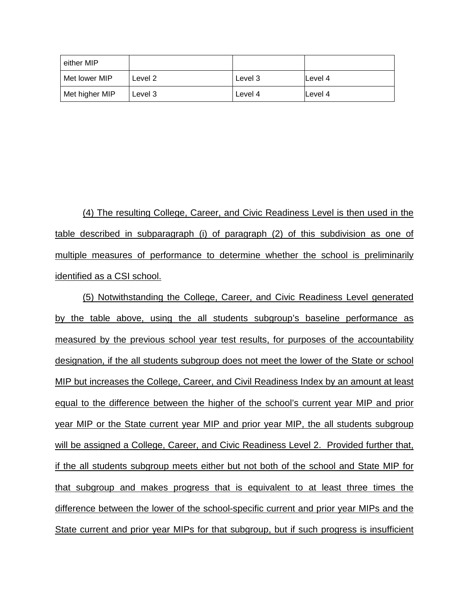| either MIP     |         |         |         |
|----------------|---------|---------|---------|
| Met lower MIP  | Level 2 | Level 3 | Level 4 |
| Met higher MIP | Level 3 | Level 4 | Level 4 |

(4) The resulting College, Career, and Civic Readiness Level is then used in the table described in subparagraph (i) of paragraph (2) of this subdivision as one of multiple measures of performance to determine whether the school is preliminarily identified as a CSI school.

(5) Notwithstanding the College, Career, and Civic Readiness Level generated by the table above, using the all students subgroup's baseline performance as measured by the previous school year test results, for purposes of the accountability designation, if the all students subgroup does not meet the lower of the State or school MIP but increases the College, Career, and Civil Readiness Index by an amount at least equal to the difference between the higher of the school's current year MIP and prior year MIP or the State current year MIP and prior year MIP, the all students subgroup will be assigned a College, Career, and Civic Readiness Level 2. Provided further that, if the all students subgroup meets either but not both of the school and State MIP for that subgroup and makes progress that is equivalent to at least three times the difference between the lower of the school-specific current and prior year MIPs and the State current and prior year MIPs for that subgroup, but if such progress is insufficient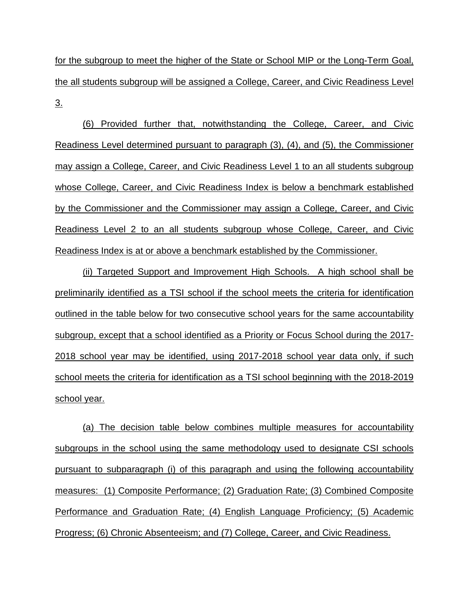for the subgroup to meet the higher of the State or School MIP or the Long-Term Goal, the all students subgroup will be assigned a College, Career, and Civic Readiness Level 3.

(6) Provided further that, notwithstanding the College, Career, and Civic Readiness Level determined pursuant to paragraph (3), (4), and (5), the Commissioner may assign a College, Career, and Civic Readiness Level 1 to an all students subgroup whose College, Career, and Civic Readiness Index is below a benchmark established by the Commissioner and the Commissioner may assign a College, Career, and Civic Readiness Level 2 to an all students subgroup whose College, Career, and Civic Readiness Index is at or above a benchmark established by the Commissioner.

(ii) Targeted Support and Improvement High Schools. A high school shall be preliminarily identified as a TSI school if the school meets the criteria for identification outlined in the table below for two consecutive school years for the same accountability subgroup, except that a school identified as a Priority or Focus School during the 2017- 2018 school year may be identified, using 2017-2018 school year data only, if such school meets the criteria for identification as a TSI school beginning with the 2018-2019 school year.

(a) The decision table below combines multiple measures for accountability subgroups in the school using the same methodology used to designate CSI schools pursuant to subparagraph (i) of this paragraph and using the following accountability measures: (1) Composite Performance; (2) Graduation Rate; (3) Combined Composite Performance and Graduation Rate; (4) English Language Proficiency; (5) Academic Progress; (6) Chronic Absenteeism; and (7) College, Career, and Civic Readiness.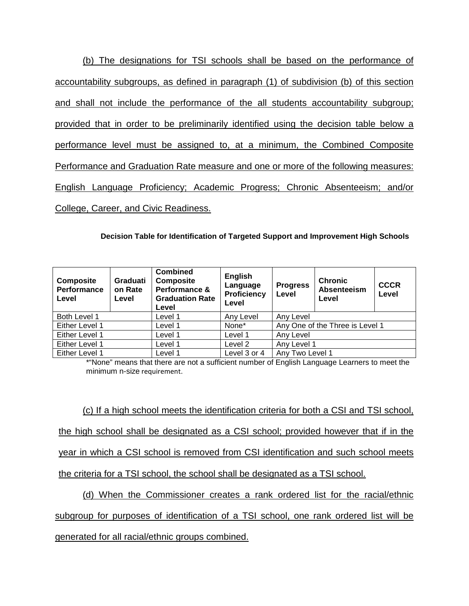(b) The designations for TSI schools shall be based on the performance of accountability subgroups, as defined in paragraph (1) of subdivision (b) of this section and shall not include the performance of the all students accountability subgroup; provided that in order to be preliminarily identified using the decision table below a performance level must be assigned to, at a minimum, the Combined Composite Performance and Graduation Rate measure and one or more of the following measures: English Language Proficiency; Academic Progress; Chronic Absenteeism; and/or College, Career, and Civic Readiness.

**Decision Table for Identification of Targeted Support and Improvement High Schools**

| Composite<br>Performance<br>Level | Graduati<br>on Rate<br>Level | <b>Combined</b><br><b>Composite</b><br>Performance &<br><b>Graduation Rate</b><br>Level | English<br>Language<br>Proficiency<br>Level | <b>Progress</b><br>Level        | <b>Chronic</b><br>Absenteeism<br>Level | <b>CCCR</b><br>Level |
|-----------------------------------|------------------------------|-----------------------------------------------------------------------------------------|---------------------------------------------|---------------------------------|----------------------------------------|----------------------|
| Both Level 1                      |                              | Level 1                                                                                 | Any Level                                   | Any Level                       |                                        |                      |
| Either Level 1                    |                              | Level 1                                                                                 | None*                                       | Any One of the Three is Level 1 |                                        |                      |
| Either Level 1                    |                              | Level 1                                                                                 | Level 1                                     | Any Level                       |                                        |                      |
| Either Level 1                    |                              | Level 1                                                                                 | Level 2                                     | Any Level 1                     |                                        |                      |
| Either Level 1                    |                              | Level 1                                                                                 | Level 3 or 4                                | Any Two Level 1                 |                                        |                      |

\*"None" means that there are not a sufficient number of English Language Learners to meet the minimum n-size requirement.

(c) If a high school meets the identification criteria for both a CSI and TSI school, the high school shall be designated as a CSI school; provided however that if in the year in which a CSI school is removed from CSI identification and such school meets the criteria for a TSI school, the school shall be designated as a TSI school.

(d) When the Commissioner creates a rank ordered list for the racial/ethnic subgroup for purposes of identification of a TSI school, one rank ordered list will be generated for all racial/ethnic groups combined.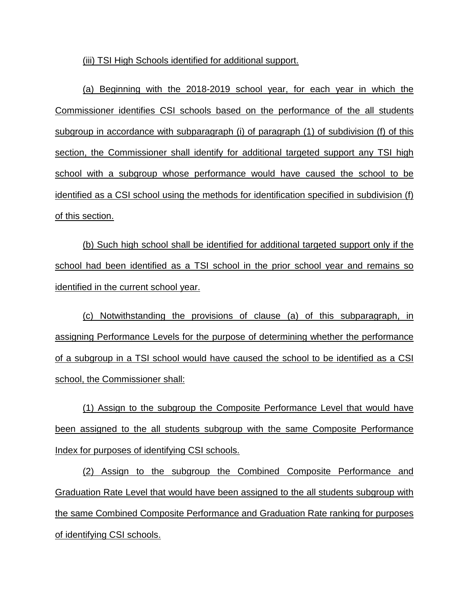(iii) TSI High Schools identified for additional support.

(a) Beginning with the 2018-2019 school year, for each year in which the Commissioner identifies CSI schools based on the performance of the all students subgroup in accordance with subparagraph (i) of paragraph (1) of subdivision (f) of this section, the Commissioner shall identify for additional targeted support any TSI high school with a subgroup whose performance would have caused the school to be identified as a CSI school using the methods for identification specified in subdivision (f) of this section.

(b) Such high school shall be identified for additional targeted support only if the school had been identified as a TSI school in the prior school year and remains so identified in the current school year.

(c) Notwithstanding the provisions of clause (a) of this subparagraph, in assigning Performance Levels for the purpose of determining whether the performance of a subgroup in a TSI school would have caused the school to be identified as a CSI school, the Commissioner shall:

(1) Assign to the subgroup the Composite Performance Level that would have been assigned to the all students subgroup with the same Composite Performance Index for purposes of identifying CSI schools.

(2) Assign to the subgroup the Combined Composite Performance and Graduation Rate Level that would have been assigned to the all students subgroup with the same Combined Composite Performance and Graduation Rate ranking for purposes of identifying CSI schools.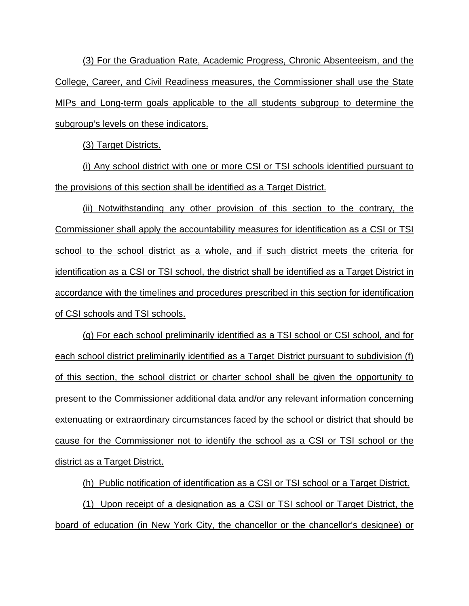(3) For the Graduation Rate, Academic Progress, Chronic Absenteeism, and the College, Career, and Civil Readiness measures, the Commissioner shall use the State MIPs and Long-term goals applicable to the all students subgroup to determine the subgroup's levels on these indicators.

(3) Target Districts.

(i) Any school district with one or more CSI or TSI schools identified pursuant to the provisions of this section shall be identified as a Target District.

(ii) Notwithstanding any other provision of this section to the contrary, the Commissioner shall apply the accountability measures for identification as a CSI or TSI school to the school district as a whole, and if such district meets the criteria for identification as a CSI or TSI school, the district shall be identified as a Target District in accordance with the timelines and procedures prescribed in this section for identification of CSI schools and TSI schools.

(g) For each school preliminarily identified as a TSI school or CSI school, and for each school district preliminarily identified as a Target District pursuant to subdivision (f) of this section, the school district or charter school shall be given the opportunity to present to the Commissioner additional data and/or any relevant information concerning extenuating or extraordinary circumstances faced by the school or district that should be cause for the Commissioner not to identify the school as a CSI or TSI school or the district as a Target District.

(h) Public notification of identification as a CSI or TSI school or a Target District.

(1) Upon receipt of a designation as a CSI or TSI school or Target District, the board of education (in New York City, the chancellor or the chancellor's designee) or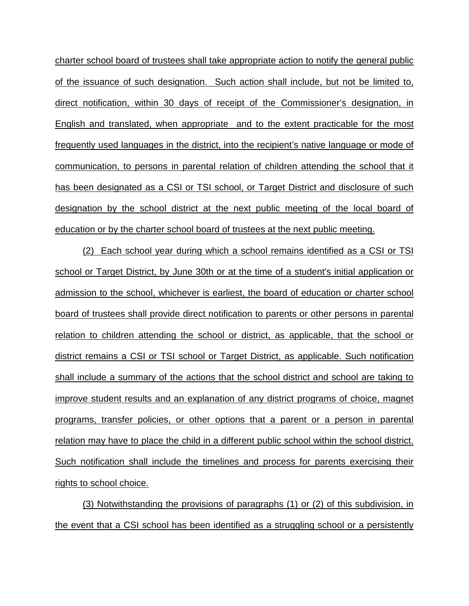charter school board of trustees shall take appropriate action to notify the general public of the issuance of such designation. Such action shall include, but not be limited to, direct notification, within 30 days of receipt of the Commissioner's designation, in English and translated, when appropriate and to the extent practicable for the most frequently used languages in the district, into the recipient's native language or mode of communication, to persons in parental relation of children attending the school that it has been designated as a CSI or TSI school, or Target District and disclosure of such designation by the school district at the next public meeting of the local board of education or by the charter school board of trustees at the next public meeting.

(2) Each school year during which a school remains identified as a CSI or TSI school or Target District, by June 30th or at the time of a student's initial application or admission to the school, whichever is earliest, the board of education or charter school board of trustees shall provide direct notification to parents or other persons in parental relation to children attending the school or district, as applicable, that the school or district remains a CSI or TSI school or Target District, as applicable. Such notification shall include a summary of the actions that the school district and school are taking to improve student results and an explanation of any district programs of choice, magnet programs, transfer policies, or other options that a parent or a person in parental relation may have to place the child in a different public school within the school district. Such notification shall include the timelines and process for parents exercising their rights to school choice.

(3) Notwithstanding the provisions of paragraphs (1) or (2) of this subdivision, in the event that a CSI school has been identified as a struggling school or a persistently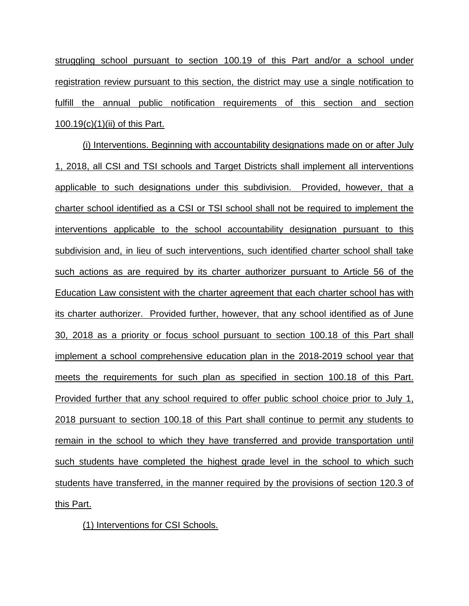struggling school pursuant to section 100.19 of this Part and/or a school under registration review pursuant to this section, the district may use a single notification to fulfill the annual public notification requirements of this section and section 100.19(c)(1)(ii) of this Part.

(i) Interventions. Beginning with accountability designations made on or after July 1, 2018, all CSI and TSI schools and Target Districts shall implement all interventions applicable to such designations under this subdivision. Provided, however, that a charter school identified as a CSI or TSI school shall not be required to implement the interventions applicable to the school accountability designation pursuant to this subdivision and, in lieu of such interventions, such identified charter school shall take such actions as are required by its charter authorizer pursuant to Article 56 of the Education Law consistent with the charter agreement that each charter school has with its charter authorizer. Provided further, however, that any school identified as of June 30, 2018 as a priority or focus school pursuant to section 100.18 of this Part shall implement a school comprehensive education plan in the 2018-2019 school year that meets the requirements for such plan as specified in section 100.18 of this Part. Provided further that any school required to offer public school choice prior to July 1, 2018 pursuant to section 100.18 of this Part shall continue to permit any students to remain in the school to which they have transferred and provide transportation until such students have completed the highest grade level in the school to which such students have transferred, in the manner required by the provisions of section 120.3 of this Part.

(1) Interventions for CSI Schools.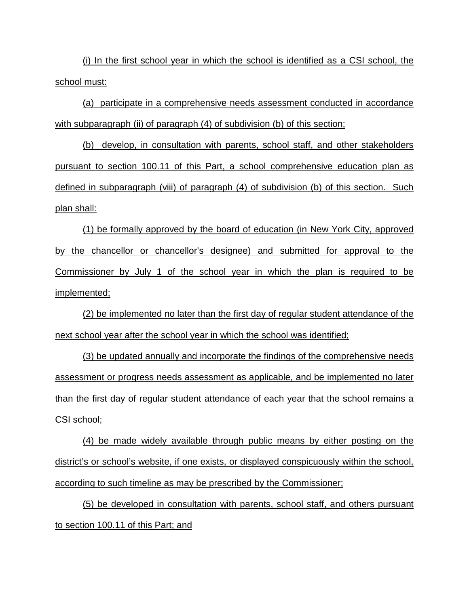(i) In the first school year in which the school is identified as a CSI school, the school must:

(a) participate in a comprehensive needs assessment conducted in accordance with subparagraph (ii) of paragraph (4) of subdivision (b) of this section;

(b) develop, in consultation with parents, school staff, and other stakeholders pursuant to section 100.11 of this Part, a school comprehensive education plan as defined in subparagraph (viii) of paragraph (4) of subdivision (b) of this section. Such plan shall:

(1) be formally approved by the board of education (in New York City, approved by the chancellor or chancellor's designee) and submitted for approval to the Commissioner by July 1 of the school year in which the plan is required to be implemented;

(2) be implemented no later than the first day of regular student attendance of the next school year after the school year in which the school was identified;

(3) be updated annually and incorporate the findings of the comprehensive needs assessment or progress needs assessment as applicable, and be implemented no later than the first day of regular student attendance of each year that the school remains a <u>CSI school;</u>

(4) be made widely available through public means by either posting on the district's or school's website, if one exists, or displayed conspicuously within the school, according to such timeline as may be prescribed by the Commissioner;

(5) be developed in consultation with parents, school staff, and others pursuant to section 100.11 of this Part; and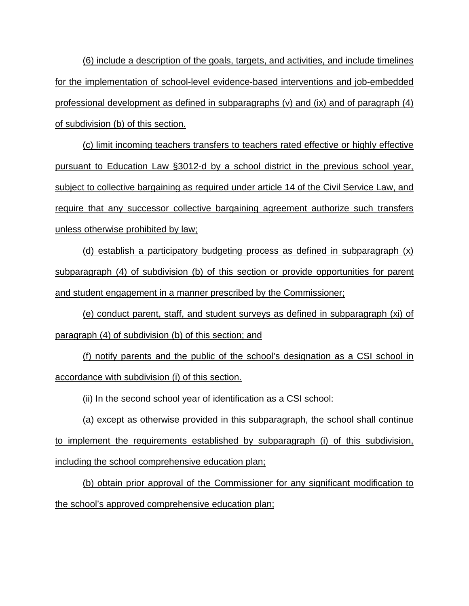(6) include a description of the goals, targets, and activities, and include timelines for the implementation of school-level evidence-based interventions and job-embedded professional development as defined in subparagraphs  $(v)$  and  $(ix)$  and of paragraph  $(4)$ of subdivision (b) of this section.

(c) limit incoming teachers transfers to teachers rated effective or highly effective pursuant to Education Law §3012-d by a school district in the previous school year, subject to collective bargaining as required under article 14 of the Civil Service Law, and require that any successor collective bargaining agreement authorize such transfers unless otherwise prohibited by law;

(d) establish a participatory budgeting process as defined in subparagraph (x) subparagraph (4) of subdivision (b) of this section or provide opportunities for parent and student engagement in a manner prescribed by the Commissioner;

(e) conduct parent, staff, and student surveys as defined in subparagraph (xi) of paragraph (4) of subdivision (b) of this section; and

(f) notify parents and the public of the school's designation as a CSI school in accordance with subdivision (i) of this section.

(ii) In the second school year of identification as a CSI school:

(a) except as otherwise provided in this subparagraph, the school shall continue to implement the requirements established by subparagraph (i) of this subdivision, including the school comprehensive education plan;

(b) obtain prior approval of the Commissioner for any significant modification to the school's approved comprehensive education plan;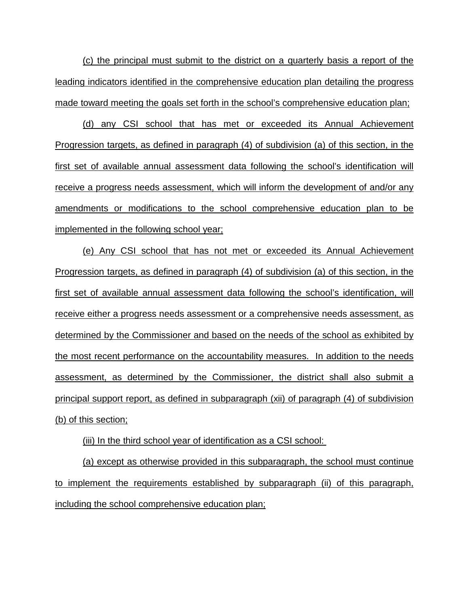(c) the principal must submit to the district on a quarterly basis a report of the leading indicators identified in the comprehensive education plan detailing the progress made toward meeting the goals set forth in the school's comprehensive education plan;

(d) any CSI school that has met or exceeded its Annual Achievement Progression targets, as defined in paragraph (4) of subdivision (a) of this section, in the first set of available annual assessment data following the school's identification will receive a progress needs assessment, which will inform the development of and/or any amendments or modifications to the school comprehensive education plan to be implemented in the following school year;

(e) Any CSI school that has not met or exceeded its Annual Achievement Progression targets, as defined in paragraph (4) of subdivision (a) of this section, in the first set of available annual assessment data following the school's identification, will receive either a progress needs assessment or a comprehensive needs assessment, as determined by the Commissioner and based on the needs of the school as exhibited by the most recent performance on the accountability measures. In addition to the needs assessment, as determined by the Commissioner, the district shall also submit a principal support report, as defined in subparagraph (xii) of paragraph (4) of subdivision (b) of this section;

(iii) In the third school year of identification as a CSI school:

(a) except as otherwise provided in this subparagraph, the school must continue to implement the requirements established by subparagraph (ii) of this paragraph, including the school comprehensive education plan;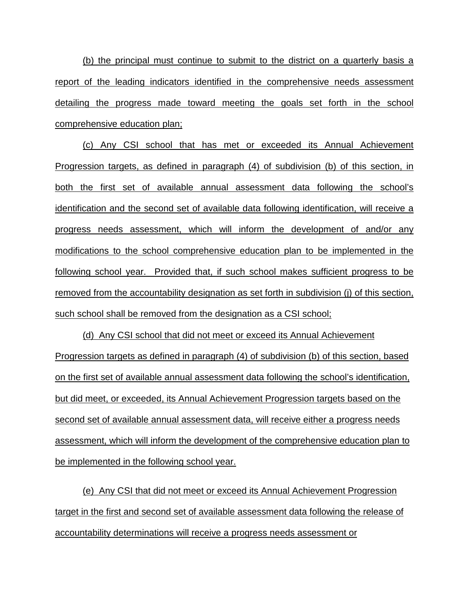(b) the principal must continue to submit to the district on a quarterly basis a report of the leading indicators identified in the comprehensive needs assessment detailing the progress made toward meeting the goals set forth in the school comprehensive education plan;

(c) Any CSI school that has met or exceeded its Annual Achievement Progression targets, as defined in paragraph (4) of subdivision (b) of this section, in both the first set of available annual assessment data following the school's identification and the second set of available data following identification, will receive a progress needs assessment, which will inform the development of and/or any modifications to the school comprehensive education plan to be implemented in the following school year. Provided that, if such school makes sufficient progress to be removed from the accountability designation as set forth in subdivision (j) of this section, such school shall be removed from the designation as a CSI school;

(d) Any CSI school that did not meet or exceed its Annual Achievement Progression targets as defined in paragraph (4) of subdivision (b) of this section, based on the first set of available annual assessment data following the school's identification, but did meet, or exceeded, its Annual Achievement Progression targets based on the second set of available annual assessment data, will receive either a progress needs assessment, which will inform the development of the comprehensive education plan to be implemented in the following school year.

(e) Any CSI that did not meet or exceed its Annual Achievement Progression target in the first and second set of available assessment data following the release of accountability determinations will receive a progress needs assessment or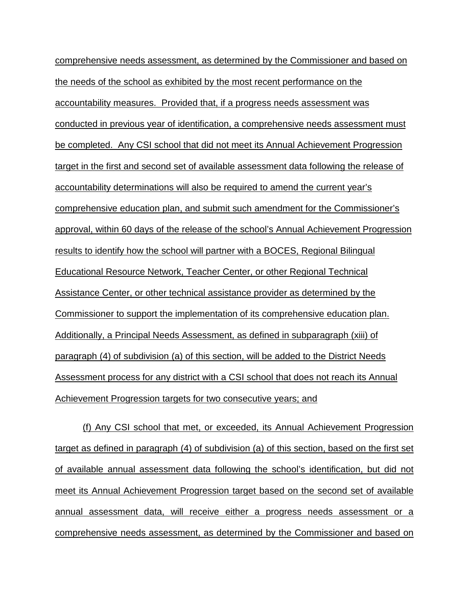comprehensive needs assessment, as determined by the Commissioner and based on the needs of the school as exhibited by the most recent performance on the accountability measures. Provided that, if a progress needs assessment was conducted in previous year of identification, a comprehensive needs assessment must be completed. Any CSI school that did not meet its Annual Achievement Progression target in the first and second set of available assessment data following the release of accountability determinations will also be required to amend the current year's comprehensive education plan, and submit such amendment for the Commissioner's approval, within 60 days of the release of the school's Annual Achievement Progression results to identify how the school will partner with a BOCES, Regional Bilingual Educational Resource Network, Teacher Center, or other Regional Technical Assistance Center, or other technical assistance provider as determined by the Commissioner to support the implementation of its comprehensive education plan. Additionally, a Principal Needs Assessment, as defined in subparagraph (xiii) of paragraph (4) of subdivision (a) of this section, will be added to the District Needs Assessment process for any district with a CSI school that does not reach its Annual Achievement Progression targets for two consecutive years; and

(f) Any CSI school that met, or exceeded, its Annual Achievement Progression target as defined in paragraph (4) of subdivision (a) of this section, based on the first set of available annual assessment data following the school's identification, but did not meet its Annual Achievement Progression target based on the second set of available annual assessment data, will receive either a progress needs assessment or a comprehensive needs assessment, as determined by the Commissioner and based on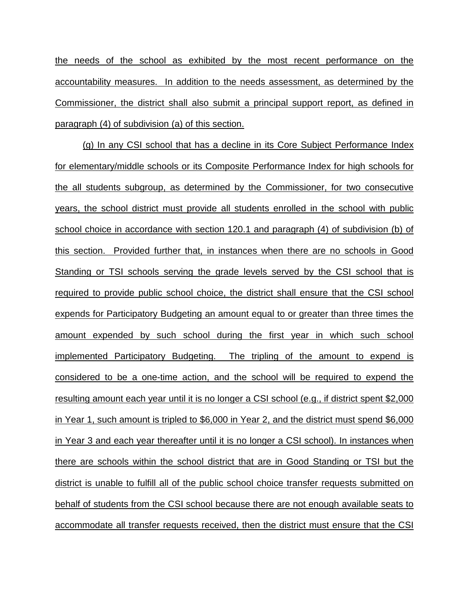the needs of the school as exhibited by the most recent performance on the accountability measures. In addition to the needs assessment, as determined by the Commissioner, the district shall also submit a principal support report, as defined in paragraph (4) of subdivision (a) of this section.

(g) In any CSI school that has a decline in its Core Subject Performance Index for elementary/middle schools or its Composite Performance Index for high schools for the all students subgroup, as determined by the Commissioner, for two consecutive years, the school district must provide all students enrolled in the school with public school choice in accordance with section 120.1 and paragraph (4) of subdivision (b) of this section. Provided further that, in instances when there are no schools in Good Standing or TSI schools serving the grade levels served by the CSI school that is required to provide public school choice, the district shall ensure that the CSI school expends for Participatory Budgeting an amount equal to or greater than three times the amount expended by such school during the first year in which such school implemented Participatory Budgeting. The tripling of the amount to expend is considered to be a one-time action, and the school will be required to expend the resulting amount each year until it is no longer a CSI school (e.g., if district spent \$2,000 in Year 1, such amount is tripled to \$6,000 in Year 2, and the district must spend \$6,000 in Year 3 and each year thereafter until it is no longer a CSI school). In instances when there are schools within the school district that are in Good Standing or TSI but the district is unable to fulfill all of the public school choice transfer requests submitted on behalf of students from the CSI school because there are not enough available seats to accommodate all transfer requests received, then the district must ensure that the CSI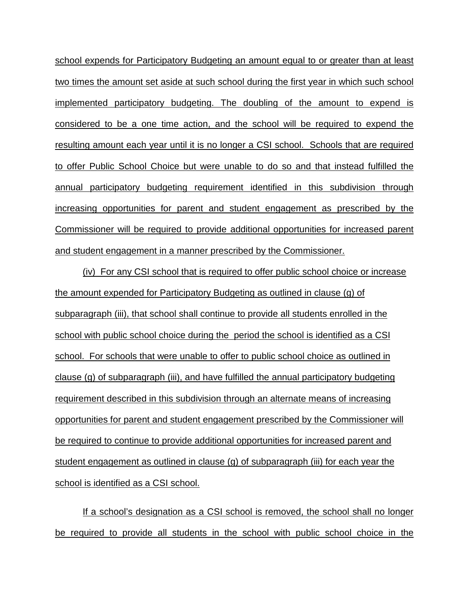school expends for Participatory Budgeting an amount equal to or greater than at least two times the amount set aside at such school during the first year in which such school implemented participatory budgeting. The doubling of the amount to expend is considered to be a one time action, and the school will be required to expend the resulting amount each year until it is no longer a CSI school. Schools that are required to offer Public School Choice but were unable to do so and that instead fulfilled the annual participatory budgeting requirement identified in this subdivision through increasing opportunities for parent and student engagement as prescribed by the Commissioner will be required to provide additional opportunities for increased parent and student engagement in a manner prescribed by the Commissioner.

(iv) For any CSI school that is required to offer public school choice or increase the amount expended for Participatory Budgeting as outlined in clause (g) of subparagraph (iii), that school shall continue to provide all students enrolled in the school with public school choice during the period the school is identified as a CSI school. For schools that were unable to offer to public school choice as outlined in clause (g) of subparagraph (iii), and have fulfilled the annual participatory budgeting requirement described in this subdivision through an alternate means of increasing opportunities for parent and student engagement prescribed by the Commissioner will be required to continue to provide additional opportunities for increased parent and student engagement as outlined in clause (g) of subparagraph (iii) for each year the school is identified as a CSI school.

If a school's designation as a CSI school is removed, the school shall no longer be required to provide all students in the school with public school choice in the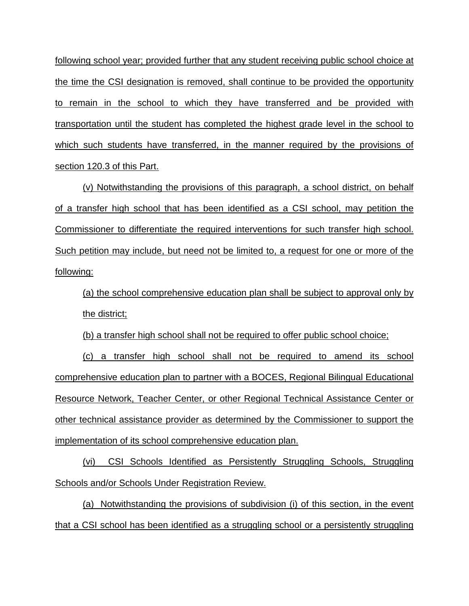following school year; provided further that any student receiving public school choice at the time the CSI designation is removed, shall continue to be provided the opportunity to remain in the school to which they have transferred and be provided with transportation until the student has completed the highest grade level in the school to which such students have transferred, in the manner required by the provisions of section 120.3 of this Part.

(v) Notwithstanding the provisions of this paragraph, a school district, on behalf of a transfer high school that has been identified as a CSI school, may petition the Commissioner to differentiate the required interventions for such transfer high school. Such petition may include, but need not be limited to, a request for one or more of the following:

(a) the school comprehensive education plan shall be subject to approval only by the district;

(b) a transfer high school shall not be required to offer public school choice;

(c) a transfer high school shall not be required to amend its school comprehensive education plan to partner with a BOCES, Regional Bilingual Educational Resource Network, Teacher Center, or other Regional Technical Assistance Center or other technical assistance provider as determined by the Commissioner to support the implementation of its school comprehensive education plan.

(vi) CSI Schools Identified as Persistently Struggling Schools, Struggling Schools and/or Schools Under Registration Review.

(a) Notwithstanding the provisions of subdivision (i) of this section, in the event that a CSI school has been identified as a struggling school or a persistently struggling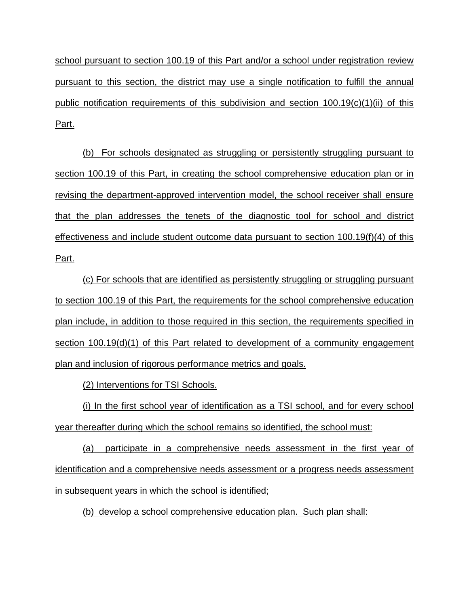school pursuant to section 100.19 of this Part and/or a school under registration review pursuant to this section, the district may use a single notification to fulfill the annual public notification requirements of this subdivision and section 100.19(c)(1)(ii) of this Part.

(b) For schools designated as struggling or persistently struggling pursuant to section 100.19 of this Part, in creating the school comprehensive education plan or in revising the department-approved intervention model, the school receiver shall ensure that the plan addresses the tenets of the diagnostic tool for school and district effectiveness and include student outcome data pursuant to section 100.19(f)(4) of this Part.

(c) For schools that are identified as persistently struggling or struggling pursuant to section 100.19 of this Part, the requirements for the school comprehensive education plan include, in addition to those required in this section, the requirements specified in section 100.19(d)(1) of this Part related to development of a community engagement plan and inclusion of rigorous performance metrics and goals.

(2) Interventions for TSI Schools.

(i) In the first school year of identification as a TSI school, and for every school year thereafter during which the school remains so identified, the school must:

(a) participate in a comprehensive needs assessment in the first year of identification and a comprehensive needs assessment or a progress needs assessment in subsequent years in which the school is identified;

(b) develop a school comprehensive education plan. Such plan shall: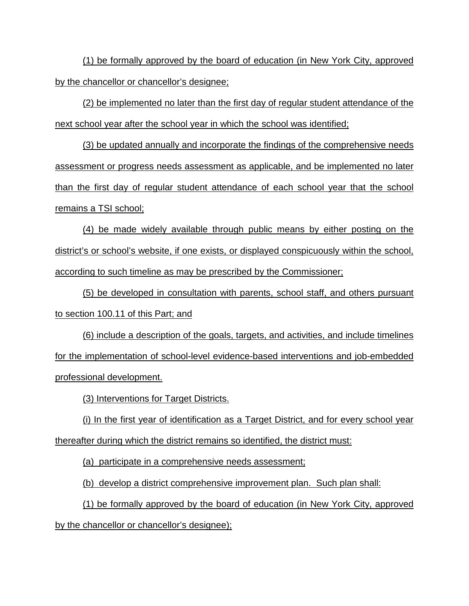(1) be formally approved by the board of education (in New York City, approved by the chancellor or chancellor's designee;

(2) be implemented no later than the first day of regular student attendance of the next school year after the school year in which the school was identified;

(3) be updated annually and incorporate the findings of the comprehensive needs assessment or progress needs assessment as applicable, and be implemented no later than the first day of regular student attendance of each school year that the school remains a TSI school;

(4) be made widely available through public means by either posting on the district's or school's website, if one exists, or displayed conspicuously within the school, according to such timeline as may be prescribed by the Commissioner;

(5) be developed in consultation with parents, school staff, and others pursuant to section 100.11 of this Part; and

(6) include a description of the goals, targets, and activities, and include timelines for the implementation of school-level evidence-based interventions and job-embedded professional development.

(3) Interventions for Target Districts.

(i) In the first year of identification as a Target District, and for every school year thereafter during which the district remains so identified, the district must:

(a) participate in a comprehensive needs assessment;

(b) develop a district comprehensive improvement plan. Such plan shall:

(1) be formally approved by the board of education (in New York City, approved by the chancellor or chancellor's designee);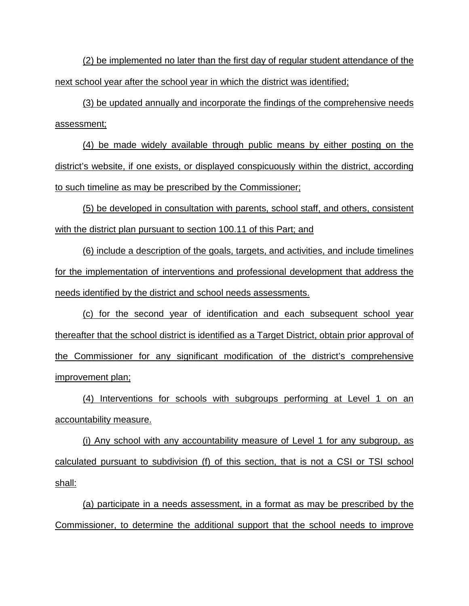(2) be implemented no later than the first day of regular student attendance of the next school year after the school year in which the district was identified;

(3) be updated annually and incorporate the findings of the comprehensive needs assessment;

(4) be made widely available through public means by either posting on the district's website, if one exists, or displayed conspicuously within the district, according to such timeline as may be prescribed by the Commissioner;

(5) be developed in consultation with parents, school staff, and others, consistent with the district plan pursuant to section 100.11 of this Part; and

(6) include a description of the goals, targets, and activities, and include timelines for the implementation of interventions and professional development that address the needs identified by the district and school needs assessments.

(c) for the second year of identification and each subsequent school year thereafter that the school district is identified as a Target District, obtain prior approval of the Commissioner for any significant modification of the district's comprehensive improvement plan;

(4) Interventions for schools with subgroups performing at Level 1 on an accountability measure.

(i) Any school with any accountability measure of Level 1 for any subgroup, as calculated pursuant to subdivision (f) of this section, that is not a CSI or TSI school shall:

(a) participate in a needs assessment, in a format as may be prescribed by the Commissioner, to determine the additional support that the school needs to improve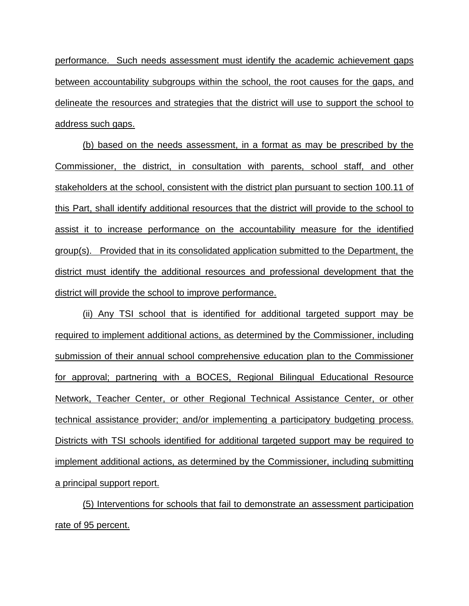performance. Such needs assessment must identify the academic achievement gaps between accountability subgroups within the school, the root causes for the gaps, and delineate the resources and strategies that the district will use to support the school to address such gaps.

(b) based on the needs assessment, in a format as may be prescribed by the Commissioner, the district, in consultation with parents, school staff, and other stakeholders at the school, consistent with the district plan pursuant to section 100.11 of this Part, shall identify additional resources that the district will provide to the school to assist it to increase performance on the accountability measure for the identified group(s). Provided that in its consolidated application submitted to the Department, the district must identify the additional resources and professional development that the district will provide the school to improve performance.

(ii) Any TSI school that is identified for additional targeted support may be required to implement additional actions, as determined by the Commissioner, including submission of their annual school comprehensive education plan to the Commissioner for approval; partnering with a BOCES, Regional Bilingual Educational Resource Network, Teacher Center, or other Regional Technical Assistance Center, or other technical assistance provider; and/or implementing a participatory budgeting process. Districts with TSI schools identified for additional targeted support may be required to implement additional actions, as determined by the Commissioner, including submitting a principal support report.

(5) Interventions for schools that fail to demonstrate an assessment participation rate of 95 percent.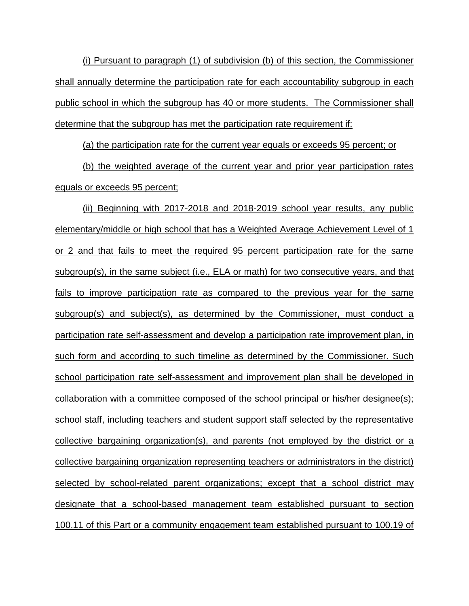(i) Pursuant to paragraph (1) of subdivision (b) of this section, the Commissioner shall annually determine the participation rate for each accountability subgroup in each public school in which the subgroup has 40 or more students. The Commissioner shall determine that the subgroup has met the participation rate requirement if:

(a) the participation rate for the current year equals or exceeds 95 percent; or

(b) the weighted average of the current year and prior year participation rates equals or exceeds 95 percent;

(ii) Beginning with 2017-2018 and 2018-2019 school year results, any public elementary/middle or high school that has a Weighted Average Achievement Level of 1 or 2 and that fails to meet the required 95 percent participation rate for the same subgroup(s), in the same subject (i.e., ELA or math) for two consecutive years, and that fails to improve participation rate as compared to the previous year for the same subgroup(s) and subject(s), as determined by the Commissioner, must conduct a participation rate self-assessment and develop a participation rate improvement plan, in such form and according to such timeline as determined by the Commissioner. Such school participation rate self-assessment and improvement plan shall be developed in collaboration with a committee composed of the school principal or his/her designee(s); school staff, including teachers and student support staff selected by the representative collective bargaining organization(s), and parents (not employed by the district or a collective bargaining organization representing teachers or administrators in the district) selected by school-related parent organizations; except that a school district may designate that a school-based management team established pursuant to section 100.11 of this Part or a community engagement team established pursuant to 100.19 of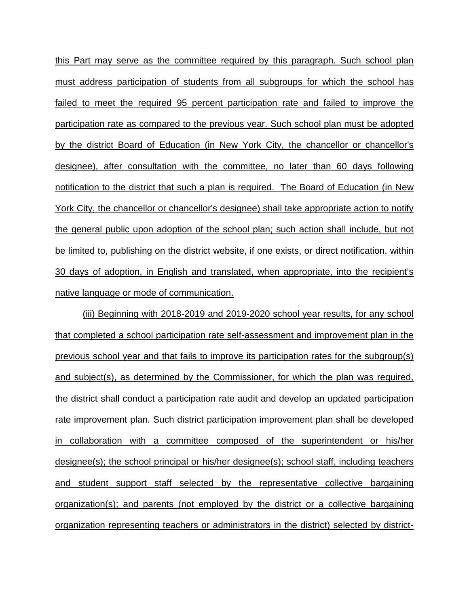this Part may serve as the committee required by this paragraph. Such school plan must address participation of students from all subgroups for which the school has failed to meet the required 95 percent participation rate and failed to improve the participation rate as compared to the previous year. Such school plan must be adopted by the district Board of Education (in New York City, the chancellor or chancellor's designee), after consultation with the committee, no later than 60 days following notification to the district that such a plan is required. The Board of Education (in New York City, the chancellor or chancellor's designee) shall take appropriate action to notify the general public upon adoption of the school plan; such action shall include, but not be limited to, publishing on the district website, if one exists, or direct notification, within 30 days of adoption, in English and translated, when appropriate, into the recipient's native language or mode of communication.

(iii) Beginning with 2018-2019 and 2019-2020 school year results, for any school that completed a school participation rate self-assessment and improvement plan in the previous school year and that fails to improve its participation rates for the subgroup(s) and subject(s), as determined by the Commissioner, for which the plan was required, the district shall conduct a participation rate audit and develop an updated participation rate improvement plan. Such district participation improvement plan shall be developed in collaboration with a committee composed of the superintendent or his/her designee(s); the school principal or his/her designee(s); school staff, including teachers and student support staff selected by the representative collective bargaining organization(s); and parents (not employed by the district or a collective bargaining organization representing teachers or administrators in the district) selected by district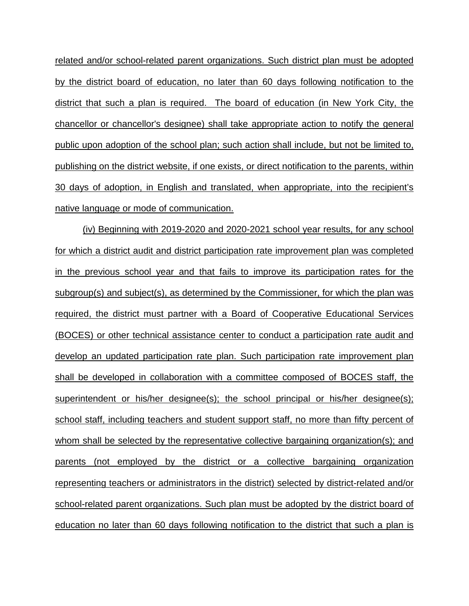related and/or school-related parent organizations. Such district plan must be adopted by the district board of education, no later than 60 days following notification to the district that such a plan is required. The board of education (in New York City, the chancellor or chancellor's designee) shall take appropriate action to notify the general public upon adoption of the school plan; such action shall include, but not be limited to, publishing on the district website, if one exists, or direct notification to the parents, within 30 days of adoption, in English and translated, when appropriate, into the recipient's native language or mode of communication.

(iv) Beginning with 2019-2020 and 2020-2021 school year results, for any school for which a district audit and district participation rate improvement plan was completed in the previous school year and that fails to improve its participation rates for the subgroup(s) and subject(s), as determined by the Commissioner, for which the plan was required, the district must partner with a Board of Cooperative Educational Services (BOCES) or other technical assistance center to conduct a participation rate audit and develop an updated participation rate plan. Such participation rate improvement plan shall be developed in collaboration with a committee composed of BOCES staff, the superintendent or his/her designee(s); the school principal or his/her designee(s); school staff, including teachers and student support staff, no more than fifty percent of whom shall be selected by the representative collective bargaining organization(s); and parents (not employed by the district or a collective bargaining organization representing teachers or administrators in the district) selected by district-related and/or school-related parent organizations. Such plan must be adopted by the district board of education no later than 60 days following notification to the district that such a plan is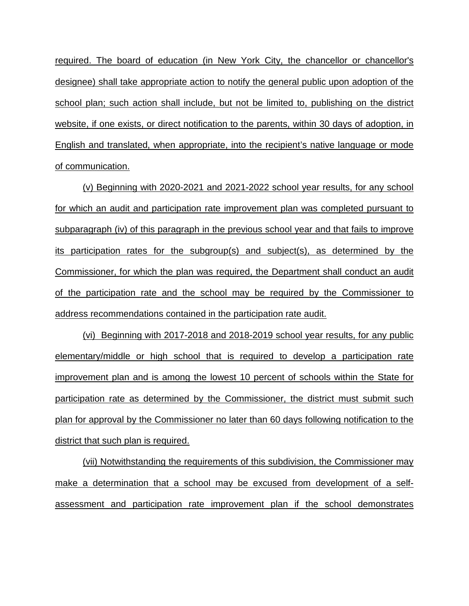required. The board of education (in New York City, the chancellor or chancellor's designee) shall take appropriate action to notify the general public upon adoption of the school plan; such action shall include, but not be limited to, publishing on the district website, if one exists, or direct notification to the parents, within 30 days of adoption, in English and translated, when appropriate, into the recipient's native language or mode of communication.

(v) Beginning with 2020-2021 and 2021-2022 school year results, for any school for which an audit and participation rate improvement plan was completed pursuant to subparagraph (iv) of this paragraph in the previous school year and that fails to improve its participation rates for the subgroup(s) and subject(s), as determined by the Commissioner, for which the plan was required, the Department shall conduct an audit of the participation rate and the school may be required by the Commissioner to address recommendations contained in the participation rate audit.

(vi) Beginning with 2017-2018 and 2018-2019 school year results, for any public elementary/middle or high school that is required to develop a participation rate improvement plan and is among the lowest 10 percent of schools within the State for participation rate as determined by the Commissioner, the district must submit such plan for approval by the Commissioner no later than 60 days following notification to the district that such plan is required.

(vii) Notwithstanding the requirements of this subdivision, the Commissioner may make a determination that a school may be excused from development of a selfassessment and participation rate improvement plan if the school demonstrates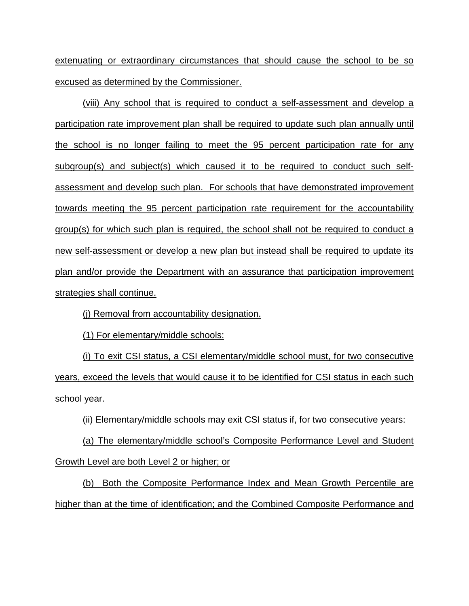extenuating or extraordinary circumstances that should cause the school to be so excused as determined by the Commissioner.

(viii) Any school that is required to conduct a self-assessment and develop a participation rate improvement plan shall be required to update such plan annually until the school is no longer failing to meet the 95 percent participation rate for any subgroup(s) and subject(s) which caused it to be required to conduct such selfassessment and develop such plan. For schools that have demonstrated improvement towards meeting the 95 percent participation rate requirement for the accountability group(s) for which such plan is required, the school shall not be required to conduct a new self-assessment or develop a new plan but instead shall be required to update its plan and/or provide the Department with an assurance that participation improvement strategies shall continue.

(j) Removal from accountability designation.

(1) For elementary/middle schools:

(i) To exit CSI status, a CSI elementary/middle school must, for two consecutive years, exceed the levels that would cause it to be identified for CSI status in each such school year.

(ii) Elementary/middle schools may exit CSI status if, for two consecutive years:

(a) The elementary/middle school's Composite Performance Level and Student Growth Level are both Level 2 or higher; or

(b) Both the Composite Performance Index and Mean Growth Percentile are higher than at the time of identification; and the Combined Composite Performance and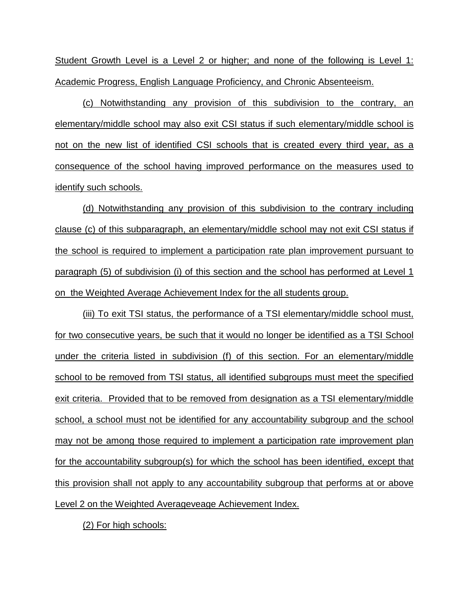Student Growth Level is a Level 2 or higher; and none of the following is Level 1: Academic Progress, English Language Proficiency, and Chronic Absenteeism.

(c) Notwithstanding any provision of this subdivision to the contrary, an elementary/middle school may also exit CSI status if such elementary/middle school is not on the new list of identified CSI schools that is created every third year, as a consequence of the school having improved performance on the measures used to identify such schools.

(d) Notwithstanding any provision of this subdivision to the contrary including clause (c) of this subparagraph, an elementary/middle school may not exit CSI status if the school is required to implement a participation rate plan improvement pursuant to paragraph (5) of subdivision (i) of this section and the school has performed at Level 1 on the Weighted Average Achievement Index for the all students group.

(iii) To exit TSI status, the performance of a TSI elementary/middle school must, for two consecutive years, be such that it would no longer be identified as a TSI School under the criteria listed in subdivision (f) of this section. For an elementary/middle school to be removed from TSI status, all identified subgroups must meet the specified exit criteria. Provided that to be removed from designation as a TSI elementary/middle school, a school must not be identified for any accountability subgroup and the school may not be among those required to implement a participation rate improvement plan for the accountability subgroup(s) for which the school has been identified, except that this provision shall not apply to any accountability subgroup that performs at or above Level 2 on the Weighted Averageveage Achievement Index.

(2) For high schools: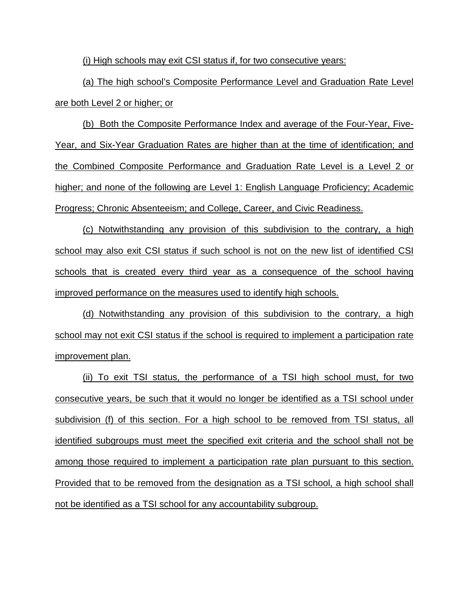(i) High schools may exit CSI status if, for two consecutive years:

(a) The high school's Composite Performance Level and Graduation Rate Level are both Level 2 or higher; or

(b) Both the Composite Performance Index and average of the Four-Year, Five-Year, and Six-Year Graduation Rates are higher than at the time of identification; and the Combined Composite Performance and Graduation Rate Level is a Level 2 or higher; and none of the following are Level 1: English Language Proficiency; Academic Progress; Chronic Absenteeism; and College, Career, and Civic Readiness.

(c) Notwithstanding any provision of this subdivision to the contrary, a high school may also exit CSI status if such school is not on the new list of identified CSI schools that is created every third year as a consequence of the school having improved performance on the measures used to identify high schools.

(d) Notwithstanding any provision of this subdivision to the contrary, a high school may not exit CSI status if the school is required to implement a participation rate improvement plan.

(ii) To exit TSI status, the performance of a TSI high school must, for two consecutive years, be such that it would no longer be identified as a TSI school under subdivision (f) of this section. For a high school to be removed from TSI status, all identified subgroups must meet the specified exit criteria and the school shall not be among those required to implement a participation rate plan pursuant to this section. Provided that to be removed from the designation as a TSI school, a high school shall not be identified as a TSI school for any accountability subgroup.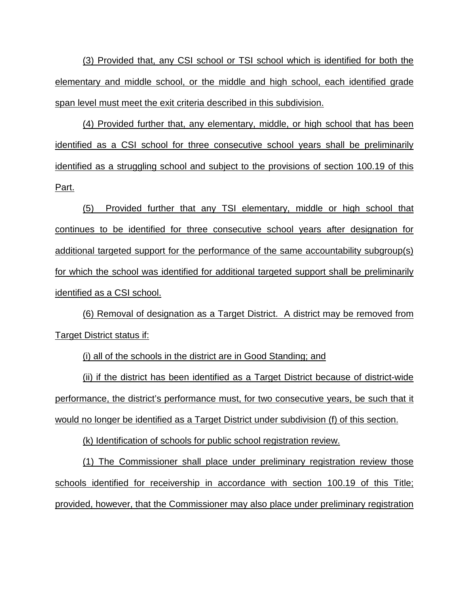(3) Provided that, any CSI school or TSI school which is identified for both the elementary and middle school, or the middle and high school, each identified grade span level must meet the exit criteria described in this subdivision.

(4) Provided further that, any elementary, middle, or high school that has been identified as a CSI school for three consecutive school years shall be preliminarily identified as a struggling school and subject to the provisions of section 100.19 of this Part.

(5) Provided further that any TSI elementary, middle or high school that continues to be identified for three consecutive school years after designation for additional targeted support for the performance of the same accountability subgroup(s) for which the school was identified for additional targeted support shall be preliminarily identified as a CSI school.

(6) Removal of designation as a Target District. A district may be removed from Target District status if:

(i) all of the schools in the district are in Good Standing; and

(ii) if the district has been identified as a Target District because of district-wide performance, the district's performance must, for two consecutive years, be such that it would no longer be identified as a Target District under subdivision (f) of this section.

(k) Identification of schools for public school registration review.

(1) The Commissioner shall place under preliminary registration review those schools identified for receivership in accordance with section 100.19 of this Title; provided, however, that the Commissioner may also place under preliminary registration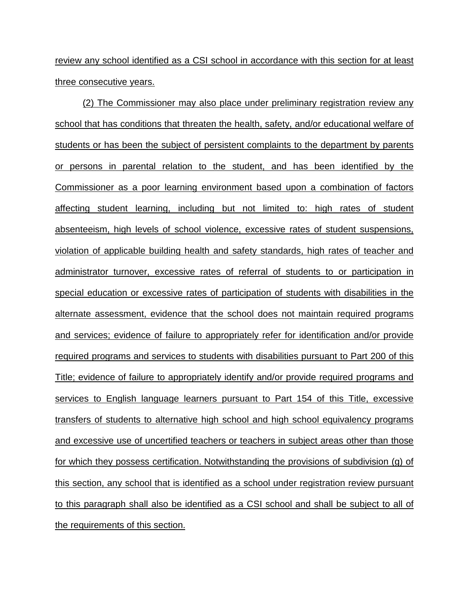review any school identified as a CSI school in accordance with this section for at least three consecutive years.

(2) The Commissioner may also place under preliminary registration review any school that has conditions that threaten the health, safety, and/or educational welfare of students or has been the subject of persistent complaints to the department by parents or persons in parental relation to the student, and has been identified by the Commissioner as a poor learning environment based upon a combination of factors affecting student learning, including but not limited to: high rates of student absenteeism, high levels of school violence, excessive rates of student suspensions, violation of applicable building health and safety standards, high rates of teacher and administrator turnover, excessive rates of referral of students to or participation in special education or excessive rates of participation of students with disabilities in the alternate assessment, evidence that the school does not maintain required programs and services; evidence of failure to appropriately refer for identification and/or provide required programs and services to students with disabilities pursuant to Part 200 of this Title; evidence of failure to appropriately identify and/or provide required programs and services to English language learners pursuant to Part 154 of this Title, excessive transfers of students to alternative high school and high school equivalency programs and excessive use of uncertified teachers or teachers in subject areas other than those for which they possess certification. Notwithstanding the provisions of subdivision (g) of this section, any school that is identified as a school under registration review pursuant to this paragraph shall also be identified as a CSI school and shall be subject to all of the requirements of this section.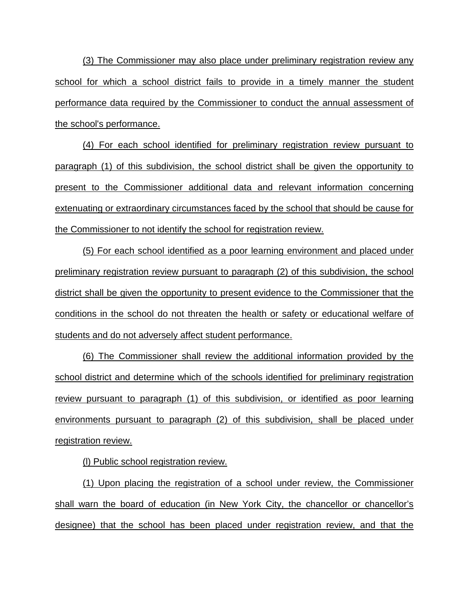(3) The Commissioner may also place under preliminary registration review any school for which a school district fails to provide in a timely manner the student performance data required by the Commissioner to conduct the annual assessment of the school's performance.

(4) For each school identified for preliminary registration review pursuant to paragraph (1) of this subdivision, the school district shall be given the opportunity to present to the Commissioner additional data and relevant information concerning extenuating or extraordinary circumstances faced by the school that should be cause for the Commissioner to not identify the school for registration review.

(5) For each school identified as a poor learning environment and placed under preliminary registration review pursuant to paragraph (2) of this subdivision, the school district shall be given the opportunity to present evidence to the Commissioner that the conditions in the school do not threaten the health or safety or educational welfare of students and do not adversely affect student performance.

(6) The Commissioner shall review the additional information provided by the school district and determine which of the schools identified for preliminary registration review pursuant to paragraph (1) of this subdivision, or identified as poor learning environments pursuant to paragraph (2) of this subdivision, shall be placed under registration review.

(l) Public school registration review.

(1) Upon placing the registration of a school under review, the Commissioner shall warn the board of education (in New York City, the chancellor or chancellor's designee) that the school has been placed under registration review, and that the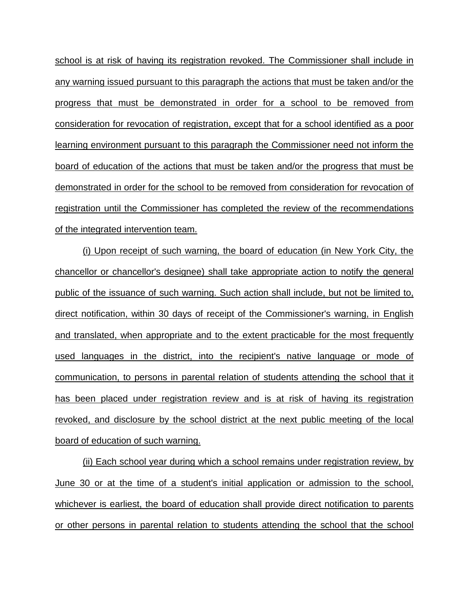school is at risk of having its registration revoked. The Commissioner shall include in any warning issued pursuant to this paragraph the actions that must be taken and/or the progress that must be demonstrated in order for a school to be removed from consideration for revocation of registration, except that for a school identified as a poor learning environment pursuant to this paragraph the Commissioner need not inform the board of education of the actions that must be taken and/or the progress that must be demonstrated in order for the school to be removed from consideration for revocation of registration until the Commissioner has completed the review of the recommendations of the integrated intervention team.

(i) Upon receipt of such warning, the board of education (in New York City, the chancellor or chancellor's designee) shall take appropriate action to notify the general public of the issuance of such warning. Such action shall include, but not be limited to, direct notification, within 30 days of receipt of the Commissioner's warning, in English and translated, when appropriate and to the extent practicable for the most frequently used languages in the district, into the recipient's native language or mode of communication, to persons in parental relation of students attending the school that it has been placed under registration review and is at risk of having its registration revoked, and disclosure by the school district at the next public meeting of the local board of education of such warning.

(ii) Each school year during which a school remains under registration review, by June 30 or at the time of a student's initial application or admission to the school, whichever is earliest, the board of education shall provide direct notification to parents or other persons in parental relation to students attending the school that the school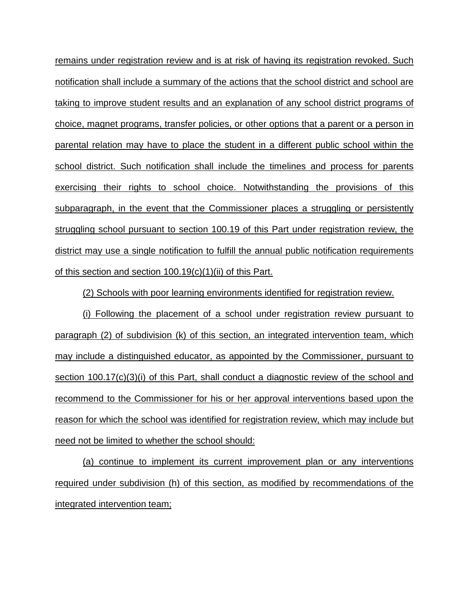remains under registration review and is at risk of having its registration revoked. Such notification shall include a summary of the actions that the school district and school are taking to improve student results and an explanation of any school district programs of choice, magnet programs, transfer policies, or other options that a parent or a person in parental relation may have to place the student in a different public school within the school district. Such notification shall include the timelines and process for parents exercising their rights to school choice. Notwithstanding the provisions of this subparagraph, in the event that the Commissioner places a struggling or persistently struggling school pursuant to section 100.19 of this Part under registration review, the district may use a single notification to fulfill the annual public notification requirements of this section and section 100.19(c)(1)(ii) of this Part.

(2) Schools with poor learning environments identified for registration review.

(i) Following the placement of a school under registration review pursuant to paragraph (2) of subdivision (k) of this section, an integrated intervention team, which may include a distinguished educator, as appointed by the Commissioner, pursuant to section 100.17(c)(3)(i) of this Part, shall conduct a diagnostic review of the school and recommend to the Commissioner for his or her approval interventions based upon the reason for which the school was identified for registration review, which may include but need not be limited to whether the school should:

(a) continue to implement its current improvement plan or any interventions required under subdivision (h) of this section, as modified by recommendations of the integrated intervention team;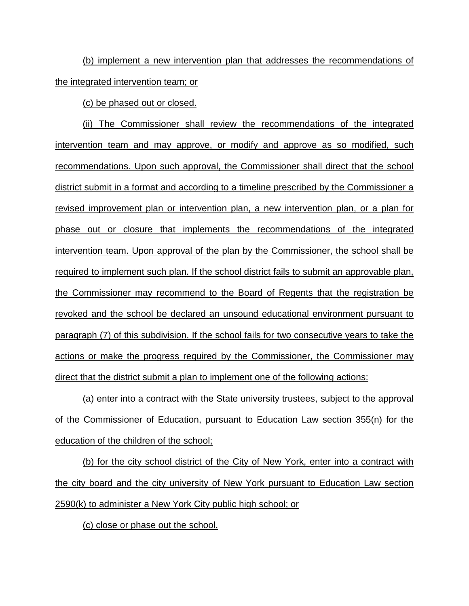(b) implement a new intervention plan that addresses the recommendations of the integrated intervention team; or

(c) be phased out or closed.

(ii) The Commissioner shall review the recommendations of the integrated intervention team and may approve, or modify and approve as so modified, such recommendations. Upon such approval, the Commissioner shall direct that the school district submit in a format and according to a timeline prescribed by the Commissioner a revised improvement plan or intervention plan, a new intervention plan, or a plan for phase out or closure that implements the recommendations of the integrated intervention team. Upon approval of the plan by the Commissioner, the school shall be required to implement such plan. If the school district fails to submit an approvable plan, the Commissioner may recommend to the Board of Regents that the registration be revoked and the school be declared an unsound educational environment pursuant to paragraph (7) of this subdivision. If the school fails for two consecutive years to take the actions or make the progress required by the Commissioner, the Commissioner may direct that the district submit a plan to implement one of the following actions:

(a) enter into a contract with the State university trustees, subject to the approval of the Commissioner of Education, pursuant to Education Law section 355(n) for the education of the children of the school;

(b) for the city school district of the City of New York, enter into a contract with the city board and the city university of New York pursuant to Education Law section 2590(k) to administer a New York City public high school; or

(c) close or phase out the school.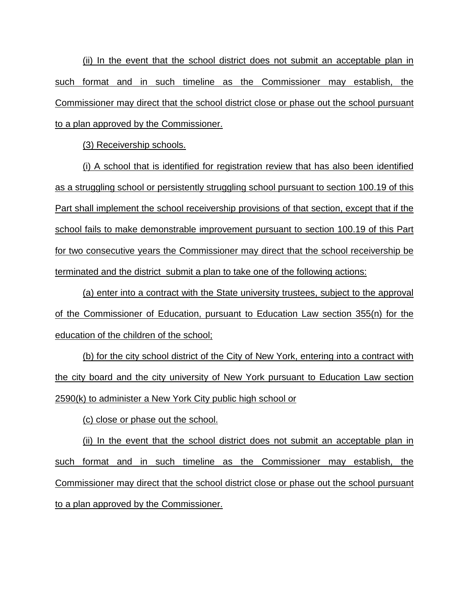(ii) In the event that the school district does not submit an acceptable plan in such format and in such timeline as the Commissioner may establish, the Commissioner may direct that the school district close or phase out the school pursuant to a plan approved by the Commissioner.

(3) Receivership schools.

(i) A school that is identified for registration review that has also been identified as a struggling school or persistently struggling school pursuant to section 100.19 of this Part shall implement the school receivership provisions of that section, except that if the school fails to make demonstrable improvement pursuant to section 100.19 of this Part for two consecutive years the Commissioner may direct that the school receivership be terminated and the district submit a plan to take one of the following actions:

(a) enter into a contract with the State university trustees, subject to the approval of the Commissioner of Education, pursuant to Education Law section 355(n) for the education of the children of the school;

(b) for the city school district of the City of New York, entering into a contract with the city board and the city university of New York pursuant to Education Law section 2590(k) to administer a New York City public high school or

(c) close or phase out the school.

(ii) In the event that the school district does not submit an acceptable plan in such format and in such timeline as the Commissioner may establish, the Commissioner may direct that the school district close or phase out the school pursuant to a plan approved by the Commissioner.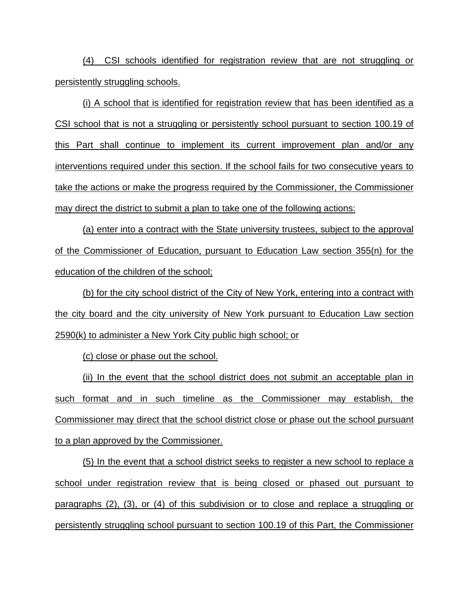(4) CSI schools identified for registration review that are not struggling or persistently struggling schools.

(i) A school that is identified for registration review that has been identified as a CSI school that is not a struggling or persistently school pursuant to section 100.19 of this Part shall continue to implement its current improvement plan and/or any interventions required under this section. If the school fails for two consecutive years to take the actions or make the progress required by the Commissioner, the Commissioner may direct the district to submit a plan to take one of the following actions:

(a) enter into a contract with the State university trustees, subject to the approval of the Commissioner of Education, pursuant to Education Law section 355(n) for the education of the children of the school;

(b) for the city school district of the City of New York, entering into a contract with the city board and the city university of New York pursuant to Education Law section 2590(k) to administer a New York City public high school; or

(c) close or phase out the school.

(ii) In the event that the school district does not submit an acceptable plan in such format and in such timeline as the Commissioner may establish, the Commissioner may direct that the school district close or phase out the school pursuant to a plan approved by the Commissioner.

(5) In the event that a school district seeks to register a new school to replace a school under registration review that is being closed or phased out pursuant to paragraphs (2), (3), or (4) of this subdivision or to close and replace a struggling or persistently struggling school pursuant to section 100.19 of this Part, the Commissioner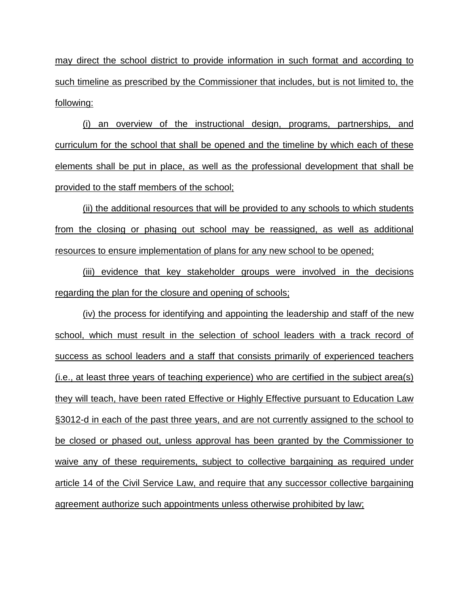may direct the school district to provide information in such format and according to such timeline as prescribed by the Commissioner that includes, but is not limited to, the following:

(i) an overview of the instructional design, programs, partnerships, and curriculum for the school that shall be opened and the timeline by which each of these elements shall be put in place, as well as the professional development that shall be provided to the staff members of the school;

(ii) the additional resources that will be provided to any schools to which students from the closing or phasing out school may be reassigned, as well as additional resources to ensure implementation of plans for any new school to be opened;

(iii) evidence that key stakeholder groups were involved in the decisions regarding the plan for the closure and opening of schools;

(iv) the process for identifying and appointing the leadership and staff of the new school, which must result in the selection of school leaders with a track record of success as school leaders and a staff that consists primarily of experienced teachers (i.e., at least three years of teaching experience) who are certified in the subject area(s) they will teach, have been rated Effective or Highly Effective pursuant to Education Law §3012-d in each of the past three years, and are not currently assigned to the school to be closed or phased out, unless approval has been granted by the Commissioner to waive any of these requirements, subject to collective bargaining as required under article 14 of the Civil Service Law, and require that any successor collective bargaining agreement authorize such appointments unless otherwise prohibited by law;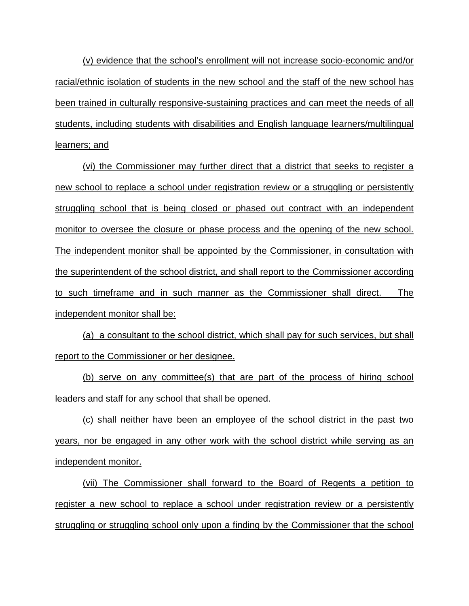(v) evidence that the school's enrollment will not increase socio-economic and/or racial/ethnic isolation of students in the new school and the staff of the new school has been trained in culturally responsive-sustaining practices and can meet the needs of all students, including students with disabilities and English language learners/multilingual learners; and

(vi) the Commissioner may further direct that a district that seeks to register a new school to replace a school under registration review or a struggling or persistently struggling school that is being closed or phased out contract with an independent monitor to oversee the closure or phase process and the opening of the new school. The independent monitor shall be appointed by the Commissioner, in consultation with the superintendent of the school district, and shall report to the Commissioner according to such timeframe and in such manner as the Commissioner shall direct. The independent monitor shall be:

(a) a consultant to the school district, which shall pay for such services, but shall report to the Commissioner or her designee.

(b) serve on any committee(s) that are part of the process of hiring school leaders and staff for any school that shall be opened.

(c) shall neither have been an employee of the school district in the past two years, nor be engaged in any other work with the school district while serving as an independent monitor.

(vii) The Commissioner shall forward to the Board of Regents a petition to register a new school to replace a school under registration review or a persistently struggling or struggling school only upon a finding by the Commissioner that the school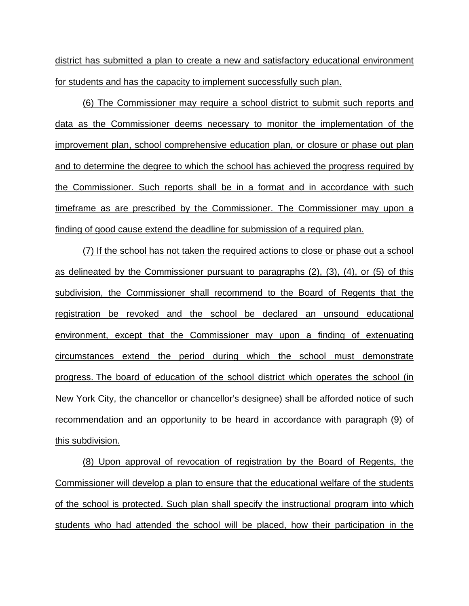district has submitted a plan to create a new and satisfactory educational environment for students and has the capacity to implement successfully such plan.

(6) The Commissioner may require a school district to submit such reports and data as the Commissioner deems necessary to monitor the implementation of the improvement plan, school comprehensive education plan, or closure or phase out plan and to determine the degree to which the school has achieved the progress required by the Commissioner. Such reports shall be in a format and in accordance with such timeframe as are prescribed by the Commissioner. The Commissioner may upon a finding of good cause extend the deadline for submission of a required plan.

(7) If the school has not taken the required actions to close or phase out a school as delineated by the Commissioner pursuant to paragraphs (2), (3), (4), or (5) of this subdivision, the Commissioner shall recommend to the Board of Regents that the registration be revoked and the school be declared an unsound educational environment, except that the Commissioner may upon a finding of extenuating circumstances extend the period during which the school must demonstrate progress. The board of education of the school district which operates the school (in New York City, the chancellor or chancellor's designee) shall be afforded notice of such recommendation and an opportunity to be heard in accordance with paragraph (9) of this subdivision.

(8) Upon approval of revocation of registration by the Board of Regents, the Commissioner will develop a plan to ensure that the educational welfare of the students of the school is protected. Such plan shall specify the instructional program into which students who had attended the school will be placed, how their participation in the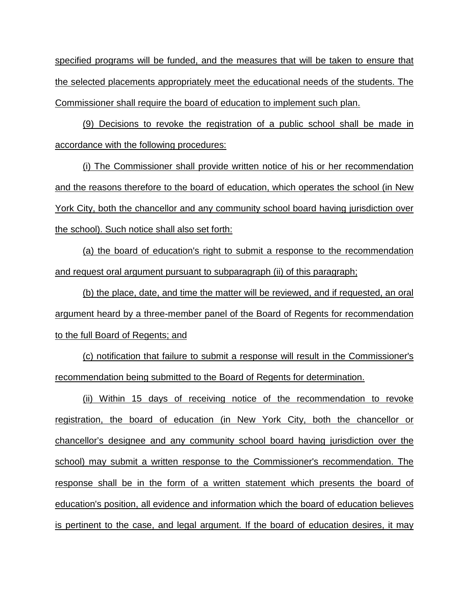specified programs will be funded, and the measures that will be taken to ensure that the selected placements appropriately meet the educational needs of the students. The Commissioner shall require the board of education to implement such plan.

(9) Decisions to revoke the registration of a public school shall be made in accordance with the following procedures:

(i) The Commissioner shall provide written notice of his or her recommendation and the reasons therefore to the board of education, which operates the school (in New York City, both the chancellor and any community school board having jurisdiction over the school). Such notice shall also set forth:

(a) the board of education's right to submit a response to the recommendation and request oral argument pursuant to subparagraph (ii) of this paragraph;

(b) the place, date, and time the matter will be reviewed, and if requested, an oral argument heard by a three-member panel of the Board of Regents for recommendation to the full Board of Regents; and

(c) notification that failure to submit a response will result in the Commissioner's recommendation being submitted to the Board of Regents for determination.

(ii) Within 15 days of receiving notice of the recommendation to revoke registration, the board of education (in New York City, both the chancellor or chancellor's designee and any community school board having jurisdiction over the school) may submit a written response to the Commissioner's recommendation. The response shall be in the form of a written statement which presents the board of education's position, all evidence and information which the board of education believes is pertinent to the case, and legal argument. If the board of education desires, it may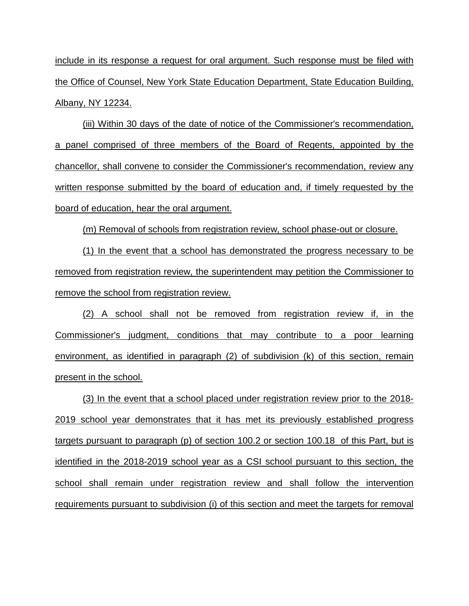include in its response a request for oral argument. Such response must be filed with the Office of Counsel, New York State Education Department, State Education Building, Albany, NY 12234.

(iii) Within 30 days of the date of notice of the Commissioner's recommendation, a panel comprised of three members of the Board of Regents, appointed by the chancellor, shall convene to consider the Commissioner's recommendation, review any written response submitted by the board of education and, if timely requested by the board of education, hear the oral argument.

(m) Removal of schools from registration review, school phase-out or closure.

(1) In the event that a school has demonstrated the progress necessary to be removed from registration review, the superintendent may petition the Commissioner to remove the school from registration review.

(2) A school shall not be removed from registration review if, in the Commissioner's judgment, conditions that may contribute to a poor learning environment, as identified in paragraph (2) of subdivision (k) of this section, remain present in the school.

(3) In the event that a school placed under registration review prior to the 2018- 2019 school year demonstrates that it has met its previously established progress targets pursuant to paragraph (p) of section 100.2 or section 100.18 of this Part, but is identified in the 2018-2019 school year as a CSI school pursuant to this section, the school shall remain under registration review and shall follow the intervention requirements pursuant to subdivision (i) of this section and meet the targets for removal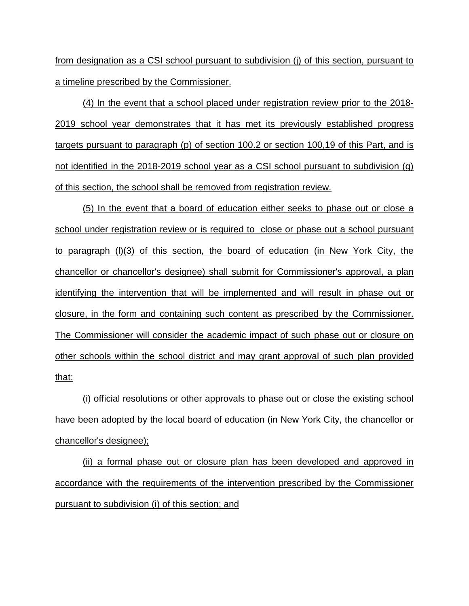from designation as a CSI school pursuant to subdivision (j) of this section, pursuant to a timeline prescribed by the Commissioner.

(4) In the event that a school placed under registration review prior to the 2018- 2019 school year demonstrates that it has met its previously established progress targets pursuant to paragraph (p) of section 100.2 or section 100,19 of this Part, and is not identified in the 2018-2019 school year as a CSI school pursuant to subdivision (g) of this section, the school shall be removed from registration review.

(5) In the event that a board of education either seeks to phase out or close a school under registration review or is required to close or phase out a school pursuant to paragraph (l)(3) of this section, the board of education (in New York City, the chancellor or chancellor's designee) shall submit for Commissioner's approval, a plan identifying the intervention that will be implemented and will result in phase out or closure, in the form and containing such content as prescribed by the Commissioner. The Commissioner will consider the academic impact of such phase out or closure on other schools within the school district and may grant approval of such plan provided that:

(i) official resolutions or other approvals to phase out or close the existing school have been adopted by the local board of education (in New York City, the chancellor or chancellor's designee);

(ii) a formal phase out or closure plan has been developed and approved in accordance with the requirements of the intervention prescribed by the Commissioner pursuant to subdivision (i) of this section; and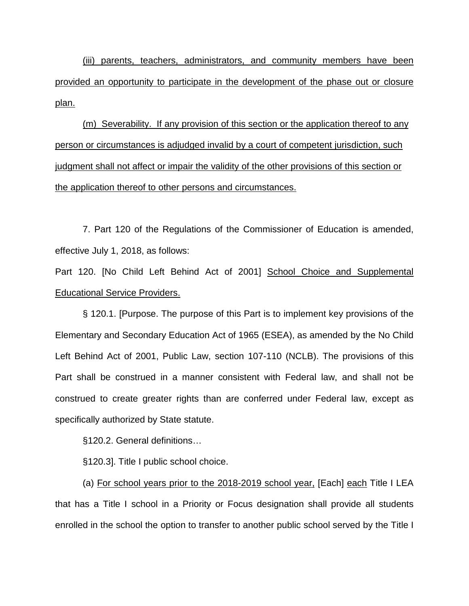(iii) parents, teachers, administrators, and community members have been provided an opportunity to participate in the development of the phase out or closure plan.

(m) Severability. If any provision of this section or the application thereof to any person or circumstances is adjudged invalid by a court of competent jurisdiction, such judgment shall not affect or impair the validity of the other provisions of this section or the application thereof to other persons and circumstances.

7. Part 120 of the Regulations of the Commissioner of Education is amended, effective July 1, 2018, as follows:

Part 120. [No Child Left Behind Act of 2001] School Choice and Supplemental Educational Service Providers.

§ 120.1. [Purpose. The purpose of this Part is to implement key provisions of the Elementary and Secondary Education Act of 1965 (ESEA), as amended by the No Child Left Behind Act of 2001, Public Law, section 107-110 (NCLB). The provisions of this Part shall be construed in a manner consistent with Federal law, and shall not be construed to create greater rights than are conferred under Federal law, except as specifically authorized by State statute.

§120.2. General definitions…

§120.3]. Title I public school choice.

(a) For school years prior to the 2018-2019 school year, [Each] each Title I LEA that has a Title I school in a Priority or Focus designation shall provide all students enrolled in the school the option to transfer to another public school served by the Title I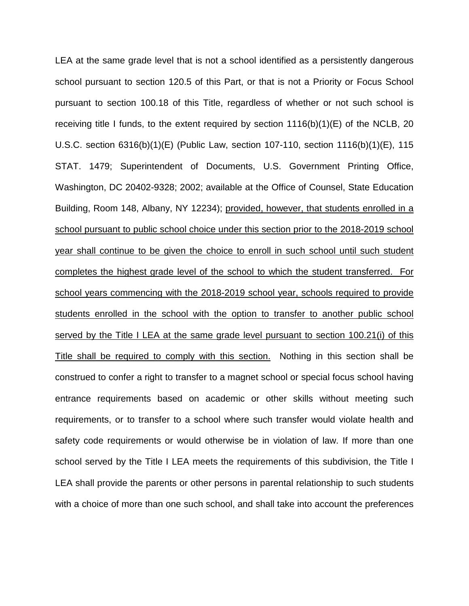LEA at the same grade level that is not a school identified as a persistently dangerous school pursuant to section 120.5 of this Part, or that is not a Priority or Focus School pursuant to section 100.18 of this Title, regardless of whether or not such school is receiving title I funds, to the extent required by section 1116(b)(1)(E) of the NCLB, 20 U.S.C. section 6316(b)(1)(E) (Public Law, section 107-110, section 1116(b)(1)(E), 115 STAT. 1479; Superintendent of Documents, U.S. Government Printing Office, Washington, DC 20402-9328; 2002; available at the Office of Counsel, State Education Building, Room 148, Albany, NY 12234); provided, however, that students enrolled in a school pursuant to public school choice under this section prior to the 2018-2019 school year shall continue to be given the choice to enroll in such school until such student completes the highest grade level of the school to which the student transferred. For school years commencing with the 2018-2019 school year, schools required to provide students enrolled in the school with the option to transfer to another public school served by the Title I LEA at the same grade level pursuant to section 100.21(i) of this Title shall be required to comply with this section. Nothing in this section shall be construed to confer a right to transfer to a magnet school or special focus school having entrance requirements based on academic or other skills without meeting such requirements, or to transfer to a school where such transfer would violate health and safety code requirements or would otherwise be in violation of law. If more than one school served by the Title I LEA meets the requirements of this subdivision, the Title I LEA shall provide the parents or other persons in parental relationship to such students with a choice of more than one such school, and shall take into account the preferences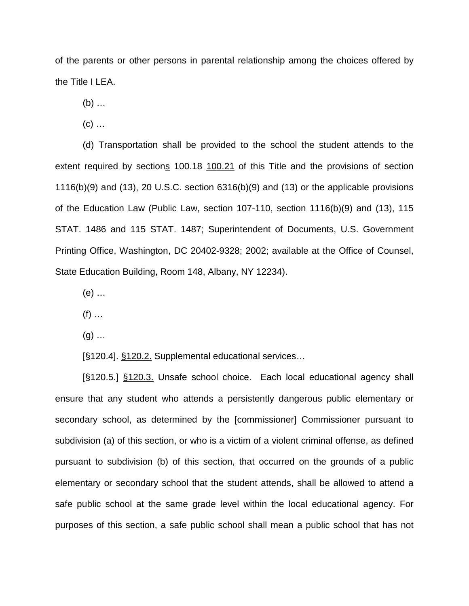of the parents or other persons in parental relationship among the choices offered by the Title I LEA.

(b) …

 $(c)$  ...

(d) Transportation shall be provided to the school the student attends to the extent required by sections 100.18 100.21 of this Title and the provisions of section 1116(b)(9) and (13), 20 U.S.C. section 6316(b)(9) and (13) or the applicable provisions of the Education Law (Public Law, section 107-110, section 1116(b)(9) and (13), 115 STAT. 1486 and 115 STAT. 1487; Superintendent of Documents, U.S. Government Printing Office, Washington, DC 20402-9328; 2002; available at the Office of Counsel, State Education Building, Room 148, Albany, NY 12234).

(e) …

 $(f)$  ...

 $(g)$  ...

[§120.4]. §120.2. Supplemental educational services…

[§120.5.] §120.3. Unsafe school choice. Each local educational agency shall ensure that any student who attends a persistently dangerous public elementary or secondary school, as determined by the [commissioner] Commissioner pursuant to subdivision (a) of this section, or who is a victim of a violent criminal offense, as defined pursuant to subdivision (b) of this section, that occurred on the grounds of a public elementary or secondary school that the student attends, shall be allowed to attend a safe public school at the same grade level within the local educational agency. For purposes of this section, a safe public school shall mean a public school that has not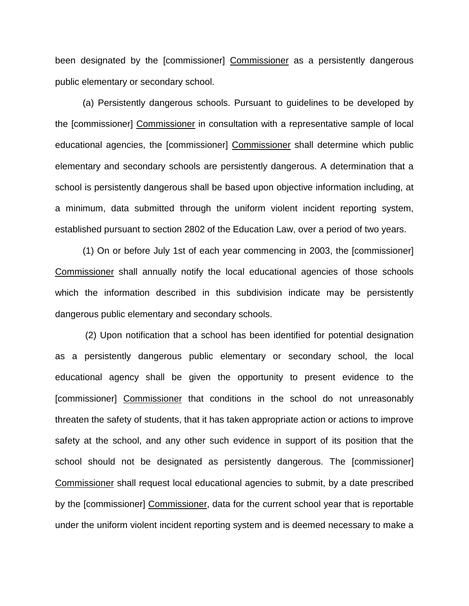been designated by the [commissioner] Commissioner as a persistently dangerous public elementary or secondary school.

(a) Persistently dangerous schools. Pursuant to guidelines to be developed by the [commissioner] Commissioner in consultation with a representative sample of local educational agencies, the [commissioner] Commissioner shall determine which public elementary and secondary schools are persistently dangerous. A determination that a school is persistently dangerous shall be based upon objective information including, at a minimum, data submitted through the uniform violent incident reporting system, established pursuant to section 2802 of the Education Law, over a period of two years.

(1) On or before July 1st of each year commencing in 2003, the [commissioner] Commissioner shall annually notify the local educational agencies of those schools which the information described in this subdivision indicate may be persistently dangerous public elementary and secondary schools.

(2) Upon notification that a school has been identified for potential designation as a persistently dangerous public elementary or secondary school, the local educational agency shall be given the opportunity to present evidence to the [commissioner] Commissioner that conditions in the school do not unreasonably threaten the safety of students, that it has taken appropriate action or actions to improve safety at the school, and any other such evidence in support of its position that the school should not be designated as persistently dangerous. The [commissioner] Commissioner shall request local educational agencies to submit, by a date prescribed by the [commissioner] Commissioner, data for the current school year that is reportable under the uniform violent incident reporting system and is deemed necessary to make a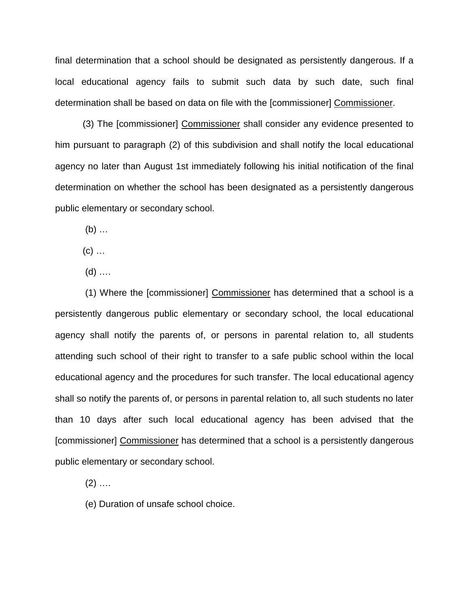final determination that a school should be designated as persistently dangerous. If a local educational agency fails to submit such data by such date, such final determination shall be based on data on file with the [commissioner] Commissioner.

(3) The [commissioner] Commissioner shall consider any evidence presented to him pursuant to paragraph (2) of this subdivision and shall notify the local educational agency no later than August 1st immediately following his initial notification of the final determination on whether the school has been designated as a persistently dangerous public elementary or secondary school.

 $(b)$  ...

 $(c)$  ...

 $(d)$  ....

(1) Where the [commissioner] Commissioner has determined that a school is a persistently dangerous public elementary or secondary school, the local educational agency shall notify the parents of, or persons in parental relation to, all students attending such school of their right to transfer to a safe public school within the local educational agency and the procedures for such transfer. The local educational agency shall so notify the parents of, or persons in parental relation to, all such students no later than 10 days after such local educational agency has been advised that the [commissioner] Commissioner has determined that a school is a persistently dangerous public elementary or secondary school.

 $(2)$  ....

(e) Duration of unsafe school choice.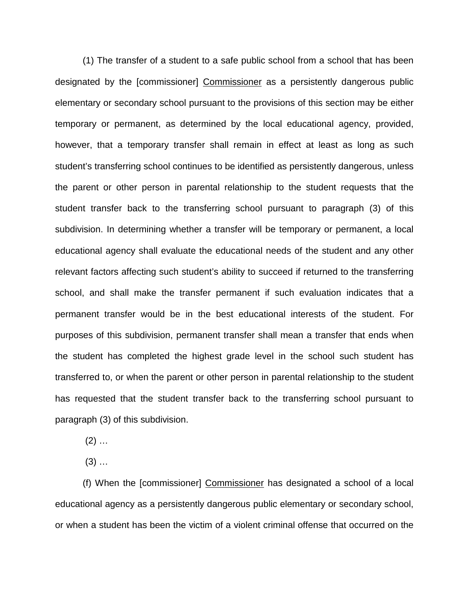(1) The transfer of a student to a safe public school from a school that has been designated by the [commissioner] Commissioner as a persistently dangerous public elementary or secondary school pursuant to the provisions of this section may be either temporary or permanent, as determined by the local educational agency, provided, however, that a temporary transfer shall remain in effect at least as long as such student's transferring school continues to be identified as persistently dangerous, unless the parent or other person in parental relationship to the student requests that the student transfer back to the transferring school pursuant to paragraph (3) of this subdivision. In determining whether a transfer will be temporary or permanent, a local educational agency shall evaluate the educational needs of the student and any other relevant factors affecting such student's ability to succeed if returned to the transferring school, and shall make the transfer permanent if such evaluation indicates that a permanent transfer would be in the best educational interests of the student. For purposes of this subdivision, permanent transfer shall mean a transfer that ends when the student has completed the highest grade level in the school such student has transferred to, or when the parent or other person in parental relationship to the student has requested that the student transfer back to the transferring school pursuant to paragraph (3) of this subdivision.

 $(2)$  ...

 $(3)$  ...

(f) When the [commissioner] Commissioner has designated a school of a local educational agency as a persistently dangerous public elementary or secondary school, or when a student has been the victim of a violent criminal offense that occurred on the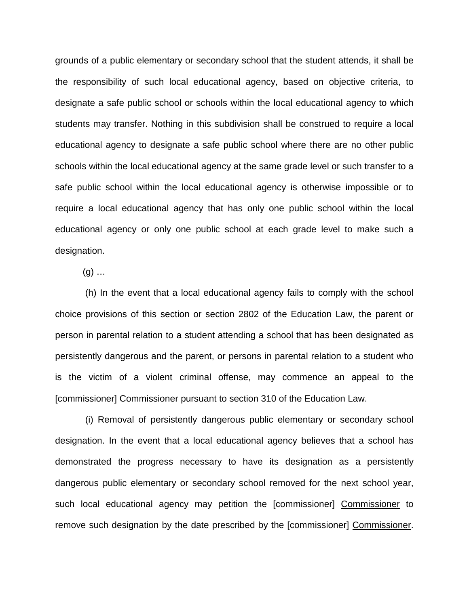grounds of a public elementary or secondary school that the student attends, it shall be the responsibility of such local educational agency, based on objective criteria, to designate a safe public school or schools within the local educational agency to which students may transfer. Nothing in this subdivision shall be construed to require a local educational agency to designate a safe public school where there are no other public schools within the local educational agency at the same grade level or such transfer to a safe public school within the local educational agency is otherwise impossible or to require a local educational agency that has only one public school within the local educational agency or only one public school at each grade level to make such a designation.

 $(q)$  ...

(h) In the event that a local educational agency fails to comply with the school choice provisions of this section or section 2802 of the Education Law, the parent or person in parental relation to a student attending a school that has been designated as persistently dangerous and the parent, or persons in parental relation to a student who is the victim of a violent criminal offense, may commence an appeal to the [commissioner] Commissioner pursuant to section 310 of the Education Law.

(i) Removal of persistently dangerous public elementary or secondary school designation. In the event that a local educational agency believes that a school has demonstrated the progress necessary to have its designation as a persistently dangerous public elementary or secondary school removed for the next school year, such local educational agency may petition the [commissioner] Commissioner to remove such designation by the date prescribed by the [commissioner] Commissioner.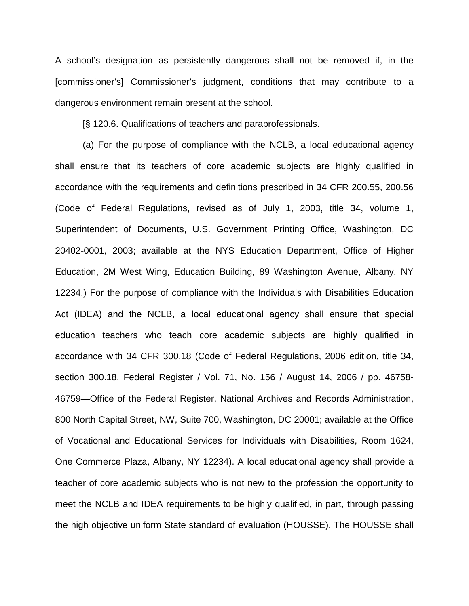A school's designation as persistently dangerous shall not be removed if, in the [commissioner's] Commissioner's judgment, conditions that may contribute to a dangerous environment remain present at the school.

[§ 120.6. Qualifications of teachers and paraprofessionals.

(a) For the purpose of compliance with the NCLB, a local educational agency shall ensure that its teachers of core academic subjects are highly qualified in accordance with the requirements and definitions prescribed in [34 CFR 200.55,](https://1.next.westlaw.com/Link/Document/FullText?findType=L&pubNum=1000547&cite=34CFRS200.55&originatingDoc=IC1521EC0BD8811DE9F5ECEFD6C354282&refType=VP&originationContext=document&transitionType=DocumentItem&contextData=(sc.UserEnteredCitation)) [200.56](https://1.next.westlaw.com/Link/Document/FullText?findType=L&pubNum=1000547&cite=34CFRS200.56&originatingDoc=IC1521EC0BD8811DE9F5ECEFD6C354282&refType=VP&originationContext=document&transitionType=DocumentItem&contextData=(sc.UserEnteredCitation)) (Code of Federal Regulations, revised as of July 1, 2003, title 34, volume 1, Superintendent of Documents, U.S. Government Printing Office, Washington, DC 20402-0001, 2003; available at the NYS Education Department, Office of Higher Education, 2M West Wing, Education Building, 89 Washington Avenue, Albany, NY 12234.) For the purpose of compliance with the Individuals with Disabilities Education Act (IDEA) and the NCLB, a local educational agency shall ensure that special education teachers who teach core academic subjects are highly qualified in accordance with [34 CFR 300.18](https://1.next.westlaw.com/Link/Document/FullText?findType=L&pubNum=1000547&cite=34CFRS300.18&originatingDoc=IC1521EC0BD8811DE9F5ECEFD6C354282&refType=VP&originationContext=document&transitionType=DocumentItem&contextData=(sc.UserEnteredCitation)) (Code of Federal Regulations, 2006 edition, [title 34,](https://1.next.westlaw.com/Link/Document/FullText?findType=L&pubNum=1000547&cite=34CFRS300.18&originatingDoc=IC1521EC0BD8811DE9F5ECEFD6C354282&refType=VP&originationContext=document&transitionType=DocumentItem&contextData=(sc.UserEnteredCitation))  [section 300.18,](https://1.next.westlaw.com/Link/Document/FullText?findType=L&pubNum=1000547&cite=34CFRS300.18&originatingDoc=IC1521EC0BD8811DE9F5ECEFD6C354282&refType=VP&originationContext=document&transitionType=DocumentItem&contextData=(sc.UserEnteredCitation)) Federal Register / Vol. 71, No. 156 / August 14, 2006 / pp. 46758- 46759—Office of the Federal Register, National Archives and Records Administration, 800 North Capital Street, NW, Suite 700, Washington, DC 20001; available at the Office of Vocational and Educational Services for Individuals with Disabilities, Room 1624, One Commerce Plaza, Albany, NY 12234). A local educational agency shall provide a teacher of core academic subjects who is not new to the profession the opportunity to meet the NCLB and IDEA requirements to be highly qualified, in part, through passing the high objective uniform State standard of evaluation (HOUSSE). The HOUSSE shall